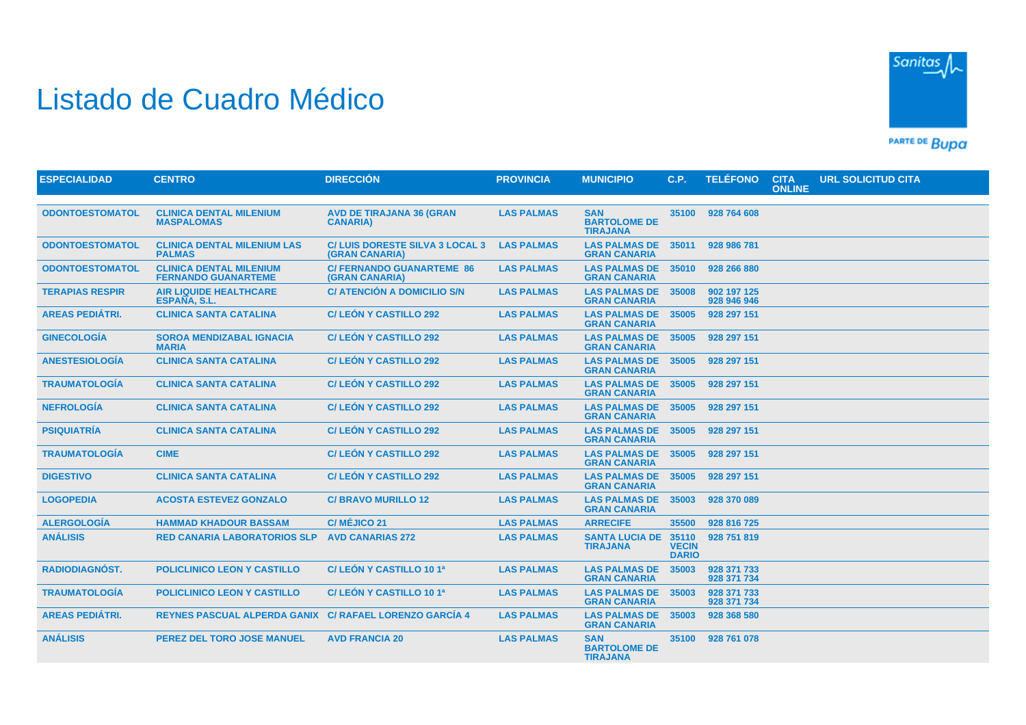## Listado de Cuadro Médico



PARTE DE BUDA

| <b>ESPECIALIDAD</b>    | <b>CENTRO</b>                                                | <b>DIRECCIÓN</b>                                        | <b>PROVINCIA</b>  | <b>MUNICIPIO</b>                                     | C.P.                                  | <b>TELÉFONO</b>            | <b>CITA</b><br><b>ONLINE</b> | <b>URL SOLICITUD CITA</b> |
|------------------------|--------------------------------------------------------------|---------------------------------------------------------|-------------------|------------------------------------------------------|---------------------------------------|----------------------------|------------------------------|---------------------------|
|                        |                                                              |                                                         |                   |                                                      |                                       |                            |                              |                           |
| <b>ODONTOESTOMATOL</b> | <b>CLINICA DENTAL MILENIUM</b><br><b>MASPALOMAS</b>          | <b>AVD DE TIRAJANA 36 (GRAN</b><br><b>CANARIA)</b>      | <b>LAS PALMAS</b> | <b>SAN</b><br><b>BARTOLOME DE</b><br><b>TIRAJANA</b> | 35100                                 | 928 764 608                |                              |                           |
| <b>ODONTOESTOMATOL</b> | <b>CLINICA DENTAL MILENIUM LAS</b><br><b>PALMAS</b>          | <b>C/LUIS DORESTE SILVA 3 LOCAL 3</b><br>(GRAN CANARIA) | <b>LAS PALMAS</b> | <b>LAS PALMAS DE</b><br><b>GRAN CANARIA</b>          | 35011                                 | 928 986 781                |                              |                           |
| <b>ODONTOESTOMATOL</b> | <b>CLINICA DENTAL MILENIUM</b><br><b>FERNANDO GUANARTEME</b> | <b>C/ FERNANDO GUANARTEME 86</b><br>(GRAN CANARIA)      | <b>LAS PALMAS</b> | <b>LAS PALMAS DE</b><br><b>GRAN CANARIA</b>          | 35010                                 | 928 266 880                |                              |                           |
| <b>TERAPIAS RESPIR</b> | <b>AIR LIQUIDE HEALTHCARE</b><br>ESPAÑA, S.L.                | C/ ATENCIÓN A DOMICILIO S/N                             | <b>LAS PALMAS</b> | <b>LAS PALMAS DE</b><br><b>GRAN CANARIA</b>          | 35008                                 | 902 197 125<br>928 946 946 |                              |                           |
| <b>AREAS PEDIÁTRI.</b> | <b>CLINICA SANTA CATALINA</b>                                | <b>C/LEÓN Y CASTILLO 292</b>                            | <b>LAS PALMAS</b> | <b>LAS PALMAS DE</b><br><b>GRAN CANARIA</b>          | 35005                                 | 928 297 151                |                              |                           |
| <b>GINECOLOGÍA</b>     | <b>SOROA MENDIZABAL IGNACIA</b><br><b>MARIA</b>              | <b>C/LEÓN Y CASTILLO 292</b>                            | <b>LAS PALMAS</b> | <b>LAS PALMAS DE</b><br><b>GRAN CANARIA</b>          | 35005                                 | 928 297 151                |                              |                           |
| <b>ANESTESIOLOGIA</b>  | <b>CLINICA SANTA CATALINA</b>                                | <b>C/LEÓN Y CASTILLO 292</b>                            | <b>LAS PALMAS</b> | LAS PALMAS DE 35005<br><b>GRAN CANARIA</b>           |                                       | 928 297 151                |                              |                           |
| <b>TRAUMATOLOGÍA</b>   | <b>CLINICA SANTA CATALINA</b>                                | <b>C/LEÓN Y CASTILLO 292</b>                            | <b>LAS PALMAS</b> | <b>LAS PALMAS DE</b><br><b>GRAN CANARIA</b>          | 35005                                 | 928 297 151                |                              |                           |
| <b>NEFROLOGÍA</b>      | <b>CLINICA SANTA CATALINA</b>                                | <b>C/LEÓN Y CASTILLO 292</b>                            | <b>LAS PALMAS</b> | <b>LAS PALMAS DE</b><br><b>GRAN CANARIA</b>          | 35005                                 | 928 297 151                |                              |                           |
| <b>PSIQUIATRÍA</b>     | <b>CLINICA SANTA CATALINA</b>                                | <b>C/LEÓN Y CASTILLO 292</b>                            | <b>LAS PALMAS</b> | <b>LAS PALMAS DE</b><br><b>GRAN CANARIA</b>          | 35005                                 | 928 297 151                |                              |                           |
| <b>TRAUMATOLOGÍA</b>   | <b>CIME</b>                                                  | <b>C/LEÓN Y CASTILLO 292</b>                            | <b>LAS PALMAS</b> | LAS PALMAS DE 35005<br><b>GRAN CANARIA</b>           |                                       | 928 297 151                |                              |                           |
| <b>DIGESTIVO</b>       | <b>CLINICA SANTA CATALINA</b>                                | <b>C/LEÓN Y CASTILLO 292</b>                            | <b>LAS PALMAS</b> | <b>LAS PALMAS DE</b><br><b>GRAN CANARIA</b>          | 35005                                 | 928 297 151                |                              |                           |
| <b>LOGOPEDIA</b>       | <b>ACOSTA ESTEVEZ GONZALO</b>                                | <b>C/BRAVO MURILLO 12</b>                               | <b>LAS PALMAS</b> | <b>LAS PALMAS DE</b><br><b>GRAN CANARIA</b>          | 35003                                 | 928 370 089                |                              |                           |
| <b>ALERGOLOGÍA</b>     | <b>HAMMAD KHADOUR BASSAM</b>                                 | C/ MÉJICO 21                                            | <b>LAS PALMAS</b> | <b>ARRECIFE</b>                                      | 35500                                 | 928 816 725                |                              |                           |
| <b>ANÁLISIS</b>        | <b>RED CANARIA LABORATORIOS SLP</b>                          | <b>AVD CANARIAS 272</b>                                 | <b>LAS PALMAS</b> | <b>SANTA LUCIA DE</b><br><b>TIRAJANA</b>             | 35110<br><b>VECIN</b><br><b>DARIO</b> | 928 751 819                |                              |                           |
| <b>RADIODIAGNÓST.</b>  | <b>POLICLINICO LEON Y CASTILLO</b>                           | C/LEÓN Y CASTILLO 10 1ª                                 | <b>LAS PALMAS</b> | <b>LAS PALMAS DE</b><br><b>GRAN CANARIA</b>          | 35003                                 | 928 371 733<br>928 371 734 |                              |                           |
| <b>TRAUMATOLOGÍA</b>   | POLICLINICO LEON Y CASTILLO                                  | C/LEÓN Y CASTILLO 10 1ª                                 | <b>LAS PALMAS</b> | <b>LAS PALMAS DE</b><br><b>GRAN CANARIA</b>          | 35003                                 | 928 371 733<br>928 371 734 |                              |                           |
| <b>AREAS PEDIÁTRI.</b> | REYNES PASCUAL ALPERDA GANIX C/ RAFAEL LORENZO GARCIA 4      |                                                         | <b>LAS PALMAS</b> | <b>LAS PALMAS DE</b><br><b>GRAN CANARIA</b>          | 35003                                 | 928 368 580                |                              |                           |
| <b>ANÁLISIS</b>        | <b>PEREZ DEL TORO JOSE MANUEL</b>                            | <b>AVD FRANCIA 20</b>                                   | <b>LAS PALMAS</b> | <b>SAN</b><br><b>BARTOLOME DE</b><br><b>TIRAJANA</b> | 35100                                 | 928 761 078                |                              |                           |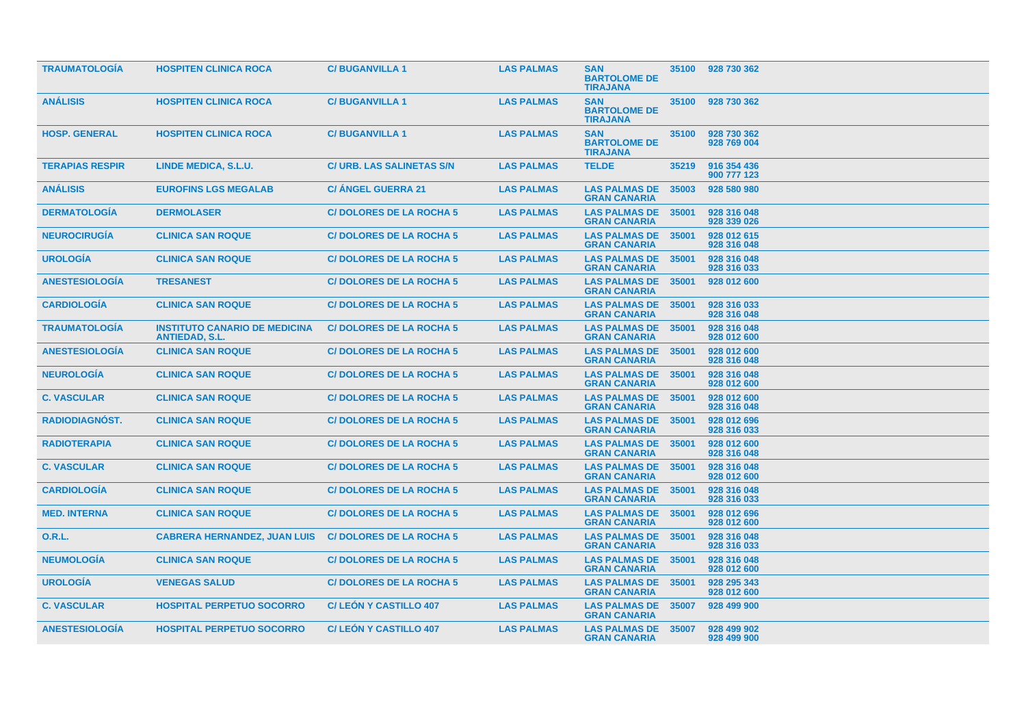| <b>TRAUMATOLOGIA</b>   | <b>HOSPITEN CLINICA ROCA</b>                                  | <b>C/BUGANVILLA1</b>             | <b>LAS PALMAS</b> | <b>SAN</b><br><b>BARTOLOME DE</b><br><b>TIRAJANA</b> | 35100 | 928 730 362                |
|------------------------|---------------------------------------------------------------|----------------------------------|-------------------|------------------------------------------------------|-------|----------------------------|
| <b>ANÁLISIS</b>        | <b>HOSPITEN CLINICA ROCA</b>                                  | <b>C/BUGANVILLA1</b>             | <b>LAS PALMAS</b> | <b>SAN</b><br><b>BARTOLOME DE</b><br><b>TIRAJANA</b> | 35100 | 928 730 362                |
| <b>HOSP. GENERAL</b>   | <b>HOSPITEN CLINICA ROCA</b>                                  | <b>C/BUGANVILLA1</b>             | <b>LAS PALMAS</b> | <b>SAN</b><br><b>BARTOLOME DE</b><br><b>TIRAJANA</b> | 35100 | 928 730 362<br>928 769 004 |
| <b>TERAPIAS RESPIR</b> | LINDE MEDICA, S.L.U.                                          | <b>C/ URB. LAS SALINETAS S/N</b> | <b>LAS PALMAS</b> | <b>TELDE</b>                                         | 35219 | 916 354 436<br>900 777 123 |
| <b>ANÁLISIS</b>        | <b>EUROFINS LGS MEGALAB</b>                                   | <b>C/ ANGEL GUERRA 21</b>        | <b>LAS PALMAS</b> | <b>LAS PALMAS DE</b><br><b>GRAN CANARIA</b>          | 35003 | 928 580 980                |
| <b>DERMATOLOGÍA</b>    | <b>DERMOLASER</b>                                             | <b>C/DOLORES DE LA ROCHA 5</b>   | <b>LAS PALMAS</b> | <b>LAS PALMAS DE</b><br><b>GRAN CANARIA</b>          | 35001 | 928 316 048<br>928 339 026 |
| <b>NEUROCIRUGIA</b>    | <b>CLINICA SAN ROQUE</b>                                      | <b>C/DOLORES DE LA ROCHA 5</b>   | <b>LAS PALMAS</b> | <b>LAS PALMAS DE</b><br><b>GRAN CANARIA</b>          | 35001 | 928 012 615<br>928 316 048 |
| <b>UROLOGÍA</b>        | <b>CLINICA SAN ROQUE</b>                                      | <b>C/DOLORES DE LA ROCHA 5</b>   | <b>LAS PALMAS</b> | <b>LAS PALMAS DE</b><br><b>GRAN CANARIA</b>          | 35001 | 928 316 048<br>928 316 033 |
| <b>ANESTESIOLOGIA</b>  | <b>TRESANEST</b>                                              | <b>C/DOLORES DE LA ROCHA 5</b>   | <b>LAS PALMAS</b> | <b>LAS PALMAS DE</b><br><b>GRAN CANARIA</b>          | 35001 | 928 012 600                |
| <b>CARDIOLOGÍA</b>     | <b>CLINICA SAN ROQUE</b>                                      | <b>C/DOLORES DE LA ROCHA 5</b>   | <b>LAS PALMAS</b> | <b>LAS PALMAS DE</b><br><b>GRAN CANARIA</b>          | 35001 | 928 316 033<br>928 316 048 |
| <b>TRAUMATOLOGIA</b>   | <b>INSTITUTO CANARIO DE MEDICINA</b><br><b>ANTIEDAD, S.L.</b> | <b>C/DOLORES DE LA ROCHA 5</b>   | <b>LAS PALMAS</b> | <b>LAS PALMAS DE</b><br><b>GRAN CANARIA</b>          | 35001 | 928 316 048<br>928 012 600 |
| <b>ANESTESIOLOGIA</b>  | <b>CLINICA SAN ROQUE</b>                                      | <b>C/DOLORES DE LA ROCHA 5</b>   | <b>LAS PALMAS</b> | <b>LAS PALMAS DE</b><br><b>GRAN CANARIA</b>          | 35001 | 928 012 600<br>928 316 048 |
| <b>NEUROLOGIA</b>      | <b>CLINICA SAN ROQUE</b>                                      | <b>C/DOLORES DE LA ROCHA 5</b>   | <b>LAS PALMAS</b> | <b>LAS PALMAS DE</b><br><b>GRAN CANARIA</b>          | 35001 | 928 316 048<br>928 012 600 |
| <b>C. VASCULAR</b>     | <b>CLINICA SAN ROQUE</b>                                      | <b>C/DOLORES DE LA ROCHA 5</b>   | <b>LAS PALMAS</b> | <b>LAS PALMAS DE</b><br><b>GRAN CANARIA</b>          | 35001 | 928 012 600<br>928 316 048 |
| RADIODIAGNÓST.         | <b>CLINICA SAN ROQUE</b>                                      | <b>C/DOLORES DE LA ROCHA 5</b>   | <b>LAS PALMAS</b> | <b>LAS PALMAS DE</b><br><b>GRAN CANARIA</b>          | 35001 | 928 012 696<br>928 316 033 |
| <b>RADIOTERAPIA</b>    | <b>CLINICA SAN ROQUE</b>                                      | <b>C/DOLORES DE LA ROCHA 5</b>   | <b>LAS PALMAS</b> | <b>LAS PALMAS DE</b><br><b>GRAN CANARIA</b>          | 35001 | 928 012 600<br>928 316 048 |
| <b>C. VASCULAR</b>     | <b>CLINICA SAN ROQUE</b>                                      | <b>C/DOLORES DE LA ROCHA 5</b>   | <b>LAS PALMAS</b> | <b>LAS PALMAS DE 35001</b><br><b>GRAN CANARIA</b>    |       | 928 316 048<br>928 012 600 |
| <b>CARDIOLOGIA</b>     | <b>CLINICA SAN ROQUE</b>                                      | <b>C/DOLORES DE LA ROCHA 5</b>   | <b>LAS PALMAS</b> | <b>LAS PALMAS DE</b><br><b>GRAN CANARIA</b>          | 35001 | 928 316 048<br>928 316 033 |
| <b>MED. INTERNA</b>    | <b>CLINICA SAN ROQUE</b>                                      | <b>C/DOLORES DE LA ROCHA 5</b>   | <b>LAS PALMAS</b> | <b>LAS PALMAS DE</b><br><b>GRAN CANARIA</b>          | 35001 | 928 012 696<br>928 012 600 |
| 0.R.L.                 | <b>CABRERA HERNANDEZ, JUAN LUIS</b>                           | <b>C/DOLORES DE LA ROCHA 5</b>   | <b>LAS PALMAS</b> | <b>LAS PALMAS DE</b><br><b>GRAN CANARIA</b>          | 35001 | 928 316 048<br>928 316 033 |
| <b>NEUMOLOGÍA</b>      | <b>CLINICA SAN ROQUE</b>                                      | <b>C/DOLORES DE LA ROCHA 5</b>   | <b>LAS PALMAS</b> | <b>LAS PALMAS DE</b><br><b>GRAN CANARIA</b>          | 35001 | 928 316 048<br>928 012 600 |
| <b>UROLOGIA</b>        | <b>VENEGAS SALUD</b>                                          | <b>C/DOLORES DE LA ROCHA 5</b>   | <b>LAS PALMAS</b> | <b>LAS PALMAS DE</b><br><b>GRAN CANARIA</b>          | 35001 | 928 295 343<br>928 012 600 |
| <b>C. VASCULAR</b>     | <b>HOSPITAL PERPETUO SOCORRO</b>                              | <b>C/LEON Y CASTILLO 407</b>     | <b>LAS PALMAS</b> | <b>LAS PALMAS DE</b><br><b>GRAN CANARIA</b>          | 35007 | 928 499 900                |
| <b>ANESTESIOLOGIA</b>  | <b>HOSPITAL PERPETUO SOCORRO</b>                              | <b>C/LEON Y CASTILLO 407</b>     | <b>LAS PALMAS</b> | <b>LAS PALMAS DE</b><br><b>GRAN CANARIA</b>          | 35007 | 928 499 902<br>928 499 900 |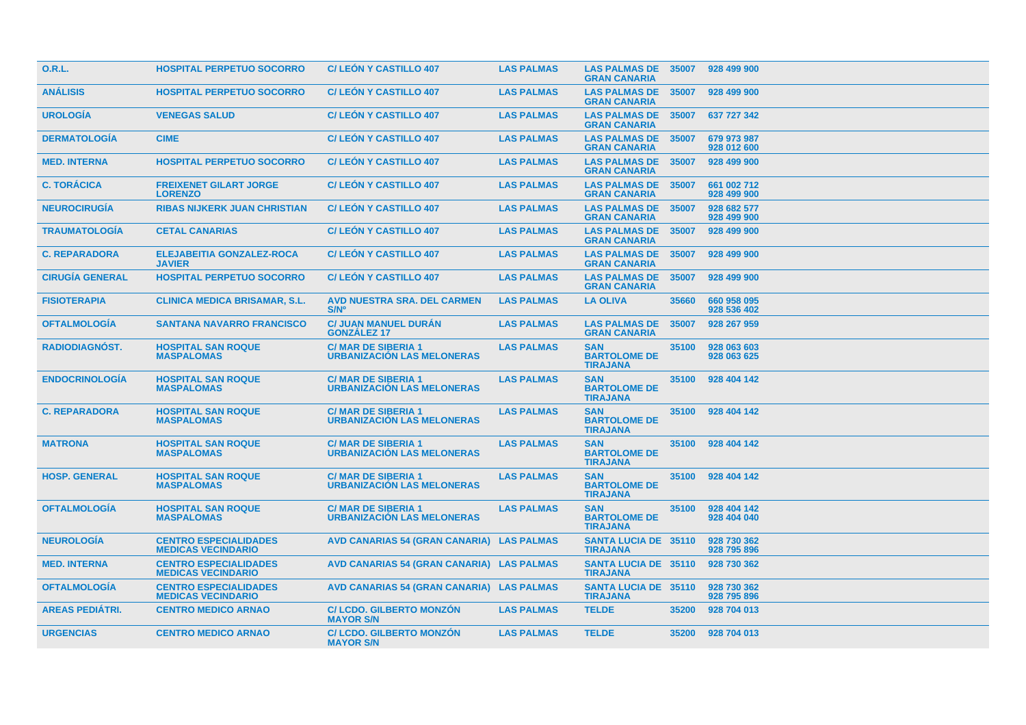| 0.R.L.                 | <b>HOSPITAL PERPETUO SOCORRO</b>                          | <b>C/LEON Y CASTILLO 407</b>                                   | <b>LAS PALMAS</b> | <b>LAS PALMAS DE</b><br><b>GRAN CANARIA</b>          | 35007 | 928 499 900                |
|------------------------|-----------------------------------------------------------|----------------------------------------------------------------|-------------------|------------------------------------------------------|-------|----------------------------|
| <b>ANÁLISIS</b>        | <b>HOSPITAL PERPETUO SOCORRO</b>                          | <b>C/LEON Y CASTILLO 407</b>                                   | <b>LAS PALMAS</b> | <b>LAS PALMAS DE</b><br><b>GRAN CANARIA</b>          | 35007 | 928 499 900                |
| <b>UROLOGÍA</b>        | <b>VENEGAS SALUD</b>                                      | <b>C/LEON Y CASTILLO 407</b>                                   | <b>LAS PALMAS</b> | <b>LAS PALMAS DE</b><br><b>GRAN CANARIA</b>          | 35007 | 637 727 342                |
| <b>DERMATOLOGIA</b>    | <b>CIME</b>                                               | <b>C/LEON Y CASTILLO 407</b>                                   | <b>LAS PALMAS</b> | <b>LAS PALMAS DE</b><br><b>GRAN CANARIA</b>          | 35007 | 679 973 987<br>928 012 600 |
| <b>MED. INTERNA</b>    | <b>HOSPITAL PERPETUO SOCORRO</b>                          | <b>C/LEON Y CASTILLO 407</b>                                   | <b>LAS PALMAS</b> | <b>LAS PALMAS DE</b><br><b>GRAN CANARIA</b>          | 35007 | 928 499 900                |
| <b>C. TORÁCICA</b>     | <b>FREIXENET GILART JORGE</b><br><b>LORENZO</b>           | <b>C/LEON Y CASTILLO 407</b>                                   | <b>LAS PALMAS</b> | <b>LAS PALMAS DE</b><br><b>GRAN CANARIA</b>          | 35007 | 661 002 712<br>928 499 900 |
| <b>NEUROCIRUGIA</b>    | <b>RIBAS NIJKERK JUAN CHRISTIAN</b>                       | <b>C/LEON Y CASTILLO 407</b>                                   | <b>LAS PALMAS</b> | <b>LAS PALMAS DE</b><br><b>GRAN CANARIA</b>          | 35007 | 928 682 577<br>928 499 900 |
| <b>TRAUMATOLOGIA</b>   | <b>CETAL CANARIAS</b>                                     | <b>C/LEON Y CASTILLO 407</b>                                   | <b>LAS PALMAS</b> | <b>LAS PALMAS DE</b><br><b>GRAN CANARIA</b>          | 35007 | 928 499 900                |
| <b>C. REPARADORA</b>   | <b>ELEJABEITIA GONZALEZ-ROCA</b><br><b>JAVIER</b>         | <b>C/LEON Y CASTILLO 407</b>                                   | <b>LAS PALMAS</b> | <b>LAS PALMAS DE</b><br><b>GRAN CANARIA</b>          | 35007 | 928 499 900                |
| <b>CIRUGIA GENERAL</b> | <b>HOSPITAL PERPETUO SOCORRO</b>                          | <b>C/LEON Y CASTILLO 407</b>                                   | <b>LAS PALMAS</b> | <b>LAS PALMAS DE</b><br><b>GRAN CANARIA</b>          | 35007 | 928 499 900                |
| <b>FISIOTERAPIA</b>    | <b>CLINICA MEDICA BRISAMAR, S.L.</b>                      | <b>AVD NUESTRA SRA. DEL CARMEN</b><br><b>S/N°</b>              | <b>LAS PALMAS</b> | <b>LA OLIVA</b>                                      | 35660 | 660 958 095<br>928 536 402 |
| <b>OFTALMOLOGIA</b>    | <b>SANTANA NAVARRO FRANCISCO</b>                          | <b>C/ JUAN MANUEL DURAN</b><br><b>GONZALEZ 17</b>              | <b>LAS PALMAS</b> | <b>LAS PALMAS DE</b><br><b>GRAN CANARIA</b>          | 35007 | 928 267 959                |
| <b>RADIODIAGNÓST.</b>  | <b>HOSPITAL SAN ROQUE</b><br><b>MASPALOMAS</b>            | <b>C/MAR DE SIBERIA 1</b><br><b>URBANIZACIÓN LAS MELONERAS</b> | <b>LAS PALMAS</b> | <b>SAN</b><br><b>BARTOLOME DE</b><br><b>TIRAJANA</b> | 35100 | 928 063 603<br>928 063 625 |
| <b>ENDOCRINOLOGIA</b>  | <b>HOSPITAL SAN ROQUE</b><br><b>MASPALOMAS</b>            | <b>C/MAR DE SIBERIA 1</b><br><b>URBANIZACIÓN LAS MELONERAS</b> | <b>LAS PALMAS</b> | <b>SAN</b><br><b>BARTOLOME DE</b><br><b>TIRAJANA</b> | 35100 | 928 404 142                |
| <b>C. REPARADORA</b>   | <b>HOSPITAL SAN ROQUE</b><br><b>MASPALOMAS</b>            | <b>C/MAR DE SIBERIA 1</b><br><b>URBANIZACIÓN LAS MELONERAS</b> | <b>LAS PALMAS</b> | <b>SAN</b><br><b>BARTOLOME DE</b><br><b>TIRAJANA</b> | 35100 | 928 404 142                |
| <b>MATRONA</b>         | <b>HOSPITAL SAN ROQUE</b><br><b>MASPALOMAS</b>            | <b>C/MAR DE SIBERIA 1</b><br><b>URBANIZACIÓN LAS MELONERAS</b> | <b>LAS PALMAS</b> | <b>SAN</b><br><b>BARTOLOME DE</b><br><b>TIRAJANA</b> | 35100 | 928 404 142                |
| <b>HOSP. GENERAL</b>   | <b>HOSPITAL SAN ROQUE</b><br><b>MASPALOMAS</b>            | <b>C/MAR DE SIBERIA 1</b><br><b>URBANIZACIÓN LAS MELONERAS</b> | <b>LAS PALMAS</b> | <b>SAN</b><br><b>BARTOLOME DE</b><br><b>TIRAJANA</b> | 35100 | 928 404 142                |
| <b>OFTALMOLOGIA</b>    | <b>HOSPITAL SAN ROQUE</b><br><b>MASPALOMAS</b>            | <b>C/MAR DE SIBERIA 1</b><br><b>URBANIZACIÓN LAS MELONERAS</b> | <b>LAS PALMAS</b> | <b>SAN</b><br><b>BARTOLOME DE</b><br><b>TIRAJANA</b> | 35100 | 928 404 142<br>928 404 040 |
| <b>NEUROLOGÍA</b>      | <b>CENTRO ESPECIALIDADES</b><br><b>MEDICAS VECINDARIO</b> | AVD CANARIAS 54 (GRAN CANARIA) LAS PALMAS                      |                   | <b>SANTA LUCIA DE 35110</b><br><b>TIRAJANA</b>       |       | 928 730 362<br>928 795 896 |
| <b>MED. INTERNA</b>    | <b>CENTRO ESPECIALIDADES</b><br><b>MEDICAS VECINDARIO</b> | AVD CANARIAS 54 (GRAN CANARIA) LAS PALMAS                      |                   | <b>SANTA LUCIA DE 35110</b><br><b>TIRAJANA</b>       |       | 928 730 362                |
| <b>OFTALMOLOGIA</b>    | <b>CENTRO ESPECIALIDADES</b><br><b>MEDICAS VECINDARIO</b> | AVD CANARIAS 54 (GRAN CANARIA) LAS PALMAS                      |                   | <b>SANTA LUCIA DE 35110</b><br><b>TIRAJANA</b>       |       | 928 730 362<br>928 795 896 |
| <b>AREAS PEDIATRI.</b> | <b>CENTRO MEDICO ARNAO</b>                                | <b>C/LCDO. GILBERTO MONZON</b><br><b>MAYOR S/N</b>             | <b>LAS PALMAS</b> | <b>TELDE</b>                                         | 35200 | 928 704 013                |
| <b>URGENCIAS</b>       | <b>CENTRO MEDICO ARNAO</b>                                | <b>C/LCDO. GILBERTO MONZÓN</b><br><b>MAYOR S/N</b>             | <b>LAS PALMAS</b> | <b>TELDE</b>                                         |       | 35200 928 704 013          |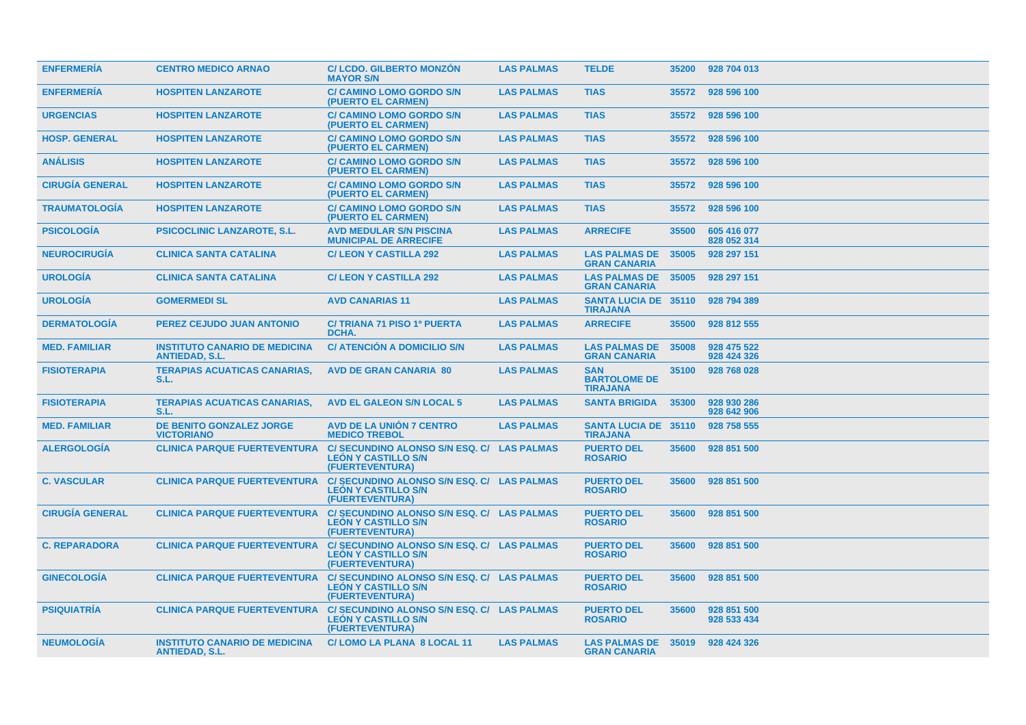| <b>ENFERMERIA</b>      | <b>CENTRO MEDICO ARNAO</b>                                    | <b>C/LCDO, GILBERTO MONZÓN</b><br><b>MAYOR S/N</b>                                          | <b>LAS PALMAS</b> | <b>TELDE</b>                                         | 35200 | 928 704 013                |
|------------------------|---------------------------------------------------------------|---------------------------------------------------------------------------------------------|-------------------|------------------------------------------------------|-------|----------------------------|
| <b>ENFERMERIA</b>      | <b>HOSPITEN LANZAROTE</b>                                     | <b>C/ CAMINO LOMO GORDO S/N</b><br>(PUERTO EL CARMEN)                                       | <b>LAS PALMAS</b> | <b>TIAS</b>                                          | 35572 | 928 596 100                |
| <b>URGENCIAS</b>       | <b>HOSPITEN LANZAROTE</b>                                     | <b>C/ CAMINO LOMO GORDO S/N</b><br>(PUERTO EL CARMEN)                                       | <b>LAS PALMAS</b> | <b>TIAS</b>                                          | 35572 | 928 596 100                |
| <b>HOSP. GENERAL</b>   | <b>HOSPITEN LANZAROTE</b>                                     | <b>C/ CAMINO LOMO GORDO S/N</b><br>(PUERTO EL CARMEN)                                       | <b>LAS PALMAS</b> | <b>TIAS</b>                                          | 35572 | 928 596 100                |
| <b>ANÁLISIS</b>        | <b>HOSPITEN LANZAROTE</b>                                     | <b>C/ CAMINO LOMO GORDO S/N</b><br>(PUERTO EL CARMEN)                                       | <b>LAS PALMAS</b> | <b>TIAS</b>                                          | 35572 | 928 596 100                |
| <b>CIRUGIA GENERAL</b> | <b>HOSPITEN LANZAROTE</b>                                     | <b>C/ CAMINO LOMO GORDO S/N</b><br>(PUERTO EL CARMEN)                                       | <b>LAS PALMAS</b> | <b>TIAS</b>                                          | 35572 | 928 596 100                |
| <b>TRAUMATOLOGÍA</b>   | <b>HOSPITEN LANZAROTE</b>                                     | <b>C/ CAMINO LOMO GORDO S/N</b><br>(PUERTO EL CARMEN)                                       | <b>LAS PALMAS</b> | <b>TIAS</b>                                          | 35572 | 928 596 100                |
| <b>PSICOLOGÍA</b>      | <b>PSICOCLINIC LANZAROTE, S.L.</b>                            | <b>AVD MEDULAR S/N PISCINA</b><br><b>MUNICIPAL DE ARRECIFE</b>                              | <b>LAS PALMAS</b> | <b>ARRECIFE</b>                                      | 35500 | 605 416 077<br>828 052 314 |
| <b>NEUROCIRUGÍA</b>    | <b>CLINICA SANTA CATALINA</b>                                 | <b>C/LEON Y CASTILLA 292</b>                                                                | <b>LAS PALMAS</b> | <b>LAS PALMAS DE</b><br><b>GRAN CANARIA</b>          | 35005 | 928 297 151                |
| <b>UROLOGIA</b>        | <b>CLINICA SANTA CATALINA</b>                                 | <b>C/LEON Y CASTILLA 292</b>                                                                | <b>LAS PALMAS</b> | <b>LAS PALMAS DE</b><br><b>GRAN CANARIA</b>          | 35005 | 928 297 151                |
| <b>UROLOGIA</b>        | <b>GOMERMEDI SL</b>                                           | <b>AVD CANARIAS 11</b>                                                                      | <b>LAS PALMAS</b> | <b>SANTA LUCIA DE 35110</b><br><b>TIRAJANA</b>       |       | 928 794 389                |
| <b>DERMATOLOGÍA</b>    | <b>PEREZ CEJUDO JUAN ANTONIO</b>                              | <b>C/ TRIANA 71 PISO 1º PUERTA</b><br>DCHA.                                                 | <b>LAS PALMAS</b> | <b>ARRECIFE</b>                                      | 35500 | 928 812 555                |
| <b>MED. FAMILIAR</b>   | <b>INSTITUTO CANARIO DE MEDICINA</b><br><b>ANTIEDAD, S.L.</b> | <b>C/ ATENCIÓN A DOMICILIO S/N</b>                                                          | <b>LAS PALMAS</b> | <b>LAS PALMAS DE</b><br><b>GRAN CANARIA</b>          | 35008 | 928 475 522<br>928 424 326 |
| <b>FISIOTERAPIA</b>    | <b>TERAPIAS ACUATICAS CANARIAS,</b><br>S.L.                   | <b>AVD DE GRAN CANARIA 80</b>                                                               | <b>LAS PALMAS</b> | <b>SAN</b><br><b>BARTOLOME DE</b><br><b>TIRAJANA</b> | 35100 | 928 768 028                |
| <b>FISIOTERAPIA</b>    | <b>TERAPIAS ACUATICAS CANARIAS,</b><br>S.L.                   | <b>AVD EL GALEON S/N LOCAL 5</b>                                                            | <b>LAS PALMAS</b> | <b>SANTA BRIGIDA</b>                                 | 35300 | 928 930 286<br>928 642 906 |
| <b>MED. FAMILIAR</b>   | <b>DE BENITO GONZALEZ JORGE</b><br><b>VICTORIANO</b>          | <b>AVD DE LA UNION 7 CENTRO</b><br><b>MEDICO TREBOL</b>                                     | <b>LAS PALMAS</b> | <b>SANTA LUCIA DE 35110</b><br><b>TIRAJANA</b>       |       | 928 758 555                |
| <b>ALERGOLOGIA</b>     | <b>CLINICA PARQUE FUERTEVENTURA</b>                           | C/SECUNDINO ALONSO S/N ESQ. C/ LAS PALMAS<br><b>LEÓN Y CASTILLO S/N</b><br>(FUERTEVENTURA)  |                   | <b>PUERTO DEL</b><br><b>ROSARIO</b>                  | 35600 | 928 851 500                |
| <b>C. VASCULAR</b>     | <b>CLINICA PARQUE FUERTEVENTURA</b>                           | C/SECUNDINO ALONSO S/N ESQ. C/ LAS PALMAS<br><b>LEÓN Y CASTILLO S/N</b><br>(FUERTEVENTURA)  |                   | <b>PUERTO DEL</b><br><b>ROSARIO</b>                  | 35600 | 928 851 500                |
| <b>CIRUGÍA GENERAL</b> | <b>CLINICA PARQUE FUERTEVENTURA</b>                           | C/ SECUNDINO ALONSO S/N ESQ. C/ LAS PALMAS<br><b>LEÓN Y CASTILLO S/N</b><br>(FUERTEVENTURA) |                   | <b>PUERTO DEL</b><br><b>ROSARIO</b>                  | 35600 | 928 851 500                |
| <b>C. REPARADORA</b>   | <b>CLINICA PARQUE FUERTEVENTURA</b>                           | C/SECUNDINO ALONSO S/N ESQ. C/ LAS PALMAS<br><b>LEÓN Y CASTILLO S/N</b><br>(FUERTEVENTURA)  |                   | <b>PUERTO DEL</b><br><b>ROSARIO</b>                  | 35600 | 928 851 500                |
| <b>GINECOLOGÍA</b>     | <b>CLINICA PARQUE FUERTEVENTURA</b>                           | C/ SECUNDINO ALONSO S/N ESQ. C/ LAS PALMAS<br><b>LEÓN Y CASTILLO S/N</b><br>(FUERTEVENTURA) |                   | <b>PUERTO DEL</b><br><b>ROSARIO</b>                  | 35600 | 928 851 500                |
| <b>PSIQUIATRÍA</b>     | <b>CLINICA PARQUE FUERTEVENTURA</b>                           | C/ SECUNDINO ALONSO S/N ESQ. C/ LAS PALMAS<br><b>LEÓN Y CASTILLO S/N</b><br>(FUERTEVENTURA) |                   | <b>PUERTO DEL</b><br><b>ROSARIO</b>                  | 35600 | 928 851 500<br>928 533 434 |
| <b>NEUMOLOGÍA</b>      | <b>INSTITUTO CANARIO DE MEDICINA</b><br><b>ANTIEDAD, S.L.</b> | C/LOMO LA PLANA 8 LOCAL 11                                                                  | <b>LAS PALMAS</b> | LAS PALMAS DE 35019<br><b>GRAN CANARIA</b>           |       | 928 424 326                |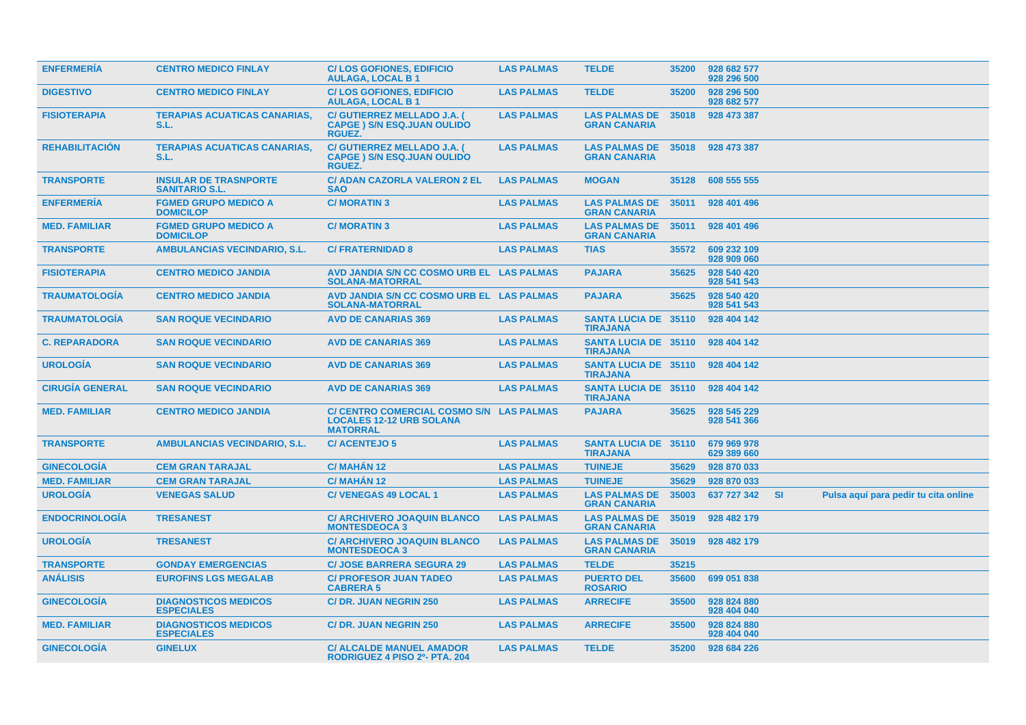| <b>ENFERMERIA</b>      | <b>CENTRO MEDICO FINLAY</b>                           | <b>C/LOS GOFIONES, EDIFICIO</b><br><b>AULAGA, LOCAL B1</b>                                 | <b>LAS PALMAS</b> | <b>TELDE</b>                                   | 35200 | 928 682 577<br>928 296 500 |           |                                      |
|------------------------|-------------------------------------------------------|--------------------------------------------------------------------------------------------|-------------------|------------------------------------------------|-------|----------------------------|-----------|--------------------------------------|
| <b>DIGESTIVO</b>       | <b>CENTRO MEDICO FINLAY</b>                           | <b>C/LOS GOFIONES, EDIFICIO</b><br><b>AULAGA, LOCAL B1</b>                                 | <b>LAS PALMAS</b> | <b>TELDE</b>                                   | 35200 | 928 296 500<br>928 682 577 |           |                                      |
| <b>FISIOTERAPIA</b>    | <b>TERAPIAS ACUATICAS CANARIAS,</b><br>S.L.           | C/ GUTIERREZ MELLADO J.A. (<br><b>CAPGE ) S/N ESQ.JUAN OULIDO</b><br><b>RGUEZ.</b>         | <b>LAS PALMAS</b> | <b>LAS PALMAS DE</b><br><b>GRAN CANARIA</b>    | 35018 | 928 473 387                |           |                                      |
| <b>REHABILITACION</b>  | <b>TERAPIAS ACUATICAS CANARIAS,</b><br>S.L.           | C/ GUTIERREZ MELLADO J.A. (<br><b>CAPGE ) S/N ESQ.JUAN OULIDO</b><br><b>RGUEZ.</b>         | <b>LAS PALMAS</b> | <b>LAS PALMAS DE</b><br><b>GRAN CANARIA</b>    | 35018 | 928 473 387                |           |                                      |
| <b>TRANSPORTE</b>      | <b>INSULAR DE TRASNPORTE</b><br><b>SANITARIO S.L.</b> | <b>C/ ADAN CAZORLA VALERON 2 EL</b><br><b>SAO</b>                                          | <b>LAS PALMAS</b> | <b>MOGAN</b>                                   | 35128 | 608 555 555                |           |                                      |
| <b>ENFERMERIA</b>      | <b>FGMED GRUPO MEDICO A</b><br><b>DOMICILOP</b>       | <b>C/MORATIN3</b>                                                                          | <b>LAS PALMAS</b> | <b>LAS PALMAS DE</b><br><b>GRAN CANARIA</b>    | 35011 | 928 401 496                |           |                                      |
| <b>MED. FAMILIAR</b>   | <b>FGMED GRUPO MEDICO A</b><br><b>DOMICILOP</b>       | <b>C/ MORATIN 3</b>                                                                        | <b>LAS PALMAS</b> | <b>LAS PALMAS DE</b><br><b>GRAN CANARIA</b>    | 35011 | 928 401 496                |           |                                      |
| <b>TRANSPORTE</b>      | <b>AMBULANCIAS VECINDARIO, S.L.</b>                   | <b>C/ FRATERNIDAD 8</b>                                                                    | <b>LAS PALMAS</b> | <b>TIAS</b>                                    | 35572 | 609 232 109<br>928 909 060 |           |                                      |
| <b>FISIOTERAPIA</b>    | <b>CENTRO MEDICO JANDIA</b>                           | AVD JANDIA S/N CC COSMO URB EL LAS PALMAS<br><b>SOLANA-MATORRAL</b>                        |                   | <b>PAJARA</b>                                  | 35625 | 928 540 420<br>928 541 543 |           |                                      |
| <b>TRAUMATOLOGIA</b>   | <b>CENTRO MEDICO JANDIA</b>                           | AVD JANDIA S/N CC COSMO URB EL LAS PALMAS<br><b>SOLANA-MATORRAL</b>                        |                   | <b>PAJARA</b>                                  | 35625 | 928 540 420<br>928 541 543 |           |                                      |
| <b>TRAUMATOLOGIA</b>   | <b>SAN ROQUE VECINDARIO</b>                           | <b>AVD DE CANARIAS 369</b>                                                                 | <b>LAS PALMAS</b> | <b>SANTA LUCIA DE 35110</b><br><b>TIRAJANA</b> |       | 928 404 142                |           |                                      |
| <b>C. REPARADORA</b>   | <b>SAN ROQUE VECINDARIO</b>                           | <b>AVD DE CANARIAS 369</b>                                                                 | <b>LAS PALMAS</b> | <b>SANTA LUCIA DE 35110</b><br><b>TIRAJANA</b> |       | 928 404 142                |           |                                      |
| <b>UROLOGÍA</b>        | <b>SAN ROQUE VECINDARIO</b>                           | <b>AVD DE CANARIAS 369</b>                                                                 | <b>LAS PALMAS</b> | <b>SANTA LUCIA DE 35110</b><br><b>TIRAJANA</b> |       | 928 404 142                |           |                                      |
| <b>CIRUGÍA GENERAL</b> | <b>SAN ROQUE VECINDARIO</b>                           | <b>AVD DE CANARIAS 369</b>                                                                 | <b>LAS PALMAS</b> | <b>SANTA LUCIA DE 35110</b><br><b>TIRAJANA</b> |       | 928 404 142                |           |                                      |
| <b>MED. FAMILIAR</b>   | <b>CENTRO MEDICO JANDIA</b>                           | <b>C/ CENTRO COMERCIAL COSMO S/N</b><br><b>LOCALES 12-12 URB SOLANA</b><br><b>MATORRAL</b> | <b>LAS PALMAS</b> | <b>PAJARA</b>                                  | 35625 | 928 545 229<br>928 541 366 |           |                                      |
| <b>TRANSPORTE</b>      | <b>AMBULANCIAS VECINDARIO, S.L.</b>                   | <b>C/ACENTEJO 5</b>                                                                        | <b>LAS PALMAS</b> | <b>SANTA LUCIA DE 35110</b><br><b>TIRAJANA</b> |       | 679 969 978<br>629 389 660 |           |                                      |
| <b>GINECOLOGÍA</b>     | <b>CEM GRAN TARAJAL</b>                               | C/MAHAN <sub>12</sub>                                                                      | <b>LAS PALMAS</b> | <b>TUINEJE</b>                                 | 35629 | 928 870 033                |           |                                      |
| <b>MED. FAMILIAR</b>   | <b>CEM GRAN TARAJAL</b>                               | C/MAHÁN 12                                                                                 | <b>LAS PALMAS</b> | <b>TUINEJE</b>                                 | 35629 | 928 870 033                |           |                                      |
| <b>UROLOGIA</b>        | <b>VENEGAS SALUD</b>                                  | <b>C/VENEGAS 49 LOCAL 1</b>                                                                | <b>LAS PALMAS</b> | <b>LAS PALMAS DE</b><br><b>GRAN CANARIA</b>    | 35003 | 637 727 342                | <b>SI</b> | Pulsa aquí para pedir tu cita online |
| <b>ENDOCRINOLOGÍA</b>  | <b>TRESANEST</b>                                      | <b>C/ ARCHIVERO JOAQUIN BLANCO</b><br><b>MONTESDEOCA 3</b>                                 | <b>LAS PALMAS</b> | <b>LAS PALMAS DE</b><br><b>GRAN CANARIA</b>    | 35019 | 928 482 179                |           |                                      |
| <b>UROLOGÍA</b>        | <b>TRESANEST</b>                                      | <b>C/ ARCHIVERO JOAQUIN BLANCO</b><br><b>MONTESDEOCA 3</b>                                 | <b>LAS PALMAS</b> | <b>LAS PALMAS DE</b><br><b>GRAN CANARIA</b>    | 35019 | 928 482 179                |           |                                      |
| <b>TRANSPORTE</b>      | <b>GONDAY EMERGENCIAS</b>                             | <b>C/ JOSE BARRERA SEGURA 29</b>                                                           | <b>LAS PALMAS</b> | <b>TELDE</b>                                   | 35215 |                            |           |                                      |
| <b>ANÁLISIS</b>        | <b>EUROFINS LGS MEGALAB</b>                           | <b>C/ PROFESOR JUAN TADEO</b><br><b>CABRERA 5</b>                                          | <b>LAS PALMAS</b> | <b>PUERTO DEL</b><br><b>ROSARIO</b>            | 35600 | 699 051 838                |           |                                      |
| <b>GINECOLOGÍA</b>     | <b>DIAGNOSTICOS MEDICOS</b><br><b>ESPECIALES</b>      | <b>C/DR. JUAN NEGRIN 250</b>                                                               | <b>LAS PALMAS</b> | <b>ARRECIFE</b>                                | 35500 | 928 824 880<br>928 404 040 |           |                                      |
| <b>MED. FAMILIAR</b>   | <b>DIAGNOSTICOS MEDICOS</b><br><b>ESPECIALES</b>      | <b>C/DR. JUAN NEGRIN 250</b>                                                               | <b>LAS PALMAS</b> | <b>ARRECIFE</b>                                | 35500 | 928 824 880<br>928 404 040 |           |                                      |
| <b>GINECOLOGIA</b>     | <b>GINELUX</b>                                        | <b>C/ ALCALDE MANUEL AMADOR</b><br>RODRIGUEZ 4 PISO 2º- PTA, 204                           | <b>LAS PALMAS</b> | <b>TELDE</b>                                   | 35200 | 928 684 226                |           |                                      |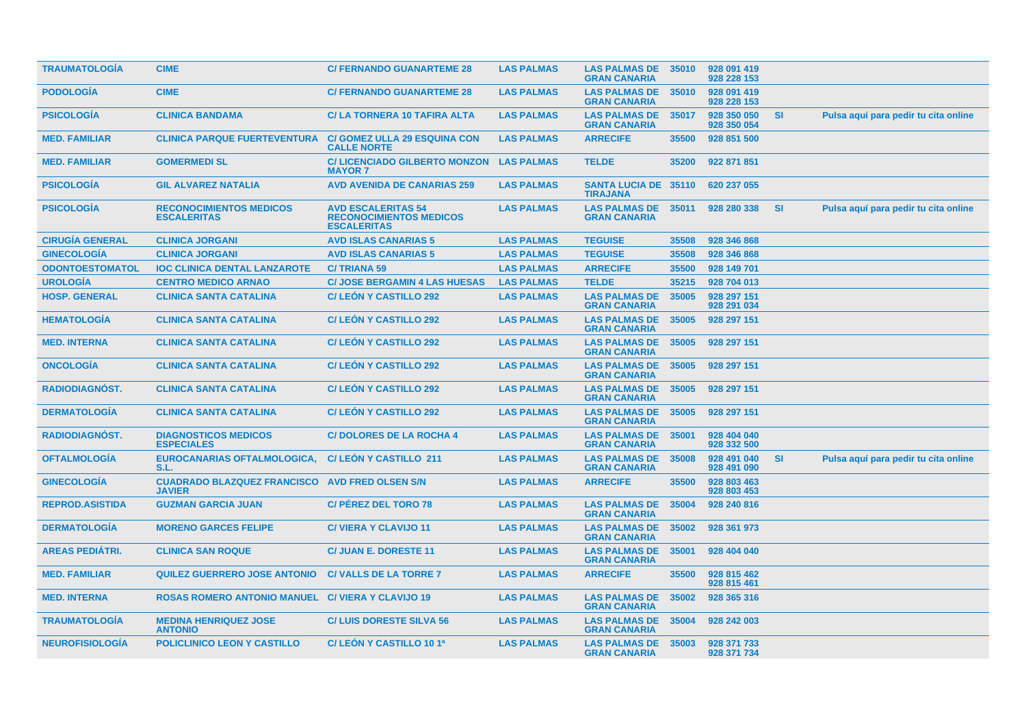| <b>TRAUMATOLOGIA</b>   | <b>CIME</b>                                              | <b>C/ FERNANDO GUANARTEME 28</b>                                                  | <b>LAS PALMAS</b> | <b>LAS PALMAS DE</b><br><b>GRAN CANARIA</b>    | 35010 | 928 091 419<br>928 228 153 |           |                                      |
|------------------------|----------------------------------------------------------|-----------------------------------------------------------------------------------|-------------------|------------------------------------------------|-------|----------------------------|-----------|--------------------------------------|
| <b>PODOLOGIA</b>       | <b>CIME</b>                                              | <b>C/ FERNANDO GUANARTEME 28</b>                                                  | <b>LAS PALMAS</b> | <b>LAS PALMAS DE</b><br><b>GRAN CANARIA</b>    | 35010 | 928 091 419<br>928 228 153 |           |                                      |
| <b>PSICOLOGÍA</b>      | <b>CLINICA BANDAMA</b>                                   | C/ LA TORNERA 10 TAFIRA ALTA                                                      | <b>LAS PALMAS</b> | <b>LAS PALMAS DE</b><br><b>GRAN CANARIA</b>    | 35017 | 928 350 050<br>928 350 054 | <b>SI</b> | Pulsa aquí para pedir tu cita online |
| <b>MED. FAMILIAR</b>   | <b>CLINICA PARQUE FUERTEVENTURA</b>                      | <b>C/ GOMEZ ULLA 29 ESQUINA CON</b><br><b>CALLE NORTE</b>                         | <b>LAS PALMAS</b> | <b>ARRECIFE</b>                                | 35500 | 928 851 500                |           |                                      |
| <b>MED. FAMILIAR</b>   | <b>GOMERMEDI SL</b>                                      | C/LICENCIADO GILBERTO MONZON LAS PALMAS<br><b>MAYOR 7</b>                         |                   | <b>TELDE</b>                                   | 35200 | 922 871 851                |           |                                      |
| <b>PSICOLOGIA</b>      | <b>GIL ALVAREZ NATALIA</b>                               | <b>AVD AVENIDA DE CANARIAS 259</b>                                                | <b>LAS PALMAS</b> | <b>SANTA LUCIA DE 35110</b><br><b>TIRAJANA</b> |       | 620 237 055                |           |                                      |
| <b>PSICOLOGIA</b>      | <b>RECONOCIMIENTOS MEDICOS</b><br><b>ESCALERITAS</b>     | <b>AVD ESCALERITAS 54</b><br><b>RECONOCIMIENTOS MEDICOS</b><br><b>ESCALERITAS</b> | <b>LAS PALMAS</b> | <b>LAS PALMAS DE</b><br><b>GRAN CANARIA</b>    | 35011 | 928 280 338                | <b>SI</b> | Pulsa aquí para pedir tu cita online |
| <b>CIRUGÍA GENERAL</b> | <b>CLINICA JORGANI</b>                                   | <b>AVD ISLAS CANARIAS 5</b>                                                       | <b>LAS PALMAS</b> | <b>TEGUISE</b>                                 | 35508 | 928 346 868                |           |                                      |
| <b>GINECOLOGÍA</b>     | <b>CLINICA JORGANI</b>                                   | <b>AVD ISLAS CANARIAS 5</b>                                                       | <b>LAS PALMAS</b> | <b>TEGUISE</b>                                 | 35508 | 928 346 868                |           |                                      |
| <b>ODONTOESTOMATOL</b> | <b>IOC CLINICA DENTAL LANZAROTE</b>                      | <b>C/TRIANA 59</b>                                                                | <b>LAS PALMAS</b> | <b>ARRECIFE</b>                                | 35500 | 928 149 701                |           |                                      |
| <b>UROLOGÍA</b>        | <b>CENTRO MEDICO ARNAO</b>                               | <b>C/ JOSE BERGAMIN 4 LAS HUESAS</b>                                              | <b>LAS PALMAS</b> | <b>TELDE</b>                                   | 35215 | 928 704 013                |           |                                      |
| <b>HOSP. GENERAL</b>   | <b>CLINICA SANTA CATALINA</b>                            | <b>C/LEON Y CASTILLO 292</b>                                                      | <b>LAS PALMAS</b> | <b>LAS PALMAS DE</b><br><b>GRAN CANARIA</b>    | 35005 | 928 297 151<br>928 291 034 |           |                                      |
| <b>HEMATOLOGÍA</b>     | <b>CLINICA SANTA CATALINA</b>                            | <b>C/LEON Y CASTILLO 292</b>                                                      | <b>LAS PALMAS</b> | <b>LAS PALMAS DE</b><br><b>GRAN CANARIA</b>    | 35005 | 928 297 151                |           |                                      |
| <b>MED. INTERNA</b>    | <b>CLINICA SANTA CATALINA</b>                            | <b>C/LEON Y CASTILLO 292</b>                                                      | <b>LAS PALMAS</b> | <b>LAS PALMAS DE</b><br><b>GRAN CANARIA</b>    | 35005 | 928 297 151                |           |                                      |
| <b>ONCOLOGIA</b>       | <b>CLINICA SANTA CATALINA</b>                            | <b>C/LEON Y CASTILLO 292</b>                                                      | <b>LAS PALMAS</b> | <b>LAS PALMAS DE</b><br><b>GRAN CANARIA</b>    | 35005 | 928 297 151                |           |                                      |
| <b>RADIODIAGNOST.</b>  | <b>CLINICA SANTA CATALINA</b>                            | <b>C/LEON Y CASTILLO 292</b>                                                      | <b>LAS PALMAS</b> | <b>LAS PALMAS DE</b><br><b>GRAN CANARIA</b>    | 35005 | 928 297 151                |           |                                      |
| <b>DERMATOLOGIA</b>    | <b>CLINICA SANTA CATALINA</b>                            | <b>C/LEON Y CASTILLO 292</b>                                                      | <b>LAS PALMAS</b> | <b>LAS PALMAS DE</b><br><b>GRAN CANARIA</b>    | 35005 | 928 297 151                |           |                                      |
| <b>RADIODIAGNOST.</b>  | <b>DIAGNOSTICOS MEDICOS</b><br><b>ESPECIALES</b>         | <b>C/DOLORES DE LA ROCHA 4</b>                                                    | <b>LAS PALMAS</b> | <b>LAS PALMAS DE</b><br><b>GRAN CANARIA</b>    | 35001 | 928 404 040<br>928 332 500 |           |                                      |
| <b>OFTALMOLOGIA</b>    | <b>EUROCANARIAS OFTALMOLOGICA,</b><br>S.L.               | <b>C/LEÓN Y CASTILLO 211</b>                                                      | <b>LAS PALMAS</b> | <b>LAS PALMAS DE</b><br><b>GRAN CANARIA</b>    | 35008 | 928 491 040<br>928 491 090 | <b>SI</b> | Pulsa aquí para pedir tu cita online |
| <b>GINECOLOGÍA</b>     | <b>CUADRADO BLAZQUEZ FRANCISCO</b><br><b>JAVIER</b>      | <b>AVD FRED OLSEN S/N</b>                                                         | <b>LAS PALMAS</b> | <b>ARRECIFE</b>                                | 35500 | 928 803 463<br>928 803 453 |           |                                      |
| <b>REPROD.ASISTIDA</b> | <b>GUZMAN GARCIA JUAN</b>                                | <b>C/ PÉREZ DEL TORO 78</b>                                                       | <b>LAS PALMAS</b> | <b>LAS PALMAS DE</b><br><b>GRAN CANARIA</b>    | 35004 | 928 240 816                |           |                                      |
| <b>DERMATOLOGIA</b>    | <b>MORENO GARCES FELIPE</b>                              | <b>C/VIERA Y CLAVIJO 11</b>                                                       | <b>LAS PALMAS</b> | <b>LAS PALMAS DE</b><br><b>GRAN CANARIA</b>    | 35002 | 928 361 973                |           |                                      |
| <b>AREAS PEDIÁTRI.</b> | <b>CLINICA SAN ROQUE</b>                                 | <b>C/ JUAN E. DORESTE 11</b>                                                      | <b>LAS PALMAS</b> | <b>LAS PALMAS DE</b><br><b>GRAN CANARIA</b>    | 35001 | 928 404 040                |           |                                      |
| <b>MED. FAMILIAR</b>   | <b>QUILEZ GUERRERO JOSE ANTONIO</b>                      | <b>C/VALLS DE LA TORRE 7</b>                                                      | <b>LAS PALMAS</b> | <b>ARRECIFE</b>                                | 35500 | 928 815 462<br>928 815 461 |           |                                      |
| <b>MED. INTERNA</b>    | <b>ROSAS ROMERO ANTONIO MANUEL C/ VIERA Y CLAVIJO 19</b> |                                                                                   | <b>LAS PALMAS</b> | <b>LAS PALMAS DE</b><br><b>GRAN CANARIA</b>    | 35002 | 928 365 316                |           |                                      |
| <b>TRAUMATOLOGIA</b>   | <b>MEDINA HENRIQUEZ JOSE</b><br><b>ANTONIO</b>           | <b>C/LUIS DORESTE SILVA 56</b>                                                    | <b>LAS PALMAS</b> | <b>LAS PALMAS DE</b><br><b>GRAN CANARIA</b>    | 35004 | 928 242 003                |           |                                      |
| <b>NEUROFISIOLOGIA</b> | <b>POLICLINICO LEON Y CASTILLO</b>                       | C/ LEÓN Y CASTILLO 10 1ª                                                          | <b>LAS PALMAS</b> | <b>LAS PALMAS DE</b><br><b>GRAN CANARIA</b>    | 35003 | 928 371 733<br>928 371 734 |           |                                      |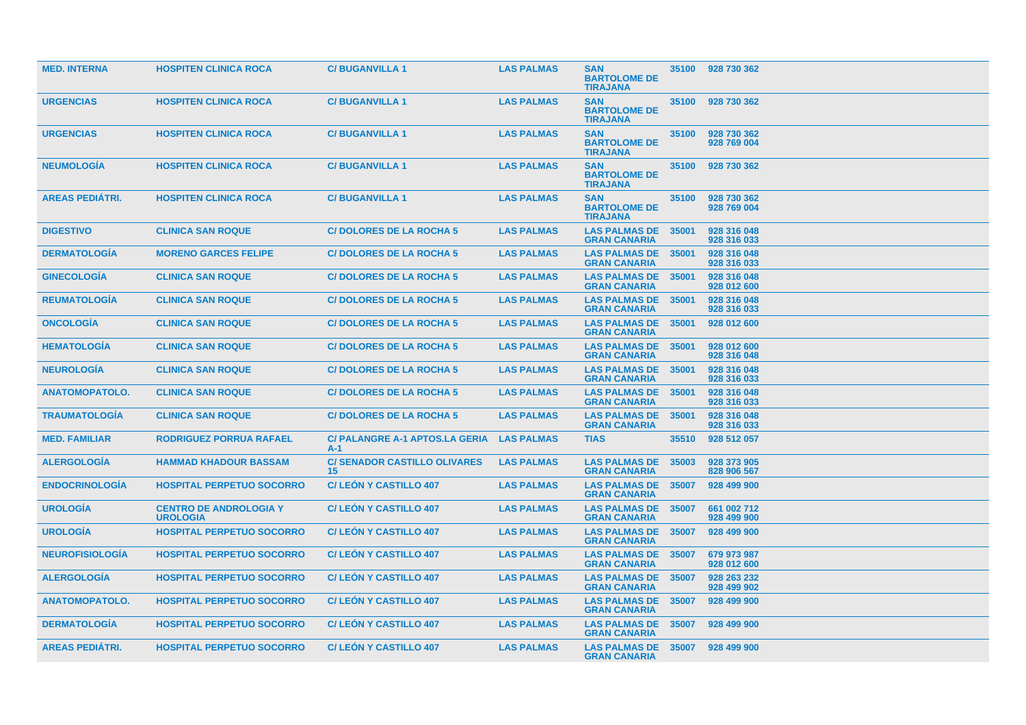| <b>MED. INTERNA</b>    | <b>HOSPITEN CLINICA ROCA</b>                     | <b>C/BUGANVILLA1</b>                               | <b>LAS PALMAS</b> | <b>SAN</b><br><b>BARTOLOME DE</b><br><b>TIRAJANA</b> | 35100 | 928 730 362                |
|------------------------|--------------------------------------------------|----------------------------------------------------|-------------------|------------------------------------------------------|-------|----------------------------|
| <b>URGENCIAS</b>       | <b>HOSPITEN CLINICA ROCA</b>                     | <b>C/BUGANVILLA1</b>                               | <b>LAS PALMAS</b> | <b>SAN</b><br><b>BARTOLOME DE</b><br><b>TIRAJANA</b> | 35100 | 928 730 362                |
| <b>URGENCIAS</b>       | <b>HOSPITEN CLINICA ROCA</b>                     | <b>C/BUGANVILLA1</b>                               | <b>LAS PALMAS</b> | <b>SAN</b><br><b>BARTOLOME DE</b><br><b>TIRAJANA</b> | 35100 | 928 730 362<br>928 769 004 |
| <b>NEUMOLOGIA</b>      | <b>HOSPITEN CLINICA ROCA</b>                     | <b>C/BUGANVILLA1</b>                               | <b>LAS PALMAS</b> | <b>SAN</b><br><b>BARTOLOME DE</b><br><b>TIRAJANA</b> | 35100 | 928 730 362                |
| <b>AREAS PEDIÁTRI.</b> | <b>HOSPITEN CLINICA ROCA</b>                     | <b>C/BUGANVILLA1</b>                               | <b>LAS PALMAS</b> | <b>SAN</b><br><b>BARTOLOME DE</b><br><b>TIRAJANA</b> | 35100 | 928 730 362<br>928 769 004 |
| <b>DIGESTIVO</b>       | <b>CLINICA SAN ROQUE</b>                         | <b>C/DOLORES DE LA ROCHA 5</b>                     | <b>LAS PALMAS</b> | <b>LAS PALMAS DE 35001</b><br><b>GRAN CANARIA</b>    |       | 928 316 048<br>928 316 033 |
| <b>DERMATOLOGIA</b>    | <b>MORENO GARCES FELIPE</b>                      | <b>C/DOLORES DE LA ROCHA 5</b>                     | <b>LAS PALMAS</b> | <b>LAS PALMAS DE 35001</b><br><b>GRAN CANARIA</b>    |       | 928 316 048<br>928 316 033 |
| <b>GINECOLOGÍA</b>     | <b>CLINICA SAN ROQUE</b>                         | <b>C/DOLORES DE LA ROCHA 5</b>                     | <b>LAS PALMAS</b> | <b>LAS PALMAS DE</b><br><b>GRAN CANARIA</b>          | 35001 | 928 316 048<br>928 012 600 |
| <b>REUMATOLOGIA</b>    | <b>CLINICA SAN ROQUE</b>                         | <b>C/DOLORES DE LA ROCHA 5</b>                     | <b>LAS PALMAS</b> | <b>LAS PALMAS DE</b><br><b>GRAN CANARIA</b>          | 35001 | 928 316 048<br>928 316 033 |
| <b>ONCOLOGÍA</b>       | <b>CLINICA SAN ROQUE</b>                         | <b>C/DOLORES DE LA ROCHA 5</b>                     | <b>LAS PALMAS</b> | <b>LAS PALMAS DE</b><br><b>GRAN CANARIA</b>          | 35001 | 928 012 600                |
| <b>HEMATOLOGIA</b>     | <b>CLINICA SAN ROQUE</b>                         | <b>C/DOLORES DE LA ROCHA 5</b>                     | <b>LAS PALMAS</b> | <b>LAS PALMAS DE</b><br><b>GRAN CANARIA</b>          | 35001 | 928 012 600<br>928 316 048 |
| <b>NEUROLOGIA</b>      | <b>CLINICA SAN ROQUE</b>                         | <b>C/DOLORES DE LA ROCHA 5</b>                     | <b>LAS PALMAS</b> | <b>LAS PALMAS DE</b><br><b>GRAN CANARIA</b>          | 35001 | 928 316 048<br>928 316 033 |
| <b>ANATOMOPATOLO.</b>  | <b>CLINICA SAN ROQUE</b>                         | <b>C/DOLORES DE LA ROCHA 5</b>                     | <b>LAS PALMAS</b> | <b>LAS PALMAS DE</b><br><b>GRAN CANARIA</b>          | 35001 | 928 316 048<br>928 316 033 |
| <b>TRAUMATOLOGÍA</b>   | <b>CLINICA SAN ROQUE</b>                         | <b>C/DOLORES DE LA ROCHA 5</b>                     | <b>LAS PALMAS</b> | <b>LAS PALMAS DE</b><br><b>GRAN CANARIA</b>          | 35001 | 928 316 048<br>928 316 033 |
| <b>MED. FAMILIAR</b>   | <b>RODRIGUEZ PORRUA RAFAEL</b>                   | C/ PALANGRE A-1 APTOS.LA GERIA LAS PALMAS<br>$A-1$ |                   | <b>TIAS</b>                                          | 35510 | 928 512 057                |
| <b>ALERGOLOGIA</b>     | <b>HAMMAD KHADOUR BASSAM</b>                     | <b>C/ SENADOR CASTILLO OLIVARES</b><br>15          | <b>LAS PALMAS</b> | <b>LAS PALMAS DE</b><br><b>GRAN CANARIA</b>          | 35003 | 928 373 905<br>828 906 567 |
| <b>ENDOCRINOLOGIA</b>  | <b>HOSPITAL PERPETUO SOCORRO</b>                 | <b>C/LEON Y CASTILLO 407</b>                       | <b>LAS PALMAS</b> | <b>LAS PALMAS DE</b><br><b>GRAN CANARIA</b>          | 35007 | 928 499 900                |
| <b>UROLOGÍA</b>        | <b>CENTRO DE ANDROLOGIA Y</b><br><b>UROLOGIA</b> | <b>C/LEON Y CASTILLO 407</b>                       | <b>LAS PALMAS</b> | <b>LAS PALMAS DE</b><br><b>GRAN CANARIA</b>          | 35007 | 661 002 712<br>928 499 900 |
| <b>UROLOGÍA</b>        | <b>HOSPITAL PERPETUO SOCORRO</b>                 | <b>C/LEON Y CASTILLO 407</b>                       | <b>LAS PALMAS</b> | <b>LAS PALMAS DE</b><br><b>GRAN CANARIA</b>          | 35007 | 928 499 900                |
| <b>NEUROFISIOLOGÍA</b> | <b>HOSPITAL PERPETUO SOCORRO</b>                 | <b>C/LEON Y CASTILLO 407</b>                       | <b>LAS PALMAS</b> | <b>LAS PALMAS DE</b><br><b>GRAN CANARIA</b>          | 35007 | 679 973 987<br>928 012 600 |
| <b>ALERGOLOGIA</b>     | <b>HOSPITAL PERPETUO SOCORRO</b>                 | <b>C/LEON Y CASTILLO 407</b>                       | <b>LAS PALMAS</b> | <b>LAS PALMAS DE</b><br><b>GRAN CANARIA</b>          | 35007 | 928 263 232<br>928 499 902 |
| <b>ANATOMOPATOLO.</b>  | <b>HOSPITAL PERPETUO SOCORRO</b>                 | <b>C/LEON Y CASTILLO 407</b>                       | <b>LAS PALMAS</b> | <b>LAS PALMAS DE 35007</b><br><b>GRAN CANARIA</b>    |       | 928 499 900                |
| <b>DERMATOLOGIA</b>    | <b>HOSPITAL PERPETUO SOCORRO</b>                 | <b>C/LEON Y CASTILLO 407</b>                       | <b>LAS PALMAS</b> | <b>LAS PALMAS DE</b><br><b>GRAN CANARIA</b>          | 35007 | 928 499 900                |
| <b>AREAS PEDIÁTRI.</b> | <b>HOSPITAL PERPETUO SOCORRO</b>                 | <b>C/LEON Y CASTILLO 407</b>                       | <b>LAS PALMAS</b> | <b>LAS PALMAS DE 35007</b><br><b>GRAN CANARIA</b>    |       | 928 499 900                |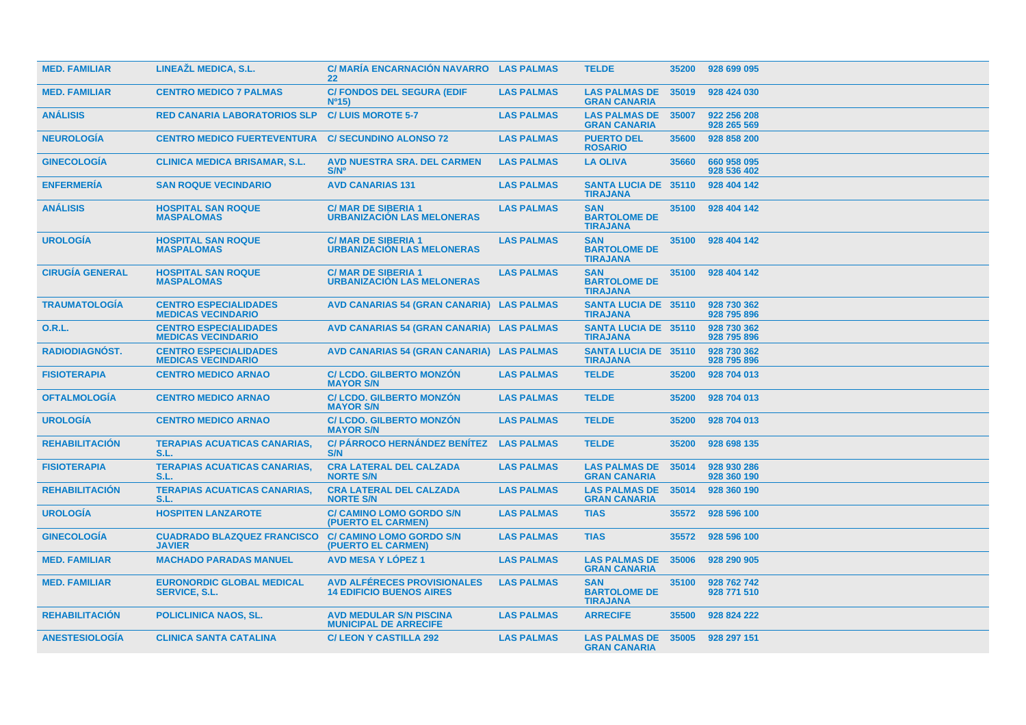| <b>MED. FAMILIAR</b>   | LINEAŽL MEDICA, S.L.                                      | C/MARÍA ENCARNACIÓN NAVARRO LAS PALMAS<br>22                          |                   | <b>TELDE</b>                                         | 35200 | 928 699 095                |
|------------------------|-----------------------------------------------------------|-----------------------------------------------------------------------|-------------------|------------------------------------------------------|-------|----------------------------|
| <b>MED. FAMILIAR</b>   | <b>CENTRO MEDICO 7 PALMAS</b>                             | <b>C/ FONDOS DEL SEGURA (EDIF</b><br>N <sup>0</sup> 15                | <b>LAS PALMAS</b> | <b>LAS PALMAS DE</b><br><b>GRAN CANARIA</b>          | 35019 | 928 424 030                |
| <b>ANÁLISIS</b>        | <b>RED CANARIA LABORATORIOS SLP</b>                       | <b>C/LUIS MOROTE 5-7</b>                                              | <b>LAS PALMAS</b> | <b>LAS PALMAS DE</b><br><b>GRAN CANARIA</b>          | 35007 | 922 256 208<br>928 265 569 |
| <b>NEUROLOGÍA</b>      | <b>CENTRO MEDICO FUERTEVENTURA</b>                        | <b>C/SECUNDINO ALONSO 72</b>                                          | <b>LAS PALMAS</b> | <b>PUERTO DEL</b><br><b>ROSARIO</b>                  | 35600 | 928 858 200                |
| <b>GINECOLOGIA</b>     | <b>CLINICA MEDICA BRISAMAR, S.L.</b>                      | <b>AVD NUESTRA SRA. DEL CARMEN</b><br>S/N <sup>o</sup>                | <b>LAS PALMAS</b> | <b>LA OLIVA</b>                                      | 35660 | 660 958 095<br>928 536 402 |
| <b>ENFERMERIA</b>      | <b>SAN ROQUE VECINDARIO</b>                               | <b>AVD CANARIAS 131</b>                                               | <b>LAS PALMAS</b> | <b>SANTA LUCIA DE 35110</b><br><b>TIRAJANA</b>       |       | 928 404 142                |
| <b>ANÁLISIS</b>        | <b>HOSPITAL SAN ROQUE</b><br><b>MASPALOMAS</b>            | <b>C/MAR DE SIBERIA 1</b><br><b>URBANIZACIÓN LAS MELONERAS</b>        | <b>LAS PALMAS</b> | <b>SAN</b><br><b>BARTOLOME DE</b><br><b>TIRAJANA</b> | 35100 | 928 404 142                |
| <b>UROLOGIA</b>        | <b>HOSPITAL SAN ROQUE</b><br><b>MASPALOMAS</b>            | <b>C/MAR DE SIBERIA 1</b><br><b>URBANIZACIÓN LAS MELONERAS</b>        | <b>LAS PALMAS</b> | <b>SAN</b><br><b>BARTOLOME DE</b><br><b>TIRAJANA</b> | 35100 | 928 404 142                |
| <b>CIRUGÍA GENERAL</b> | <b>HOSPITAL SAN ROQUE</b><br><b>MASPALOMAS</b>            | <b>C/MAR DE SIBERIA 1</b><br><b>URBANIZACION LAS MELONERAS</b>        | <b>LAS PALMAS</b> | <b>SAN</b><br><b>BARTOLOME DE</b><br><b>TIRAJANA</b> | 35100 | 928 404 142                |
| <b>TRAUMATOLOGIA</b>   | <b>CENTRO ESPECIALIDADES</b><br><b>MEDICAS VECINDARIO</b> | AVD CANARIAS 54 (GRAN CANARIA) LAS PALMAS                             |                   | <b>SANTA LUCIA DE 35110</b><br><b>TIRAJANA</b>       |       | 928 730 362<br>928 795 896 |
| 0.R.L.                 | <b>CENTRO ESPECIALIDADES</b><br><b>MEDICAS VECINDARIO</b> | AVD CANARIAS 54 (GRAN CANARIA) LAS PALMAS                             |                   | <b>SANTA LUCIA DE 35110</b><br><b>TIRAJANA</b>       |       | 928 730 362<br>928 795 896 |
| RADIODIAGNÓST.         | <b>CENTRO ESPECIALIDADES</b><br><b>MEDICAS VECINDARIO</b> | AVD CANARIAS 54 (GRAN CANARIA) LAS PALMAS                             |                   | <b>SANTA LUCIA DE 35110</b><br><b>TIRAJANA</b>       |       | 928 730 362<br>928 795 896 |
| <b>FISIOTERAPIA</b>    | <b>CENTRO MEDICO ARNAO</b>                                | <b>C/LCDO, GILBERTO MONZON</b><br><b>MAYOR S/N</b>                    | <b>LAS PALMAS</b> | <b>TELDE</b>                                         | 35200 | 928 704 013                |
| <b>OFTALMOLOGIA</b>    | <b>CENTRO MEDICO ARNAO</b>                                | <b>C/LCDO, GILBERTO MONZON</b><br><b>MAYOR S/N</b>                    | <b>LAS PALMAS</b> | <b>TELDE</b>                                         | 35200 | 928 704 013                |
| <b>UROLOGIA</b>        | <b>CENTRO MEDICO ARNAO</b>                                | <b>C/ LCDO. GILBERTO MONZON</b><br><b>MAYOR S/N</b>                   | <b>LAS PALMAS</b> | <b>TELDE</b>                                         | 35200 | 928 704 013                |
| <b>REHABILITACION</b>  | <b>TERAPIAS ACUATICAS CANARIAS,</b><br>S.L.               | <b>C/ PÁRROCO HERNÁNDEZ BENÍTEZ</b><br>S/N                            | <b>LAS PALMAS</b> | <b>TELDE</b>                                         | 35200 | 928 698 135                |
| <b>FISIOTERAPIA</b>    | <b>TERAPIAS ACUATICAS CANARIAS,</b><br>S.L                | <b>CRA LATERAL DEL CALZADA</b><br><b>NORTE S/N</b>                    | <b>LAS PALMAS</b> | <b>LAS PALMAS DE</b><br><b>GRAN CANARIA</b>          | 35014 | 928 930 286<br>928 360 190 |
| <b>REHABILITACIÓN</b>  | <b>TERAPIAS ACUATICAS CANARIAS,</b><br>S.L.               | <b>CRA LATERAL DEL CALZADA</b><br><b>NORTE S/N</b>                    | <b>LAS PALMAS</b> | <b>LAS PALMAS DE</b><br><b>GRAN CANARIA</b>          | 35014 | 928 360 190                |
| <b>UROLOGÍA</b>        | <b>HOSPITEN LANZAROTE</b>                                 | <b>C/ CAMINO LOMO GORDO S/N</b><br>(PUERTO EL CARMEN)                 | <b>LAS PALMAS</b> | <b>TIAS</b>                                          | 35572 | 928 596 100                |
| <b>GINECOLOGIA</b>     | <b>CUADRADO BLAZQUEZ FRANCISCO</b><br><b>JAVIER</b>       | <b>C/ CAMINO LOMO GORDO S/N</b><br>(PUERTO EL CARMEN)                 | <b>LAS PALMAS</b> | <b>TIAS</b>                                          | 35572 | 928 596 100                |
| <b>MED. FAMILIAR</b>   | <b>MACHADO PARADAS MANUEL</b>                             | <b>AVD MESA Y LOPEZ 1</b>                                             | <b>LAS PALMAS</b> | <b>LAS PALMAS DE</b><br><b>GRAN CANARIA</b>          | 35006 | 928 290 905                |
| <b>MED. FAMILIAR</b>   | <b>EURONORDIC GLOBAL MEDICAL</b><br><b>SERVICE, S.L.</b>  | <b>AVD ALFERECES PROVISIONALES</b><br><b>14 EDIFICIO BUENOS AIRES</b> | <b>LAS PALMAS</b> | <b>SAN</b><br><b>BARTOLOME DE</b><br><b>TIRAJANA</b> | 35100 | 928 762 742<br>928 771 510 |
| <b>REHABILITACION</b>  | <b>POLICLINICA NAOS, SL.</b>                              | <b>AVD MEDULAR S/N PISCINA</b><br><b>MUNICIPAL DE ARRECIFE</b>        | <b>LAS PALMAS</b> | <b>ARRECIFE</b>                                      | 35500 | 928 824 222                |
| <b>ANESTESIOLOGIA</b>  | <b>CLINICA SANTA CATALINA</b>                             | <b>C/LEON Y CASTILLA 292</b>                                          | <b>LAS PALMAS</b> | <b>LAS PALMAS DE</b><br><b>GRAN CANARIA</b>          |       | 35005 928 297 151          |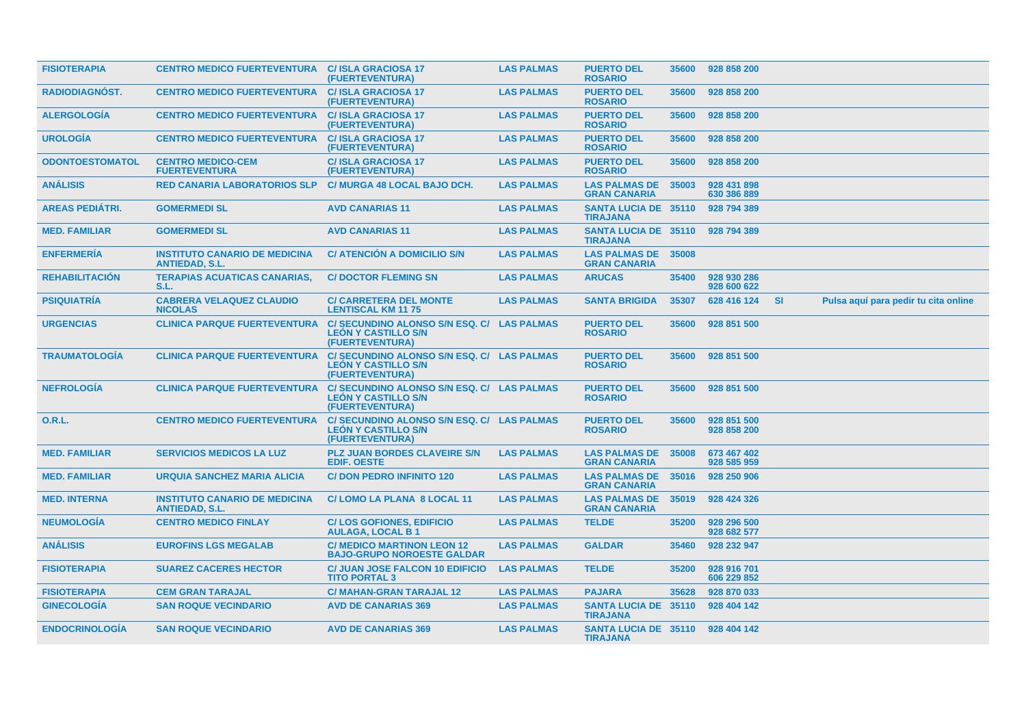| <b>FISIOTERAPIA</b>    | <b>CENTRO MEDICO FUERTEVENTURA C/ ISLA GRACIOSA 17</b>        | (FUERTEVENTURA)                                                                             | <b>LAS PALMAS</b> | <b>PUERTO DEL</b><br><b>ROSARIO</b>                 | 35600 | 928 858 200                |           |                                      |  |
|------------------------|---------------------------------------------------------------|---------------------------------------------------------------------------------------------|-------------------|-----------------------------------------------------|-------|----------------------------|-----------|--------------------------------------|--|
| <b>RADIODIAGNOST.</b>  | <b>CENTRO MEDICO FUERTEVENTURA</b>                            | <b>C/ISLA GRACIOSA 17</b><br>(FUERTEVENTURA)                                                | <b>LAS PALMAS</b> | <b>PUERTO DEL</b><br><b>ROSARIO</b>                 | 35600 | 928 858 200                |           |                                      |  |
| <b>ALERGOLOGIA</b>     | <b>CENTRO MEDICO FUERTEVENTURA</b>                            | <b>C/ISLA GRACIOSA 17</b><br>(FUERTEVENTURA)                                                | <b>LAS PALMAS</b> | <b>PUERTO DEL</b><br><b>ROSARIO</b>                 | 35600 | 928 858 200                |           |                                      |  |
| <b>UROLOGIA</b>        | <b>CENTRO MEDICO FUERTEVENTURA</b>                            | <b>C/ISLA GRACIOSA 17</b><br>(FUERTEVENTURA)                                                | <b>LAS PALMAS</b> | <b>PUERTO DEL</b><br><b>ROSARIO</b>                 | 35600 | 928 858 200                |           |                                      |  |
| <b>ODONTOESTOMATOL</b> | <b>CENTRO MEDICO-CEM</b><br><b>FUERTEVENTURA</b>              | <b>C/ISLA GRACIOSA 17</b><br>(FUERTEVENTURA)                                                | <b>LAS PALMAS</b> | <b>PUERTO DEL</b><br><b>ROSARIO</b>                 | 35600 | 928 858 200                |           |                                      |  |
| <b>ANÁLISIS</b>        | <b>RED CANARIA LABORATORIOS SLP</b>                           | C/ MURGA 48 LOCAL BAJO DCH.                                                                 | <b>LAS PALMAS</b> | <b>LAS PALMAS DE</b><br><b>GRAN CANARIA</b>         | 35003 | 928 431 898<br>630 386 889 |           |                                      |  |
| <b>AREAS PEDIÁTRI.</b> | <b>GOMERMEDI SL</b>                                           | <b>AVD CANARIAS 11</b>                                                                      | <b>LAS PALMAS</b> | <b>SANTA LUCIA DE 35110</b><br><b>TIRAJANA</b>      |       | 928 794 389                |           |                                      |  |
| <b>MED. FAMILIAR</b>   | <b>GOMERMEDI SL</b>                                           | <b>AVD CANARIAS 11</b>                                                                      | <b>LAS PALMAS</b> | <b>SANTA LUCIA DE 35110</b><br><b>TIRAJANA</b>      |       | 928 794 389                |           |                                      |  |
| <b>ENFERMERIA</b>      | <b>INSTITUTO CANARIO DE MEDICINA</b><br><b>ANTIEDAD, S.L.</b> | <b>C/ ATENCIÓN A DOMICILIO S/N</b>                                                          | <b>LAS PALMAS</b> | <b>LAS PALMAS DE</b><br><b>GRAN CANARIA</b>         | 35008 |                            |           |                                      |  |
| <b>REHABILITACION</b>  | <b>TERAPIAS ACUATICAS CANARIAS,</b><br>S.L.                   | <b>C/DOCTOR FLEMING SN</b>                                                                  | <b>LAS PALMAS</b> | <b>ARUCAS</b>                                       | 35400 | 928 930 286<br>928 600 622 |           |                                      |  |
| <b>PSIQUIATRÍA</b>     | <b>CABRERA VELAQUEZ CLAUDIO</b><br><b>NICOLAS</b>             | <b>C/ CARRETERA DEL MONTE</b><br><b>LENTISCAL KM 1175</b>                                   | <b>LAS PALMAS</b> | <b>SANTA BRIGIDA</b>                                | 35307 | 628 416 124                | <b>SI</b> | Pulsa aquí para pedir tu cita online |  |
| <b>URGENCIAS</b>       | <b>CLINICA PARQUE FUERTEVENTURA</b>                           | C/ SECUNDINO ALONSO S/N ESQ. C/ LAS PALMAS<br><b>LEÓN Y CASTILLO S/N</b><br>(FUERTEVENTURA) |                   | <b>PUERTO DEL</b><br><b>ROSARIO</b>                 | 35600 | 928 851 500                |           |                                      |  |
| <b>TRAUMATOLOGIA</b>   | <b>CLINICA PARQUE FUERTEVENTURA</b>                           | C/ SECUNDINO ALONSO S/N ESQ. C/ LAS PALMAS<br><b>LEON Y CASTILLO S/N</b><br>(FUERTEVENTURA) |                   | <b>PUERTO DEL</b><br><b>ROSARIO</b>                 | 35600 | 928 851 500                |           |                                      |  |
| <b>NEFROLOGIA</b>      | <b>CLINICA PARQUE FUERTEVENTURA</b>                           | C/ SECUNDINO ALONSO S/N ESQ. C/ LAS PALMAS<br><b>LEÓN Y CASTILLO S/N</b><br>(FUERTEVENTURA) |                   | <b>PUERTO DEL</b><br><b>ROSARIO</b>                 | 35600 | 928 851 500                |           |                                      |  |
| <b>O.R.L.</b>          | <b>CENTRO MEDICO FUERTEVENTURA</b>                            | C/ SECUNDINO ALONSO S/N ESQ. C/ LAS PALMAS<br><b>LEON Y CASTILLO S/N</b><br>(FUERTEVENTURA) |                   | <b>PUERTO DEL</b><br><b>ROSARIO</b>                 | 35600 | 928 851 500<br>928 858 200 |           |                                      |  |
| <b>MED. FAMILIAR</b>   | <b>SERVICIOS MEDICOS LA LUZ</b>                               | <b>PLZ JUAN BORDES CLAVEIRE S/N</b><br><b>EDIF, OESTE</b>                                   | <b>LAS PALMAS</b> | <b>LAS PALMAS DE</b><br><b>GRAN CANARIA</b>         | 35008 | 673 467 402<br>928 585 959 |           |                                      |  |
| <b>MED. FAMILIAR</b>   | <b>URQUIA SANCHEZ MARIA ALICIA</b>                            | <b>C/DON PEDRO INFINITO 120</b>                                                             | <b>LAS PALMAS</b> | <b>LAS PALMAS DE</b><br><b>GRAN CANARIA</b>         | 35016 | 928 250 906                |           |                                      |  |
| <b>MED. INTERNA</b>    | <b>INSTITUTO CANARIO DE MEDICINA</b><br><b>ANTIEDAD, S.L.</b> | C/LOMO LA PLANA 8 LOCAL 11                                                                  | <b>LAS PALMAS</b> | <b>LAS PALMAS DE</b><br><b>GRAN CANARIA</b>         | 35019 | 928 424 326                |           |                                      |  |
| <b>NEUMOLOGIA</b>      | <b>CENTRO MEDICO FINLAY</b>                                   | <b>C/LOS GOFIONES, EDIFICIO</b><br><b>AULAGA, LOCAL B1</b>                                  | <b>LAS PALMAS</b> | <b>TELDE</b>                                        | 35200 | 928 296 500<br>928 682 577 |           |                                      |  |
| <b>ANÁLISIS</b>        | <b>EUROFINS LGS MEGALAB</b>                                   | <b>C/ MEDICO MARTINON LEON 12</b><br><b>BAJO-GRUPO NOROESTE GALDAR</b>                      | <b>LAS PALMAS</b> | <b>GALDAR</b>                                       | 35460 | 928 232 947                |           |                                      |  |
| <b>FISIOTERAPIA</b>    | <b>SUAREZ CACERES HECTOR</b>                                  | <b>C/ JUAN JOSE FALCON 10 EDIFICIO</b><br><b>TITO PORTAL 3</b>                              | <b>LAS PALMAS</b> | <b>TELDE</b>                                        | 35200 | 928 916 701<br>606 229 852 |           |                                      |  |
| <b>FISIOTERAPIA</b>    | <b>CEM GRAN TARAJAL</b>                                       | <b>C/ MAHAN-GRAN TARAJAL 12</b>                                                             | <b>LAS PALMAS</b> | <b>PAJARA</b>                                       | 35628 | 928 870 033                |           |                                      |  |
| <b>GINECOLOGIA</b>     | <b>SAN ROQUE VECINDARIO</b>                                   | <b>AVD DE CANARIAS 369</b>                                                                  | <b>LAS PALMAS</b> | <b>SANTA LUCIA DE 35110</b><br><b>TIRAJANA</b>      |       | 928 404 142                |           |                                      |  |
| <b>ENDOCRINOLOGIA</b>  | <b>SAN ROQUE VECINDARIO</b>                                   | <b>AVD DE CANARIAS 369</b>                                                                  | <b>LAS PALMAS</b> | SANTA LUCIA DE 35110 928 404 142<br><b>TIRAJANA</b> |       |                            |           |                                      |  |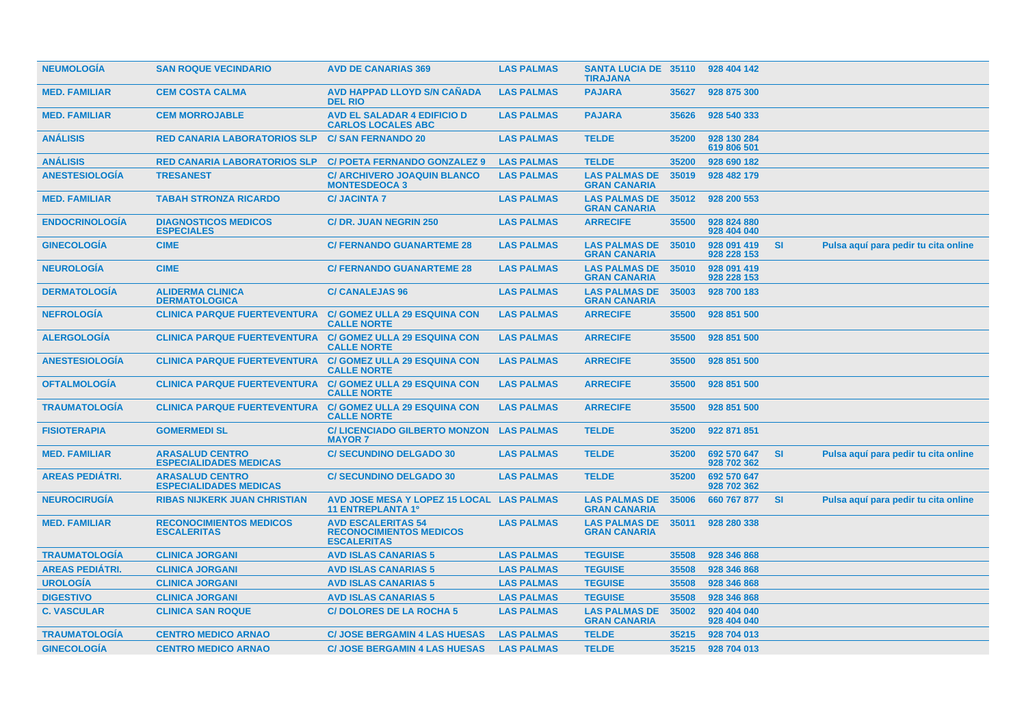| <b>NEUMOLOGIA</b>      | <b>SAN ROQUE VECINDARIO</b>                             | <b>AVD DE CANARIAS 369</b>                                                        | <b>LAS PALMAS</b> | <b>SANTA LUCIA DE 35110</b><br><b>TIRAJANA</b> |       | 928 404 142                |           |                                      |
|------------------------|---------------------------------------------------------|-----------------------------------------------------------------------------------|-------------------|------------------------------------------------|-------|----------------------------|-----------|--------------------------------------|
| <b>MED. FAMILIAR</b>   | <b>CEM COSTA CALMA</b>                                  | <b>AVD HAPPAD LLOYD S/N CAÑADA</b><br><b>DEL RIO</b>                              | <b>LAS PALMAS</b> | <b>PAJARA</b>                                  | 35627 | 928 875 300                |           |                                      |
| <b>MED. FAMILIAR</b>   | <b>CEM MORROJABLE</b>                                   | <b>AVD EL SALADAR 4 EDIFICIO D</b><br><b>CARLOS LOCALES ABC</b>                   | <b>LAS PALMAS</b> | <b>PAJARA</b>                                  | 35626 | 928 540 333                |           |                                      |
| <b>ANÁLISIS</b>        | <b>RED CANARIA LABORATORIOS SLP</b>                     | <b>C/SAN FERNANDO 20</b>                                                          | <b>LAS PALMAS</b> | <b>TELDE</b>                                   | 35200 | 928 130 284<br>619 806 501 |           |                                      |
| <b>ANÁLISIS</b>        | <b>RED CANARIA LABORATORIOS SLP</b>                     | <b>C/ POETA FERNANDO GONZALEZ 9</b>                                               | <b>LAS PALMAS</b> | <b>TELDE</b>                                   | 35200 | 928 690 182                |           |                                      |
| <b>ANESTESIOLOGÍA</b>  | <b>TRESANEST</b>                                        | <b>C/ ARCHIVERO JOAQUIN BLANCO</b><br><b>MONTESDEOCA 3</b>                        | <b>LAS PALMAS</b> | <b>LAS PALMAS DE</b><br><b>GRAN CANARIA</b>    | 35019 | 928 482 179                |           |                                      |
| <b>MED. FAMILIAR</b>   | <b>TABAH STRONZA RICARDO</b>                            | <b>C/JACINTA 7</b>                                                                | <b>LAS PALMAS</b> | <b>LAS PALMAS DE</b><br><b>GRAN CANARIA</b>    | 35012 | 928 200 553                |           |                                      |
| <b>ENDOCRINOLOGÍA</b>  | <b>DIAGNOSTICOS MEDICOS</b><br><b>ESPECIALES</b>        | <b>C/DR. JUAN NEGRIN 250</b>                                                      | <b>LAS PALMAS</b> | <b>ARRECIFE</b>                                | 35500 | 928 824 880<br>928 404 040 |           |                                      |
| <b>GINECOLOGIA</b>     | <b>CIME</b>                                             | <b>C/ FERNANDO GUANARTEME 28</b>                                                  | <b>LAS PALMAS</b> | <b>LAS PALMAS DE</b><br><b>GRAN CANARIA</b>    | 35010 | 928 091 419<br>928 228 153 | <b>SI</b> | Pulsa aquí para pedir tu cita online |
| <b>NEUROLOGIA</b>      | <b>CIME</b>                                             | <b>C/ FERNANDO GUANARTEME 28</b>                                                  | <b>LAS PALMAS</b> | <b>LAS PALMAS DE</b><br><b>GRAN CANARIA</b>    | 35010 | 928 091 419<br>928 228 153 |           |                                      |
| <b>DERMATOLOGÍA</b>    | <b>ALIDERMA CLINICA</b><br><b>DERMATOLOGICA</b>         | <b>C/ CANALEJAS 96</b>                                                            | <b>LAS PALMAS</b> | <b>LAS PALMAS DE</b><br><b>GRAN CANARIA</b>    | 35003 | 928 700 183                |           |                                      |
| <b>NEFROLOGÍA</b>      | <b>CLINICA PARQUE FUERTEVENTURA</b>                     | <b>C/ GOMEZ ULLA 29 ESQUINA CON</b><br><b>CALLE NORTE</b>                         | <b>LAS PALMAS</b> | <b>ARRECIFE</b>                                | 35500 | 928 851 500                |           |                                      |
| <b>ALERGOLOGÍA</b>     | <b>CLINICA PARQUE FUERTEVENTURA</b>                     | <b>C/ GOMEZ ULLA 29 ESQUINA CON</b><br><b>CALLE NORTE</b>                         | <b>LAS PALMAS</b> | <b>ARRECIFE</b>                                | 35500 | 928 851 500                |           |                                      |
| <b>ANESTESIOLOGIA</b>  | <b>CLINICA PARQUE FUERTEVENTURA</b>                     | <b>C/ GOMEZ ULLA 29 ESQUINA CON</b><br><b>CALLE NORTE</b>                         | <b>LAS PALMAS</b> | <b>ARRECIFE</b>                                | 35500 | 928 851 500                |           |                                      |
| <b>OFTALMOLOGÍA</b>    | <b>CLINICA PARQUE FUERTEVENTURA</b>                     | <b>C/ GOMEZ ULLA 29 ESQUINA CON</b><br><b>CALLE NORTE</b>                         | <b>LAS PALMAS</b> | <b>ARRECIFE</b>                                | 35500 | 928 851 500                |           |                                      |
| <b>TRAUMATOLOGIA</b>   | <b>CLINICA PARQUE FUERTEVENTURA</b>                     | <b>C/ GOMEZ ULLA 29 ESQUINA CON</b><br><b>CALLE NORTE</b>                         | <b>LAS PALMAS</b> | <b>ARRECIFE</b>                                | 35500 | 928 851 500                |           |                                      |
| <b>FISIOTERAPIA</b>    | <b>GOMERMEDI SL</b>                                     | <b>C/LICENCIADO GILBERTO MONZON</b><br><b>MAYOR 7</b>                             | <b>LAS PALMAS</b> | <b>TELDE</b>                                   | 35200 | 922 871 851                |           |                                      |
| <b>MED. FAMILIAR</b>   | <b>ARASALUD CENTRO</b><br><b>ESPECIALIDADES MEDICAS</b> | <b>C/ SECUNDINO DELGADO 30</b>                                                    | <b>LAS PALMAS</b> | <b>TELDE</b>                                   | 35200 | 692 570 647<br>928 702 362 | <b>SI</b> | Pulsa aquí para pedir tu cita online |
| <b>AREAS PEDIATRI.</b> | <b>ARASALUD CENTRO</b><br><b>ESPECIALIDADES MEDICAS</b> | <b>C/ SECUNDINO DELGADO 30</b>                                                    | <b>LAS PALMAS</b> | <b>TELDE</b>                                   | 35200 | 692 570 647<br>928 702 362 |           |                                      |
| <b>NEUROCIRUGÍA</b>    | <b>RIBAS NIJKERK JUAN CHRISTIAN</b>                     | AVD JOSE MESA Y LOPEZ 15 LOCAL LAS PALMAS<br><b>11 ENTREPLANTA 1º</b>             |                   | <b>LAS PALMAS DE</b><br><b>GRAN CANARIA</b>    | 35006 | 660 767 877                | <b>SI</b> | Pulsa aquí para pedir tu cita online |
| <b>MED. FAMILIAR</b>   | <b>RECONOCIMIENTOS MEDICOS</b><br><b>ESCALERITAS</b>    | <b>AVD ESCALERITAS 54</b><br><b>RECONOCIMIENTOS MEDICOS</b><br><b>ESCALERITAS</b> | <b>LAS PALMAS</b> | <b>LAS PALMAS DE</b><br><b>GRAN CANARIA</b>    | 35011 | 928 280 338                |           |                                      |
| <b>TRAUMATOLOGÍA</b>   | <b>CLINICA JORGANI</b>                                  | <b>AVD ISLAS CANARIAS 5</b>                                                       | <b>LAS PALMAS</b> | <b>TEGUISE</b>                                 | 35508 | 928 346 868                |           |                                      |
| <b>AREAS PEDIÁTRI.</b> | <b>CLINICA JORGANI</b>                                  | <b>AVD ISLAS CANARIAS 5</b>                                                       | <b>LAS PALMAS</b> | <b>TEGUISE</b>                                 | 35508 | 928 346 868                |           |                                      |
| <b>UROLOGÍA</b>        | <b>CLINICA JORGANI</b>                                  | <b>AVD ISLAS CANARIAS 5</b>                                                       | <b>LAS PALMAS</b> | <b>TEGUISE</b>                                 | 35508 | 928 346 868                |           |                                      |
| <b>DIGESTIVO</b>       | <b>CLINICA JORGANI</b>                                  | <b>AVD ISLAS CANARIAS 5</b>                                                       | <b>LAS PALMAS</b> | <b>TEGUISE</b>                                 | 35508 | 928 346 868                |           |                                      |
| <b>C. VASCULAR</b>     | <b>CLINICA SAN ROQUE</b>                                | <b>C/DOLORES DE LA ROCHA 5</b>                                                    | <b>LAS PALMAS</b> | <b>LAS PALMAS DE</b><br><b>GRAN CANARIA</b>    | 35002 | 920 404 040<br>928 404 040 |           |                                      |
| <b>TRAUMATOLOGIA</b>   | <b>CENTRO MEDICO ARNAO</b>                              | <b>C/ JOSE BERGAMIN 4 LAS HUESAS</b>                                              | <b>LAS PALMAS</b> | <b>TELDE</b>                                   | 35215 | 928 704 013                |           |                                      |
| <b>GINECOLOGÍA</b>     | <b>CENTRO MEDICO ARNAO</b>                              | <b>C/ JOSE BERGAMIN 4 LAS HUESAS</b>                                              | <b>LAS PALMAS</b> | <b>TELDE</b>                                   | 35215 | 928 704 013                |           |                                      |
|                        |                                                         |                                                                                   |                   |                                                |       |                            |           |                                      |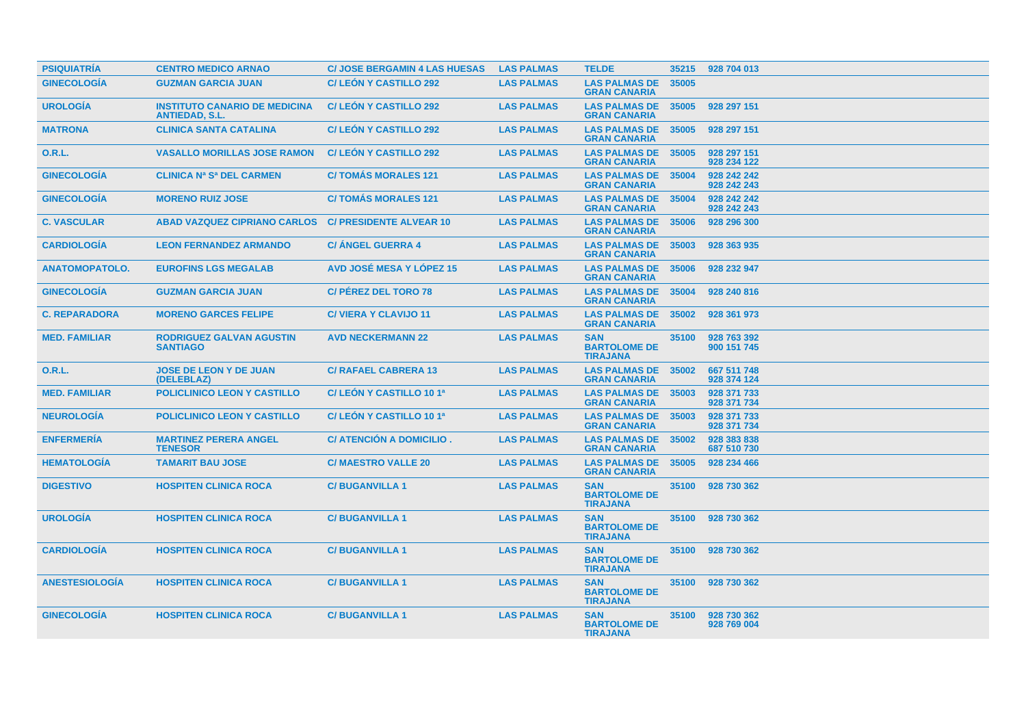| <b>PSIQUIATRÍA</b>    | <b>CENTRO MEDICO ARNAO</b>                                    | <b>C/ JOSE BERGAMIN 4 LAS HUESAS</b> | <b>LAS PALMAS</b> | <b>TELDE</b>                                         | 35215 | 928 704 013                |
|-----------------------|---------------------------------------------------------------|--------------------------------------|-------------------|------------------------------------------------------|-------|----------------------------|
| <b>GINECOLOGÍA</b>    | <b>GUZMAN GARCIA JUAN</b>                                     | <b>C/LEON Y CASTILLO 292</b>         | <b>LAS PALMAS</b> | <b>LAS PALMAS DE</b><br><b>GRAN CANARIA</b>          | 35005 |                            |
| <b>UROLOGÍA</b>       | <b>INSTITUTO CANARIO DE MEDICINA</b><br><b>ANTIEDAD, S.L.</b> | <b>C/LEÓN Y CASTILLO 292</b>         | <b>LAS PALMAS</b> | <b>LAS PALMAS DE</b><br><b>GRAN CANARIA</b>          | 35005 | 928 297 151                |
| <b>MATRONA</b>        | <b>CLINICA SANTA CATALINA</b>                                 | <b>C/LEON Y CASTILLO 292</b>         | <b>LAS PALMAS</b> | <b>LAS PALMAS DE</b><br><b>GRAN CANARIA</b>          | 35005 | 928 297 151                |
| <b>O.R.L.</b>         | <b>VASALLO MORILLAS JOSE RAMON</b>                            | <b>C/LEON Y CASTILLO 292</b>         | <b>LAS PALMAS</b> | <b>LAS PALMAS DE</b><br><b>GRAN CANARIA</b>          | 35005 | 928 297 151<br>928 234 122 |
| <b>GINECOLOGÍA</b>    | <b>CLINICA Na Sa DEL CARMEN</b>                               | <b>C/TOMAS MORALES 121</b>           | <b>LAS PALMAS</b> | <b>LAS PALMAS DE</b><br><b>GRAN CANARIA</b>          | 35004 | 928 242 242<br>928 242 243 |
| <b>GINECOLOGÍA</b>    | <b>MORENO RUIZ JOSE</b>                                       | <b>C/TOMÁS MORALES 121</b>           | <b>LAS PALMAS</b> | <b>LAS PALMAS DE</b><br><b>GRAN CANARIA</b>          | 35004 | 928 242 242<br>928 242 243 |
| <b>C. VASCULAR</b>    | <b>ABAD VAZQUEZ CIPRIANO CARLOS</b>                           | <b>C/ PRESIDENTE ALVEAR 10</b>       | <b>LAS PALMAS</b> | <b>LAS PALMAS DE</b><br><b>GRAN CANARIA</b>          | 35006 | 928 296 300                |
| <b>CARDIOLOGIA</b>    | <b>LEON FERNANDEZ ARMANDO</b>                                 | <b>C/ ANGEL GUERRA 4</b>             | <b>LAS PALMAS</b> | <b>LAS PALMAS DE</b><br><b>GRAN CANARIA</b>          | 35003 | 928 363 935                |
| <b>ANATOMOPATOLO.</b> | <b>EUROFINS LGS MEGALAB</b>                                   | <b>AVD JOSÉ MESA Y LÓPEZ 15</b>      | <b>LAS PALMAS</b> | <b>LAS PALMAS DE</b><br><b>GRAN CANARIA</b>          | 35006 | 928 232 947                |
| <b>GINECOLOGÍA</b>    | <b>GUZMAN GARCIA JUAN</b>                                     | <b>C/ PÉREZ DEL TORO 78</b>          | <b>LAS PALMAS</b> | <b>LAS PALMAS DE</b><br><b>GRAN CANARIA</b>          | 35004 | 928 240 816                |
| <b>C. REPARADORA</b>  | <b>MORENO GARCES FELIPE</b>                                   | <b>C/VIERA Y CLAVIJO 11</b>          | <b>LAS PALMAS</b> | <b>LAS PALMAS DE</b><br><b>GRAN CANARIA</b>          | 35002 | 928 361 973                |
| <b>MED. FAMILIAR</b>  | <b>RODRIGUEZ GALVAN AGUSTIN</b><br><b>SANTIAGO</b>            | <b>AVD NECKERMANN 22</b>             | <b>LAS PALMAS</b> | <b>SAN</b><br><b>BARTOLOME DE</b><br><b>TIRAJANA</b> | 35100 | 928 763 392<br>900 151 745 |
| <b>O.R.L.</b>         | <b>JOSE DE LEON Y DE JUAN</b><br>(DELEBLAZ)                   | <b>C/ RAFAEL CABRERA 13</b>          | <b>LAS PALMAS</b> | <b>LAS PALMAS DE</b><br><b>GRAN CANARIA</b>          | 35002 | 667 511 748<br>928 374 124 |
| <b>MED. FAMILIAR</b>  | <b>POLICLINICO LEON Y CASTILLO</b>                            | C/ LEON Y CASTILLO 10 1ª             | <b>LAS PALMAS</b> | <b>LAS PALMAS DE</b><br><b>GRAN CANARIA</b>          | 35003 | 928 371 733<br>928 371 734 |
| <b>NEUROLOGÍA</b>     | <b>POLICLINICO LEON Y CASTILLO</b>                            | C/LEÓN Y CASTILLO 10 1ª              | <b>LAS PALMAS</b> | <b>LAS PALMAS DE</b><br><b>GRAN CANARIA</b>          | 35003 | 928 371 733<br>928 371 734 |
| <b>ENFERMERÍA</b>     | <b>MARTINEZ PERERA ANGEL</b><br><b>TENESOR</b>                | C/ ATENCIÓN A DOMICILIO.             | <b>LAS PALMAS</b> | <b>LAS PALMAS DE</b><br><b>GRAN CANARIA</b>          | 35002 | 928 383 838<br>687 510 730 |
| <b>HEMATOLOGIA</b>    | <b>TAMARIT BAU JOSE</b>                                       | <b>C/ MAESTRO VALLE 20</b>           | <b>LAS PALMAS</b> | <b>LAS PALMAS DE</b><br><b>GRAN CANARIA</b>          | 35005 | 928 234 466                |
| <b>DIGESTIVO</b>      | <b>HOSPITEN CLINICA ROCA</b>                                  | <b>C/BUGANVILLA 1</b>                | <b>LAS PALMAS</b> | <b>SAN</b><br><b>BARTOLOME DE</b><br><b>TIRAJANA</b> | 35100 | 928 730 362                |
| <b>UROLOGÍA</b>       | <b>HOSPITEN CLINICA ROCA</b>                                  | <b>C/BUGANVILLA1</b>                 | <b>LAS PALMAS</b> | <b>SAN</b><br><b>BARTOLOME DE</b><br><b>TIRAJANA</b> | 35100 | 928 730 362                |
| <b>CARDIOLOGÍA</b>    | <b>HOSPITEN CLINICA ROCA</b>                                  | <b>C/BUGANVILLA1</b>                 | <b>LAS PALMAS</b> | <b>SAN</b><br><b>BARTOLOME DE</b><br><b>TIRAJANA</b> | 35100 | 928 730 362                |
| <b>ANESTESIOLOGÍA</b> | <b>HOSPITEN CLINICA ROCA</b>                                  | <b>C/BUGANVILLA1</b>                 | <b>LAS PALMAS</b> | <b>SAN</b><br><b>BARTOLOME DE</b><br><b>TIRAJANA</b> | 35100 | 928 730 362                |
| <b>GINECOLOGÍA</b>    | <b>HOSPITEN CLINICA ROCA</b>                                  | <b>C/BUGANVILLA1</b>                 | <b>LAS PALMAS</b> | <b>SAN</b><br><b>BARTOLOME DE</b><br><b>TIRAJANA</b> | 35100 | 928 730 362<br>928 769 004 |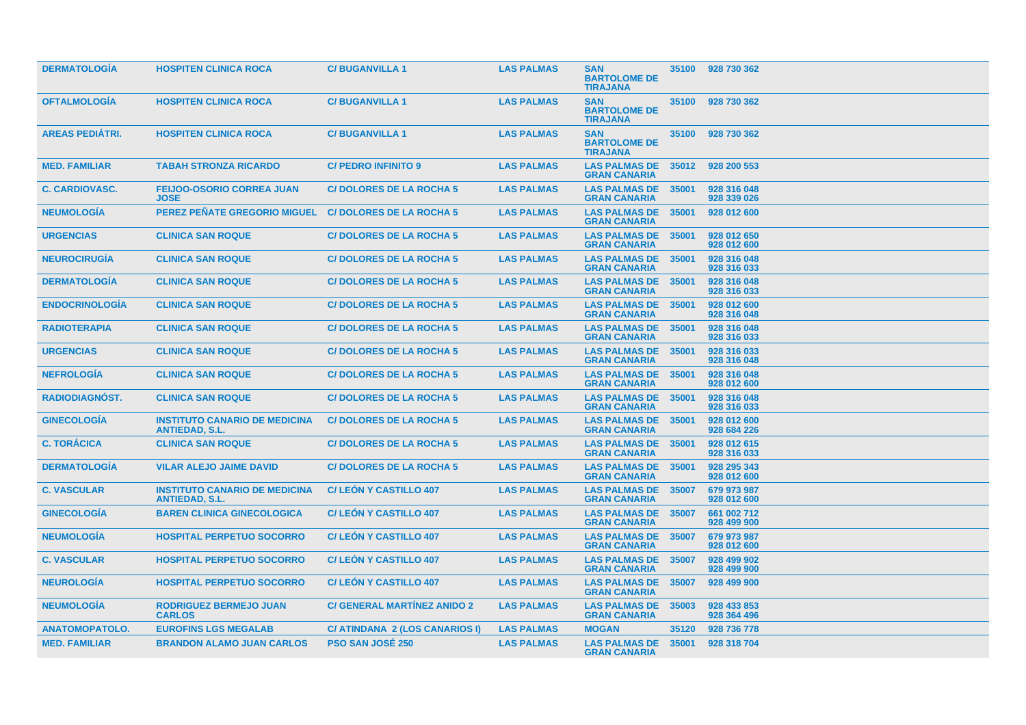| <b>DERMATOLOGIA</b>    | <b>HOSPITEN CLINICA ROCA</b>                                  | <b>C/BUGANVILLA1</b>               | <b>LAS PALMAS</b> | <b>SAN</b><br><b>BARTOLOME DE</b><br><b>TIRAJANA</b> | 35100 | 928 730 362                |
|------------------------|---------------------------------------------------------------|------------------------------------|-------------------|------------------------------------------------------|-------|----------------------------|
| <b>OFTALMOLOGIA</b>    | <b>HOSPITEN CLINICA ROCA</b>                                  | <b>C/BUGANVILLA1</b>               | <b>LAS PALMAS</b> | <b>SAN</b><br><b>BARTOLOME DE</b><br><b>TIRAJANA</b> | 35100 | 928 730 362                |
| <b>AREAS PEDIÁTRI.</b> | <b>HOSPITEN CLINICA ROCA</b>                                  | <b>C/BUGANVILLA1</b>               | <b>LAS PALMAS</b> | <b>SAN</b><br><b>BARTOLOME DE</b><br><b>TIRAJANA</b> | 35100 | 928 730 362                |
| <b>MED. FAMILIAR</b>   | <b>TABAH STRONZA RICARDO</b>                                  | <b>C/ PEDRO INFINITO 9</b>         | <b>LAS PALMAS</b> | <b>LAS PALMAS DE 35012</b><br><b>GRAN CANARIA</b>    |       | 928 200 553                |
| <b>C. CARDIOVASC.</b>  | <b>FEIJOO-OSORIO CORREA JUAN</b><br><b>JOSE</b>               | <b>C/DOLORES DE LA ROCHA 5</b>     | <b>LAS PALMAS</b> | <b>LAS PALMAS DE</b><br><b>GRAN CANARIA</b>          | 35001 | 928 316 048<br>928 339 026 |
| <b>NEUMOLOGIA</b>      | PEREZ PEÑATE GREGORIO MIGUEL C/ DOLORES DE LA ROCHA 5         |                                    | <b>LAS PALMAS</b> | <b>LAS PALMAS DE</b><br><b>GRAN CANARIA</b>          | 35001 | 928 012 600                |
| <b>URGENCIAS</b>       | <b>CLINICA SAN ROQUE</b>                                      | <b>C/DOLORES DE LA ROCHA 5</b>     | <b>LAS PALMAS</b> | <b>LAS PALMAS DE</b><br><b>GRAN CANARIA</b>          | 35001 | 928 012 650<br>928 012 600 |
| <b>NEUROCIRUGÍA</b>    | <b>CLINICA SAN ROQUE</b>                                      | <b>C/DOLORES DE LA ROCHA 5</b>     | <b>LAS PALMAS</b> | <b>LAS PALMAS DE</b><br><b>GRAN CANARIA</b>          | 35001 | 928 316 048<br>928 316 033 |
| <b>DERMATOLOGÍA</b>    | <b>CLINICA SAN ROQUE</b>                                      | <b>C/DOLORES DE LA ROCHA 5</b>     | <b>LAS PALMAS</b> | <b>LAS PALMAS DE</b><br><b>GRAN CANARIA</b>          | 35001 | 928 316 048<br>928 316 033 |
| <b>ENDOCRINOLOGIA</b>  | <b>CLINICA SAN ROQUE</b>                                      | <b>C/DOLORES DE LA ROCHA 5</b>     | <b>LAS PALMAS</b> | <b>LAS PALMAS DE</b><br><b>GRAN CANARIA</b>          | 35001 | 928 012 600<br>928 316 048 |
| <b>RADIOTERAPIA</b>    | <b>CLINICA SAN ROQUE</b>                                      | <b>C/DOLORES DE LA ROCHA 5</b>     | <b>LAS PALMAS</b> | <b>LAS PALMAS DE 35001</b><br><b>GRAN CANARIA</b>    |       | 928 316 048<br>928 316 033 |
| <b>URGENCIAS</b>       | <b>CLINICA SAN ROQUE</b>                                      | <b>C/DOLORES DE LA ROCHA 5</b>     | <b>LAS PALMAS</b> | <b>LAS PALMAS DE</b><br><b>GRAN CANARIA</b>          | 35001 | 928 316 033<br>928 316 048 |
| <b>NEFROLOGIA</b>      | <b>CLINICA SAN ROQUE</b>                                      | <b>C/DOLORES DE LA ROCHA 5</b>     | <b>LAS PALMAS</b> | <b>LAS PALMAS DE</b><br><b>GRAN CANARIA</b>          | 35001 | 928 316 048<br>928 012 600 |
| <b>RADIODIAGNÓST.</b>  | <b>CLINICA SAN ROQUE</b>                                      | <b>C/DOLORES DE LA ROCHA 5</b>     | <b>LAS PALMAS</b> | <b>LAS PALMAS DE 35001</b><br><b>GRAN CANARIA</b>    |       | 928 316 048<br>928 316 033 |
| <b>GINECOLOGIA</b>     | <b>INSTITUTO CANARIO DE MEDICINA</b><br><b>ANTIEDAD, S.L.</b> | <b>C/DOLORES DE LA ROCHA 5</b>     | <b>LAS PALMAS</b> | <b>LAS PALMAS DE</b><br><b>GRAN CANARIA</b>          | 35001 | 928 012 600<br>928 684 226 |
| <b>C. TORÁCICA</b>     | <b>CLINICA SAN ROQUE</b>                                      | <b>C/DOLORES DE LA ROCHA 5</b>     | <b>LAS PALMAS</b> | <b>LAS PALMAS DE</b><br><b>GRAN CANARIA</b>          | 35001 | 928 012 615<br>928 316 033 |
| <b>DERMATOLOGÍA</b>    | <b>VILAR ALEJO JAIME DAVID</b>                                | <b>C/DOLORES DE LA ROCHA 5</b>     | <b>LAS PALMAS</b> | <b>LAS PALMAS DE</b><br><b>GRAN CANARIA</b>          | 35001 | 928 295 343<br>928 012 600 |
| <b>C. VASCULAR</b>     | <b>INSTITUTO CANARIO DE MEDICINA</b><br><b>ANTIEDAD, S.L.</b> | <b>C/LEÓN Y CASTILLO 407</b>       | <b>LAS PALMAS</b> | <b>LAS PALMAS DE</b><br><b>GRAN CANARIA</b>          | 35007 | 679 973 987<br>928 012 600 |
| <b>GINECOLOGIA</b>     | <b>BAREN CLINICA GINECOLOGICA</b>                             | <b>C/LEON Y CASTILLO 407</b>       | <b>LAS PALMAS</b> | <b>LAS PALMAS DE</b><br><b>GRAN CANARIA</b>          | 35007 | 661 002 712<br>928 499 900 |
| <b>NEUMOLOGIA</b>      | <b>HOSPITAL PERPETUO SOCORRO</b>                              | <b>C/LEON Y CASTILLO 407</b>       | <b>LAS PALMAS</b> | <b>LAS PALMAS DE</b><br><b>GRAN CANARIA</b>          | 35007 | 679 973 987<br>928 012 600 |
| <b>C. VASCULAR</b>     | <b>HOSPITAL PERPETUO SOCORRO</b>                              | <b>C/LEÓN Y CASTILLO 407</b>       | <b>LAS PALMAS</b> | <b>LAS PALMAS DE</b><br><b>GRAN CANARIA</b>          | 35007 | 928 499 902<br>928 499 900 |
| <b>NEUROLOGIA</b>      | <b>HOSPITAL PERPETUO SOCORRO</b>                              | <b>C/LEON Y CASTILLO 407</b>       | <b>LAS PALMAS</b> | <b>LAS PALMAS DE</b><br><b>GRAN CANARIA</b>          | 35007 | 928 499 900                |
| <b>NEUMOLOGÍA</b>      | <b>RODRIGUEZ BERMEJO JUAN</b><br><b>CARLOS</b>                | <b>C/ GENERAL MARTÍNEZ ANIDO 2</b> | <b>LAS PALMAS</b> | <b>LAS PALMAS DE</b><br><b>GRAN CANARIA</b>          | 35003 | 928 433 853<br>928 364 496 |
| <b>ANATOMOPATOLO.</b>  | <b>EUROFINS LGS MEGALAB</b>                                   | C/ ATINDANA 2 (LOS CANARIOS I)     | <b>LAS PALMAS</b> | <b>MOGAN</b>                                         | 35120 | 928 736 778                |
| <b>MED. FAMILIAR</b>   | <b>BRANDON ALAMO JUAN CARLOS</b>                              | <b>PSO SAN JOSÉ 250</b>            | <b>LAS PALMAS</b> | <b>LAS PALMAS DE</b><br><b>GRAN CANARIA</b>          | 35001 | 928 318 704                |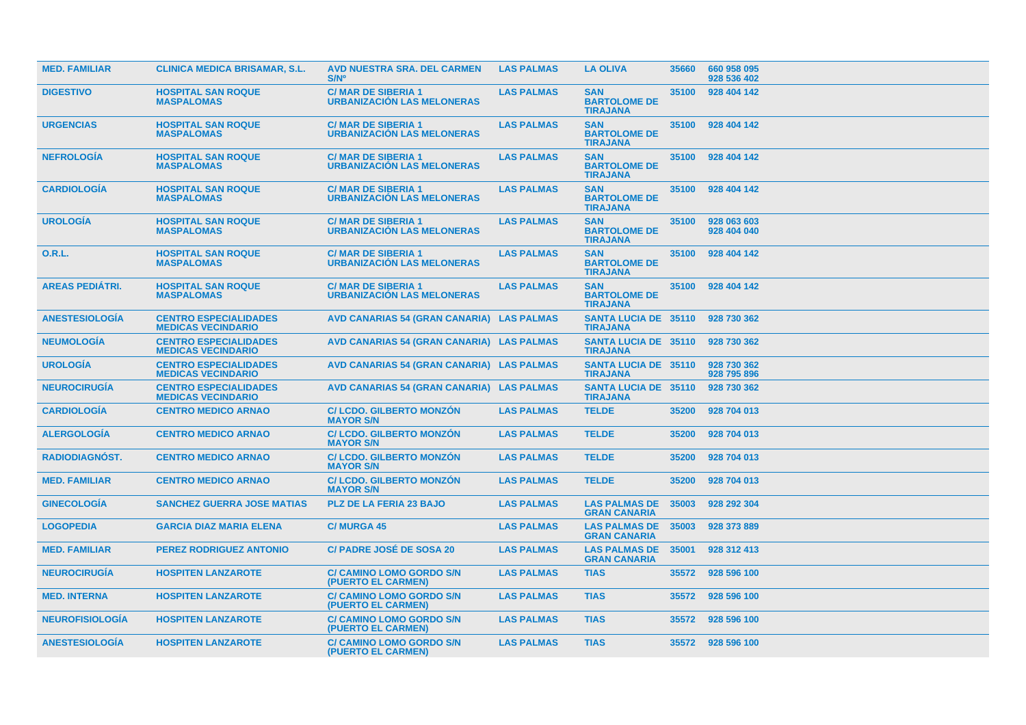| <b>MED. FAMILIAR</b>   | <b>CLINICA MEDICA BRISAMAR, S.L.</b>                      | <b>AVD NUESTRA SRA. DEL CARMEN</b><br>S/N°                     | <b>LAS PALMAS</b> | <b>LA OLIVA</b>                                      | 35660 | 660 958 095<br>928 536 402 |
|------------------------|-----------------------------------------------------------|----------------------------------------------------------------|-------------------|------------------------------------------------------|-------|----------------------------|
| <b>DIGESTIVO</b>       | <b>HOSPITAL SAN ROQUE</b><br><b>MASPALOMAS</b>            | <b>C/MAR DE SIBERIA 1</b><br><b>URBANIZACION LAS MELONERAS</b> | <b>LAS PALMAS</b> | <b>SAN</b><br><b>BARTOLOME DE</b><br><b>TIRAJANA</b> | 35100 | 928 404 142                |
| <b>URGENCIAS</b>       | <b>HOSPITAL SAN ROQUE</b><br><b>MASPALOMAS</b>            | <b>C/MAR DE SIBERIA 1</b><br><b>URBANIZACIÓN LAS MELONERAS</b> | <b>LAS PALMAS</b> | <b>SAN</b><br><b>BARTOLOME DE</b><br><b>TIRAJANA</b> | 35100 | 928 404 142                |
| <b>NEFROLOGIA</b>      | <b>HOSPITAL SAN ROQUE</b><br><b>MASPALOMAS</b>            | <b>C/MAR DE SIBERIA 1</b><br><b>URBANIZACIÓN LAS MELONERAS</b> | <b>LAS PALMAS</b> | <b>SAN</b><br><b>BARTOLOME DE</b><br><b>TIRAJANA</b> | 35100 | 928 404 142                |
| <b>CARDIOLOGIA</b>     | <b>HOSPITAL SAN ROQUE</b><br><b>MASPALOMAS</b>            | <b>C/MAR DE SIBERIA 1</b><br><b>URBANIZACIÓN LAS MELONERAS</b> | <b>LAS PALMAS</b> | <b>SAN</b><br><b>BARTOLOME DE</b><br><b>TIRAJANA</b> | 35100 | 928 404 142                |
| <b>UROLOGÍA</b>        | <b>HOSPITAL SAN ROQUE</b><br><b>MASPALOMAS</b>            | <b>C/MAR DE SIBERIA 1</b><br><b>URBANIZACIÓN LAS MELONERAS</b> | <b>LAS PALMAS</b> | <b>SAN</b><br><b>BARTOLOME DE</b><br><b>TIRAJANA</b> | 35100 | 928 063 603<br>928 404 040 |
| 0.R.L.                 | <b>HOSPITAL SAN ROQUE</b><br><b>MASPALOMAS</b>            | <b>C/MAR DE SIBERIA 1</b><br><b>URBANIZACIÓN LAS MELONERAS</b> | <b>LAS PALMAS</b> | <b>SAN</b><br><b>BARTOLOME DE</b><br><b>TIRAJANA</b> | 35100 | 928 404 142                |
| <b>AREAS PEDIATRI.</b> | <b>HOSPITAL SAN ROQUE</b><br><b>MASPALOMAS</b>            | <b>C/MAR DE SIBERIA 1</b><br><b>URBANIZACIÓN LAS MELONERAS</b> | <b>LAS PALMAS</b> | <b>SAN</b><br><b>BARTOLOME DE</b><br><b>TIRAJANA</b> | 35100 | 928 404 142                |
| <b>ANESTESIOLOGIA</b>  | <b>CENTRO ESPECIALIDADES</b><br><b>MEDICAS VECINDARIO</b> | AVD CANARIAS 54 (GRAN CANARIA) LAS PALMAS                      |                   | <b>SANTA LUCIA DE 35110</b><br><b>TIRAJANA</b>       |       | 928 730 362                |
| <b>NEUMOLOGÍA</b>      | <b>CENTRO ESPECIALIDADES</b><br><b>MEDICAS VECINDARIO</b> | AVD CANARIAS 54 (GRAN CANARIA) LAS PALMAS                      |                   | SANTA LUCIA DE 35110 928 730 362<br><b>TIRAJANA</b>  |       |                            |
| <b>UROLOGIA</b>        | <b>CENTRO ESPECIALIDADES</b><br><b>MEDICAS VECINDARIO</b> | AVD CANARIAS 54 (GRAN CANARIA) LAS PALMAS                      |                   | <b>SANTA LUCIA DE 35110</b><br><b>TIRAJANA</b>       |       | 928 730 362<br>928 795 896 |
| <b>NEUROCIRUGIA</b>    | <b>CENTRO ESPECIALIDADES</b><br><b>MEDICAS VECINDARIO</b> | AVD CANARIAS 54 (GRAN CANARIA) LAS PALMAS                      |                   | <b>SANTA LUCIA DE 35110</b><br><b>TIRAJANA</b>       |       | 928 730 362                |
| <b>CARDIOLOGIA</b>     | <b>CENTRO MEDICO ARNAO</b>                                | <b>C/LCDO, GILBERTO MONZÓN</b><br><b>MAYOR S/N</b>             | <b>LAS PALMAS</b> | <b>TELDE</b>                                         | 35200 | 928 704 013                |
| <b>ALERGOLOGIA</b>     | <b>CENTRO MEDICO ARNAO</b>                                | <b>C/LCDO. GILBERTO MONZÓN</b><br><b>MAYOR S/N</b>             | <b>LAS PALMAS</b> | <b>TELDE</b>                                         | 35200 | 928 704 013                |
| <b>RADIODIAGNÓST.</b>  | <b>CENTRO MEDICO ARNAO</b>                                | <b>C/LCDO, GILBERTO MONZÓN</b><br><b>MAYOR S/N</b>             | <b>LAS PALMAS</b> | <b>TELDE</b>                                         | 35200 | 928 704 013                |
| <b>MED. FAMILIAR</b>   | <b>CENTRO MEDICO ARNAO</b>                                | <b>C/LCDO. GILBERTO MONZON</b><br><b>MAYOR S/N</b>             | <b>LAS PALMAS</b> | <b>TELDE</b>                                         | 35200 | 928 704 013                |
| <b>GINECOLOGIA</b>     | <b>SANCHEZ GUERRA JOSE MATIAS</b>                         | <b>PLZ DE LA FERIA 23 BAJO</b>                                 | <b>LAS PALMAS</b> | <b>LAS PALMAS DE</b><br><b>GRAN CANARIA</b>          | 35003 | 928 292 304                |
| <b>LOGOPEDIA</b>       | <b>GARCIA DIAZ MARIA ELENA</b>                            | <b>C/MURGA 45</b>                                              | <b>LAS PALMAS</b> | <b>LAS PALMAS DE</b><br><b>GRAN CANARIA</b>          | 35003 | 928 373 889                |
| <b>MED. FAMILIAR</b>   | <b>PEREZ RODRIGUEZ ANTONIO</b>                            | <b>C/ PADRE JOSÉ DE SOSA 20</b>                                | <b>LAS PALMAS</b> | <b>LAS PALMAS DE</b><br><b>GRAN CANARIA</b>          | 35001 | 928 312 413                |
| <b>NEUROCIRUGIA</b>    | <b>HOSPITEN LANZAROTE</b>                                 | <b>C/ CAMINO LOMO GORDO S/N</b><br>(PUERTO EL CARMEN)          | <b>LAS PALMAS</b> | <b>TIAS</b>                                          | 35572 | 928 596 100                |
| <b>MED. INTERNA</b>    | <b>HOSPITEN LANZAROTE</b>                                 | <b>C/ CAMINO LOMO GORDO S/N</b><br>(PUERTO EL CARMEN)          | <b>LAS PALMAS</b> | <b>TIAS</b>                                          | 35572 | 928 596 100                |
| <b>NEUROFISIOLOGIA</b> | <b>HOSPITEN LANZAROTE</b>                                 | <b>C/ CAMINO LOMO GORDO S/N</b><br>(PUERTO EL CARMEN)          | <b>LAS PALMAS</b> | <b>TIAS</b>                                          | 35572 | 928 596 100                |
| <b>ANESTESIOLOGIA</b>  | <b>HOSPITEN LANZAROTE</b>                                 | <b>C/ CAMINO LOMO GORDO S/N</b><br>(PUERTO EL CARMEN)          | <b>LAS PALMAS</b> | <b>TIAS</b>                                          |       | 35572 928 596 100          |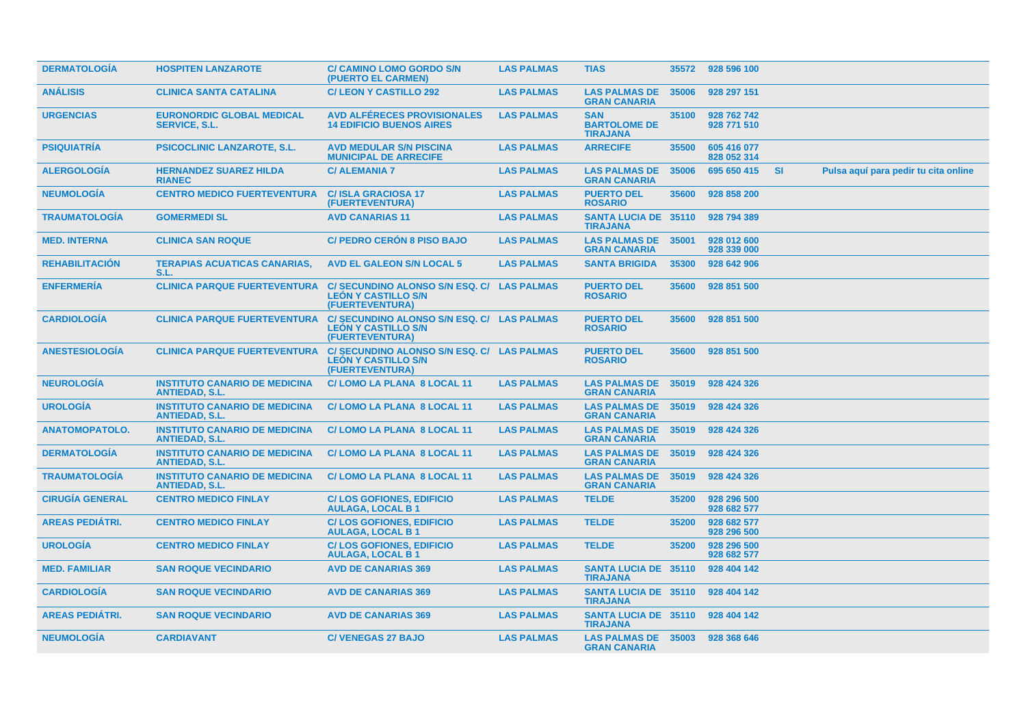| <b>DERMATOLOGIA</b>    | <b>HOSPITEN LANZAROTE</b>                                     | <b>C/ CAMINO LOMO GORDO S/N</b><br>(PUERTO EL CARMEN)                                       | <b>LAS PALMAS</b> | <b>TIAS</b>                                          | 35572 | 928 596 100                |     |                                      |
|------------------------|---------------------------------------------------------------|---------------------------------------------------------------------------------------------|-------------------|------------------------------------------------------|-------|----------------------------|-----|--------------------------------------|
| <b>ANÁLISIS</b>        | <b>CLINICA SANTA CATALINA</b>                                 | <b>C/ LEON Y CASTILLO 292</b>                                                               | <b>LAS PALMAS</b> | <b>LAS PALMAS DE</b><br><b>GRAN CANARIA</b>          | 35006 | 928 297 151                |     |                                      |
| <b>URGENCIAS</b>       | <b>EURONORDIC GLOBAL MEDICAL</b><br><b>SERVICE, S.L.</b>      | <b>AVD ALFERECES PROVISIONALES</b><br><b>14 EDIFICIO BUENOS AIRES</b>                       | <b>LAS PALMAS</b> | <b>SAN</b><br><b>BARTOLOME DE</b><br><b>TIRAJANA</b> | 35100 | 928 762 742<br>928 771 510 |     |                                      |
| <b>PSIQUIATRÍA</b>     | <b>PSICOCLINIC LANZAROTE, S.L.</b>                            | <b>AVD MEDULAR S/N PISCINA</b><br><b>MUNICIPAL DE ARRECIFE</b>                              | <b>LAS PALMAS</b> | <b>ARRECIFE</b>                                      | 35500 | 605 416 077<br>828 052 314 |     |                                      |
| <b>ALERGOLOGÍA</b>     | <b>HERNANDEZ SUAREZ HILDA</b><br><b>RIANEC</b>                | <b>C/ ALEMANIA 7</b>                                                                        | <b>LAS PALMAS</b> | <b>LAS PALMAS DE</b><br><b>GRAN CANARIA</b>          | 35006 | 695 650 415                | -SI | Pulsa aquí para pedir tu cita online |
| <b>NEUMOLOGIA</b>      | <b>CENTRO MEDICO FUERTEVENTURA</b>                            | <b>C/ISLA GRACIOSA 17</b><br>(FUERTEVENTURA)                                                | <b>LAS PALMAS</b> | <b>PUERTO DEL</b><br><b>ROSARIO</b>                  | 35600 | 928 858 200                |     |                                      |
| <b>TRAUMATOLOGÍA</b>   | <b>GOMERMEDI SL</b>                                           | <b>AVD CANARIAS 11</b>                                                                      | <b>LAS PALMAS</b> | <b>SANTA LUCIA DE 35110</b><br><b>TIRAJANA</b>       |       | 928 794 389                |     |                                      |
| <b>MED. INTERNA</b>    | <b>CLINICA SAN ROQUE</b>                                      | <b>C/ PEDRO CERON 8 PISO BAJO</b>                                                           | <b>LAS PALMAS</b> | <b>LAS PALMAS DE</b><br><b>GRAN CANARIA</b>          | 35001 | 928 012 600<br>928 339 000 |     |                                      |
| <b>REHABILITACION</b>  | <b>TERAPIAS ACUATICAS CANARIAS,</b><br>S.L.                   | <b>AVD EL GALEON S/N LOCAL 5</b>                                                            | <b>LAS PALMAS</b> | <b>SANTA BRIGIDA</b>                                 | 35300 | 928 642 906                |     |                                      |
| <b>ENFERMERÍA</b>      | <b>CLINICA PARQUE FUERTEVENTURA</b>                           | <b>C/ SECUNDINO ALONSO S/N ESQ. C/</b><br><b>LEÓN Y CASTILLO S/N</b><br>(FUERTEVENTURA)     | <b>LAS PALMAS</b> | <b>PUERTO DEL</b><br><b>ROSARIO</b>                  | 35600 | 928 851 500                |     |                                      |
| <b>CARDIOLOGÍA</b>     | <b>CLINICA PARQUE FUERTEVENTURA</b>                           | C/ SECUNDINO ALONSO S/N ESQ. C/<br><b>LEÓN Y CASTILLO S/N</b><br>(FUERTEVENTURA)            | <b>LAS PALMAS</b> | <b>PUERTO DEL</b><br><b>ROSARIO</b>                  | 35600 | 928 851 500                |     |                                      |
| <b>ANESTESIOLOGIA</b>  | <b>CLINICA PARQUE FUERTEVENTURA</b>                           | C/ SECUNDINO ALONSO S/N ESQ. C/ LAS PALMAS<br><b>LEÓN Y CASTILLO S/N</b><br>(FUERTEVENTURA) |                   | <b>PUERTO DEL</b><br><b>ROSARIO</b>                  | 35600 | 928 851 500                |     |                                      |
| <b>NEUROLOGÍA</b>      | <b>INSTITUTO CANARIO DE MEDICINA</b><br><b>ANTIEDAD, S.L.</b> | <b>C/LOMO LA PLANA 8 LOCAL 11</b>                                                           | <b>LAS PALMAS</b> | <b>LAS PALMAS DE</b><br><b>GRAN CANARIA</b>          | 35019 | 928 424 326                |     |                                      |
| <b>UROLOGÍA</b>        | <b>INSTITUTO CANARIO DE MEDICINA</b><br><b>ANTIEDAD, S.L.</b> | C/LOMO LA PLANA 8 LOCAL 11                                                                  | <b>LAS PALMAS</b> | <b>LAS PALMAS DE</b><br><b>GRAN CANARIA</b>          | 35019 | 928 424 326                |     |                                      |
| <b>ANATOMOPATOLO.</b>  | <b>INSTITUTO CANARIO DE MEDICINA</b><br><b>ANTIEDAD, S.L.</b> | C/LOMO LA PLANA 8 LOCAL 11                                                                  | <b>LAS PALMAS</b> | <b>LAS PALMAS DE</b><br><b>GRAN CANARIA</b>          | 35019 | 928 424 326                |     |                                      |
| <b>DERMATOLOGIA</b>    | <b>INSTITUTO CANARIO DE MEDICINA</b><br><b>ANTIEDAD, S.L.</b> | C/LOMO LA PLANA 8 LOCAL 11                                                                  | <b>LAS PALMAS</b> | <b>LAS PALMAS DE</b><br><b>GRAN CANARIA</b>          | 35019 | 928 424 326                |     |                                      |
| <b>TRAUMATOLOGÍA</b>   | <b>INSTITUTO CANARIO DE MEDICINA</b><br><b>ANTIEDAD, S.L.</b> | C/LOMO LA PLANA 8 LOCAL 11                                                                  | <b>LAS PALMAS</b> | <b>LAS PALMAS DE</b><br><b>GRAN CANARIA</b>          | 35019 | 928 424 326                |     |                                      |
| <b>CIRUGÍA GENERAL</b> | <b>CENTRO MEDICO FINLAY</b>                                   | <b>C/LOS GOFIONES, EDIFICIO</b><br><b>AULAGA, LOCAL B1</b>                                  | <b>LAS PALMAS</b> | <b>TELDE</b>                                         | 35200 | 928 296 500<br>928 682 577 |     |                                      |
| <b>AREAS PEDIÁTRI.</b> | <b>CENTRO MEDICO FINLAY</b>                                   | <b>C/LOS GOFIONES, EDIFICIO</b><br><b>AULAGA, LOCAL B1</b>                                  | <b>LAS PALMAS</b> | <b>TELDE</b>                                         | 35200 | 928 682 577<br>928 296 500 |     |                                      |
| <b>UROLOGÍA</b>        | <b>CENTRO MEDICO FINLAY</b>                                   | <b>C/LOS GOFIONES, EDIFICIO</b><br><b>AULAGA, LOCAL B1</b>                                  | <b>LAS PALMAS</b> | <b>TELDE</b>                                         | 35200 | 928 296 500<br>928 682 577 |     |                                      |
| <b>MED. FAMILIAR</b>   | <b>SAN ROQUE VECINDARIO</b>                                   | <b>AVD DE CANARIAS 369</b>                                                                  | <b>LAS PALMAS</b> | <b>SANTA LUCIA DE 35110</b><br><b>TIRAJANA</b>       |       | 928 404 142                |     |                                      |
| <b>CARDIOLOGÍA</b>     | <b>SAN ROQUE VECINDARIO</b>                                   | <b>AVD DE CANARIAS 369</b>                                                                  | <b>LAS PALMAS</b> | <b>SANTA LUCIA DE 35110</b><br><b>TIRAJANA</b>       |       | 928 404 142                |     |                                      |
| <b>AREAS PEDIÁTRI.</b> | <b>SAN ROQUE VECINDARIO</b>                                   | <b>AVD DE CANARIAS 369</b>                                                                  | <b>LAS PALMAS</b> | <b>SANTA LUCIA DE 35110</b><br><b>TIRAJANA</b>       |       | 928 404 142                |     |                                      |
| <b>NEUMOLOGÍA</b>      | <b>CARDIAVANT</b>                                             | <b>C/VENEGAS 27 BAJO</b>                                                                    | <b>LAS PALMAS</b> | <b>LAS PALMAS DE 35003</b><br><b>GRAN CANARIA</b>    |       | 928 368 646                |     |                                      |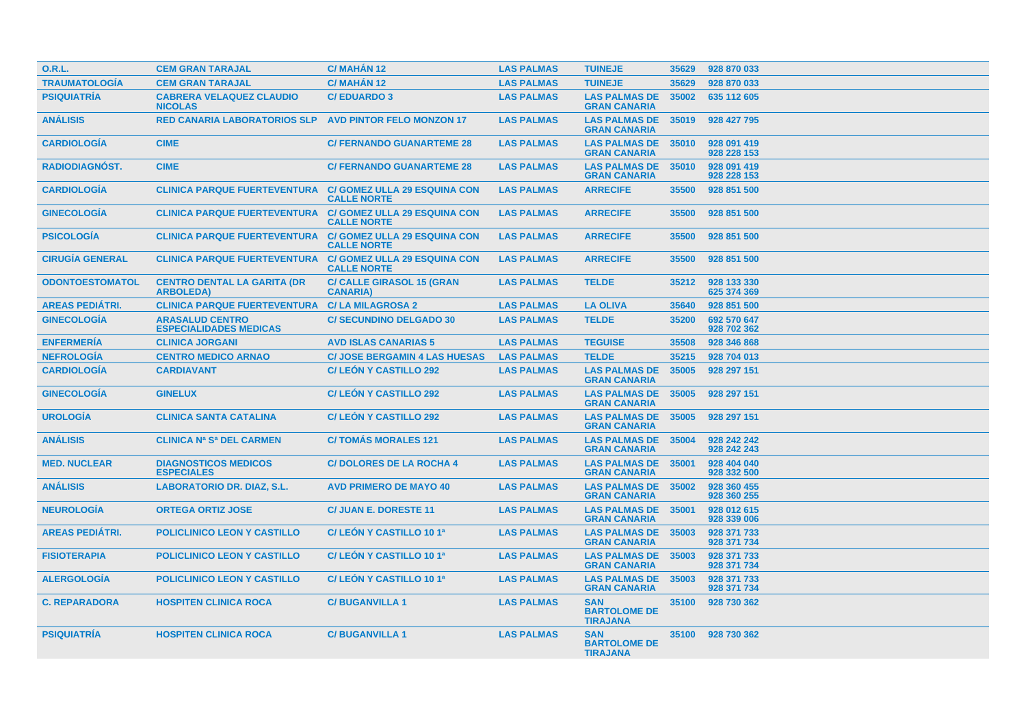| <b>O.R.L.</b>          | <b>CEM GRAN TARAJAL</b>                                           | C/ MAHÁN 12                                               | <b>LAS PALMAS</b> | <b>TUINEJE</b>                                       | 35629 | 928 870 033                |
|------------------------|-------------------------------------------------------------------|-----------------------------------------------------------|-------------------|------------------------------------------------------|-------|----------------------------|
| <b>TRAUMATOLOGÍA</b>   | <b>CEM GRAN TARAJAL</b>                                           | C/MAHÁN 12                                                | <b>LAS PALMAS</b> | <b>TUINEJE</b>                                       | 35629 | 928 870 033                |
| <b>PSIQUIATRÍA</b>     | <b>CABRERA VELAQUEZ CLAUDIO</b><br><b>NICOLAS</b>                 | <b>C/EDUARDO 3</b>                                        | <b>LAS PALMAS</b> | <b>LAS PALMAS DE</b><br><b>GRAN CANARIA</b>          | 35002 | 635 112 605                |
| <b>ANÁLISIS</b>        | <b>RED CANARIA LABORATORIOS SLP</b>                               | <b>AVD PINTOR FELO MONZON 17</b>                          | <b>LAS PALMAS</b> | <b>LAS PALMAS DE</b><br><b>GRAN CANARIA</b>          | 35019 | 928 427 795                |
| <b>CARDIOLOGÍA</b>     | <b>CIME</b>                                                       | <b>C/ FERNANDO GUANARTEME 28</b>                          | <b>LAS PALMAS</b> | <b>LAS PALMAS DE</b><br><b>GRAN CANARIA</b>          | 35010 | 928 091 419<br>928 228 153 |
| RADIODIAGNÓST.         | <b>CIME</b>                                                       | <b>C/ FERNANDO GUANARTEME 28</b>                          | <b>LAS PALMAS</b> | <b>LAS PALMAS DE</b><br><b>GRAN CANARIA</b>          | 35010 | 928 091 419<br>928 228 153 |
| <b>CARDIOLOGIA</b>     | <b>CLINICA PARQUE FUERTEVENTURA</b>                               | <b>C/ GOMEZ ULLA 29 ESQUINA CON</b><br><b>CALLE NORTE</b> | <b>LAS PALMAS</b> | <b>ARRECIFE</b>                                      | 35500 | 928 851 500                |
| <b>GINECOLOGIA</b>     | <b>CLINICA PARQUE FUERTEVENTURA C/ GOMEZ ULLA 29 ESQUINA CON</b>  | <b>CALLE NORTE</b>                                        | <b>LAS PALMAS</b> | <b>ARRECIFE</b>                                      | 35500 | 928 851 500                |
| <b>PSICOLOGÍA</b>      | <b>CLINICA PARQUE FUERTEVENTURA  C/ GOMEZ ULLA 29 ESQUINA CON</b> | <b>CALLE NORTE</b>                                        | <b>LAS PALMAS</b> | <b>ARRECIFE</b>                                      | 35500 | 928 851 500                |
| <b>CIRUGÍA GENERAL</b> | <b>CLINICA PARQUE FUERTEVENTURA  C/ GOMEZ ULLA 29 ESQUINA CON</b> | <b>CALLE NORTE</b>                                        | <b>LAS PALMAS</b> | <b>ARRECIFE</b>                                      | 35500 | 928 851 500                |
| <b>ODONTOESTOMATOL</b> | <b>CENTRO DENTAL LA GARITA (DR</b><br><b>ARBOLEDA)</b>            | <b>C/ CALLE GIRASOL 15 (GRAN</b><br><b>CANARIA)</b>       | <b>LAS PALMAS</b> | <b>TELDE</b>                                         | 35212 | 928 133 330<br>625 374 369 |
| <b>AREAS PEDIÁTRI.</b> | <b>CLINICA PARQUE FUERTEVENTURA</b>                               | <b>C/LA MILAGROSA 2</b>                                   | <b>LAS PALMAS</b> | <b>LA OLIVA</b>                                      | 35640 | 928 851 500                |
| <b>GINECOLOGÍA</b>     | <b>ARASALUD CENTRO</b><br><b>ESPECIALIDADES MEDICAS</b>           | <b>C/SECUNDINO DELGADO 30</b>                             | <b>LAS PALMAS</b> | <b>TELDE</b>                                         | 35200 | 692 570 647<br>928 702 362 |
| <b>ENFERMERIA</b>      | <b>CLINICA JORGANI</b>                                            | <b>AVD ISLAS CANARIAS 5</b>                               | <b>LAS PALMAS</b> | <b>TEGUISE</b>                                       | 35508 | 928 346 868                |
| <b>NEFROLOGÍA</b>      | <b>CENTRO MEDICO ARNAO</b>                                        | <b>C/ JOSE BERGAMIN 4 LAS HUESAS</b>                      | <b>LAS PALMAS</b> | <b>TELDE</b>                                         | 35215 | 928 704 013                |
| <b>CARDIOLOGÍA</b>     | <b>CARDIAVANT</b>                                                 | <b>C/LEON Y CASTILLO 292</b>                              | <b>LAS PALMAS</b> | <b>LAS PALMAS DE</b><br><b>GRAN CANARIA</b>          | 35005 | 928 297 151                |
| <b>GINECOLOGÍA</b>     | <b>GINELUX</b>                                                    | <b>C/LEON Y CASTILLO 292</b>                              | <b>LAS PALMAS</b> | <b>LAS PALMAS DE</b><br><b>GRAN CANARIA</b>          | 35005 | 928 297 151                |
| <b>UROLOGÍA</b>        | <b>CLINICA SANTA CATALINA</b>                                     | <b>C/LEON Y CASTILLO 292</b>                              | <b>LAS PALMAS</b> | <b>LAS PALMAS DE</b><br><b>GRAN CANARIA</b>          | 35005 | 928 297 151                |
| <b>ANÁLISIS</b>        | <b>CLINICA Nº Sª DEL CARMEN</b>                                   | <b>C/TOMAS MORALES 121</b>                                | <b>LAS PALMAS</b> | <b>LAS PALMAS DE</b><br><b>GRAN CANARIA</b>          | 35004 | 928 242 242<br>928 242 243 |
| <b>MED. NUCLEAR</b>    | <b>DIAGNOSTICOS MEDICOS</b><br><b>ESPECIALES</b>                  | <b>C/DOLORES DE LA ROCHA 4</b>                            | <b>LAS PALMAS</b> | <b>LAS PALMAS DE</b><br><b>GRAN CANARIA</b>          | 35001 | 928 404 040<br>928 332 500 |
| <b>ANÁLISIS</b>        | <b>LABORATORIO DR. DIAZ, S.L.</b>                                 | <b>AVD PRIMERO DE MAYO 40</b>                             | <b>LAS PALMAS</b> | <b>LAS PALMAS DE</b><br><b>GRAN CANARIA</b>          | 35002 | 928 360 455<br>928 360 255 |
| <b>NEUROLOGIA</b>      | <b>ORTEGA ORTIZ JOSE</b>                                          | <b>C/ JUAN E. DORESTE 11</b>                              | <b>LAS PALMAS</b> | <b>LAS PALMAS DE</b><br><b>GRAN CANARIA</b>          | 35001 | 928 012 615<br>928 339 006 |
| <b>AREAS PEDIÁTRI.</b> | <b>POLICLINICO LEON Y CASTILLO</b>                                | C/ LEON Y CASTILLO 10 1ª                                  | <b>LAS PALMAS</b> | <b>LAS PALMAS DE</b><br><b>GRAN CANARIA</b>          | 35003 | 928 371 733<br>928 371 734 |
| <b>FISIOTERAPIA</b>    | <b>POLICLINICO LEON Y CASTILLO</b>                                | C/LEÓN Y CASTILLO 10 1ª                                   | <b>LAS PALMAS</b> | <b>LAS PALMAS DE</b><br><b>GRAN CANARIA</b>          | 35003 | 928 371 733<br>928 371 734 |
| <b>ALERGOLOGÍA</b>     | POLICLINICO LEON Y CASTILLO                                       | C/ LEÓN Y CASTILLO 10 1ª                                  | <b>LAS PALMAS</b> | <b>LAS PALMAS DE</b><br><b>GRAN CANARIA</b>          | 35003 | 928 371 733<br>928 371 734 |
| <b>C. REPARADORA</b>   | <b>HOSPITEN CLINICA ROCA</b>                                      | <b>C/BUGANVILLA1</b>                                      | <b>LAS PALMAS</b> | <b>SAN</b><br><b>BARTOLOME DE</b><br><b>TIRAJANA</b> | 35100 | 928 730 362                |
| <b>PSIQUIATRÍA</b>     | <b>HOSPITEN CLINICA ROCA</b>                                      | <b>C/BUGANVILLA1</b>                                      | <b>LAS PALMAS</b> | <b>SAN</b><br><b>BARTOLOME DE</b><br><b>TIRAJANA</b> | 35100 | 928 730 362                |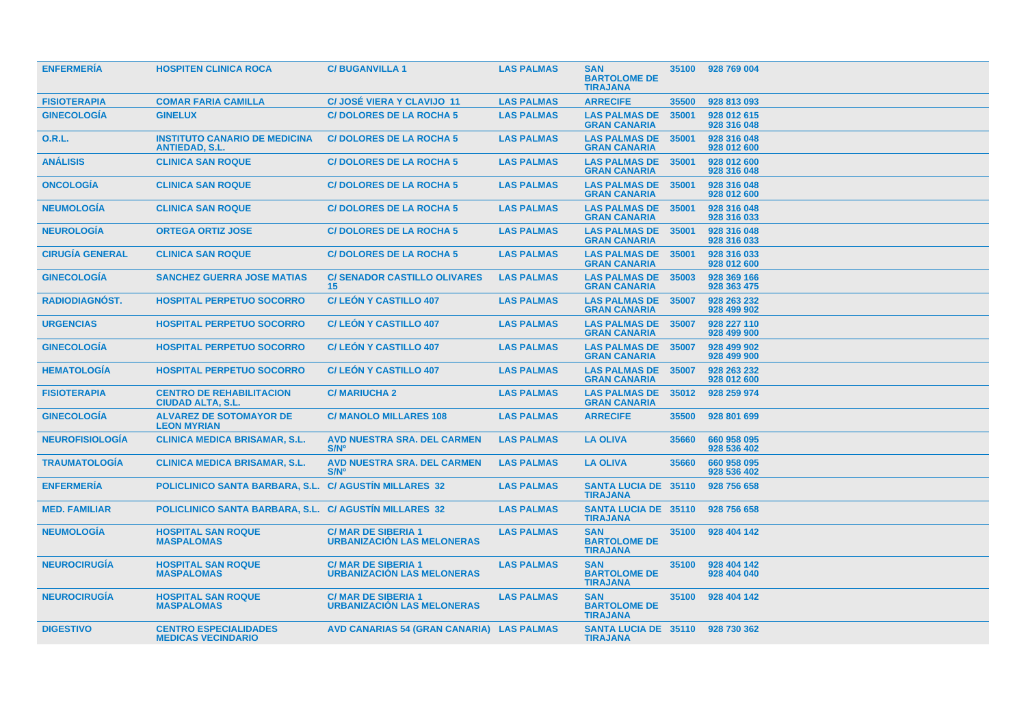| <b>ENFERMERIA</b>      | <b>HOSPITEN CLINICA ROCA</b>                                  | <b>C/BUGANVILLA1</b>                                           | <b>LAS PALMAS</b> | <b>SAN</b><br><b>BARTOLOME DE</b><br><b>TIRAJANA</b> | 35100 | 928 769 004                |
|------------------------|---------------------------------------------------------------|----------------------------------------------------------------|-------------------|------------------------------------------------------|-------|----------------------------|
| <b>FISIOTERAPIA</b>    | <b>COMAR FARIA CAMILLA</b>                                    | <b>C/JOSÉ VIERA Y CLAVIJO 11</b>                               | <b>LAS PALMAS</b> | <b>ARRECIFE</b>                                      | 35500 | 928 813 093                |
| <b>GINECOLOGIA</b>     | <b>GINELUX</b>                                                | <b>C/DOLORES DE LA ROCHA 5</b>                                 | <b>LAS PALMAS</b> | <b>LAS PALMAS DE</b><br><b>GRAN CANARIA</b>          | 35001 | 928 012 615<br>928 316 048 |
| 0.R.L.                 | <b>INSTITUTO CANARIO DE MEDICINA</b><br><b>ANTIEDAD, S.L.</b> | <b>C/DOLORES DE LA ROCHA 5</b>                                 | <b>LAS PALMAS</b> | <b>LAS PALMAS DE</b><br><b>GRAN CANARIA</b>          | 35001 | 928 316 048<br>928 012 600 |
| <b>ANÁLISIS</b>        | <b>CLINICA SAN ROQUE</b>                                      | <b>C/DOLORES DE LA ROCHA 5</b>                                 | <b>LAS PALMAS</b> | <b>LAS PALMAS DE</b><br><b>GRAN CANARIA</b>          | 35001 | 928 012 600<br>928 316 048 |
| <b>ONCOLOGIA</b>       | <b>CLINICA SAN ROQUE</b>                                      | <b>C/DOLORES DE LA ROCHA 5</b>                                 | <b>LAS PALMAS</b> | <b>LAS PALMAS DE</b><br><b>GRAN CANARIA</b>          | 35001 | 928 316 048<br>928 012 600 |
| <b>NEUMOLOGÍA</b>      | <b>CLINICA SAN ROQUE</b>                                      | <b>C/DOLORES DE LA ROCHA 5</b>                                 | <b>LAS PALMAS</b> | <b>LAS PALMAS DE</b><br><b>GRAN CANARIA</b>          | 35001 | 928 316 048<br>928 316 033 |
| <b>NEUROLOGÍA</b>      | <b>ORTEGA ORTIZ JOSE</b>                                      | <b>C/DOLORES DE LA ROCHA 5</b>                                 | <b>LAS PALMAS</b> | <b>LAS PALMAS DE</b><br><b>GRAN CANARIA</b>          | 35001 | 928 316 048<br>928 316 033 |
| <b>CIRUGÍA GENERAL</b> | <b>CLINICA SAN ROQUE</b>                                      | <b>C/DOLORES DE LA ROCHA 5</b>                                 | <b>LAS PALMAS</b> | <b>LAS PALMAS DE</b><br><b>GRAN CANARIA</b>          | 35001 | 928 316 033<br>928 012 600 |
| <b>GINECOLOGIA</b>     | <b>SANCHEZ GUERRA JOSE MATIAS</b>                             | <b>C/ SENADOR CASTILLO OLIVARES</b><br>15 <sup>15</sup>        | <b>LAS PALMAS</b> | <b>LAS PALMAS DE</b><br><b>GRAN CANARIA</b>          | 35003 | 928 369 166<br>928 363 475 |
| <b>RADIODIAGNOST.</b>  | <b>HOSPITAL PERPETUO SOCORRO</b>                              | <b>C/LEON Y CASTILLO 407</b>                                   | <b>LAS PALMAS</b> | <b>LAS PALMAS DE</b><br><b>GRAN CANARIA</b>          | 35007 | 928 263 232<br>928 499 902 |
| <b>URGENCIAS</b>       | <b>HOSPITAL PERPETUO SOCORRO</b>                              | <b>C/LEON Y CASTILLO 407</b>                                   | <b>LAS PALMAS</b> | <b>LAS PALMAS DE</b><br><b>GRAN CANARIA</b>          | 35007 | 928 227 110<br>928 499 900 |
| <b>GINECOLOGÍA</b>     | <b>HOSPITAL PERPETUO SOCORRO</b>                              | <b>C/LEON Y CASTILLO 407</b>                                   | <b>LAS PALMAS</b> | <b>LAS PALMAS DE</b><br><b>GRAN CANARIA</b>          | 35007 | 928 499 902<br>928 499 900 |
| <b>HEMATOLOGIA</b>     | <b>HOSPITAL PERPETUO SOCORRO</b>                              | <b>C/LEON Y CASTILLO 407</b>                                   | <b>LAS PALMAS</b> | <b>LAS PALMAS DE</b><br><b>GRAN CANARIA</b>          | 35007 | 928 263 232<br>928 012 600 |
| <b>FISIOTERAPIA</b>    | <b>CENTRO DE REHABILITACION</b><br><b>CIUDAD ALTA, S.L.</b>   | <b>C/MARIUCHA 2</b>                                            | <b>LAS PALMAS</b> | <b>LAS PALMAS DE</b><br><b>GRAN CANARIA</b>          | 35012 | 928 259 974                |
| <b>GINECOLOGIA</b>     | <b>ALVAREZ DE SOTOMAYOR DE</b><br><b>LEON MYRIAN</b>          | <b>C/ MANOLO MILLARES 108</b>                                  | <b>LAS PALMAS</b> | <b>ARRECIFE</b>                                      | 35500 | 928 801 699                |
| <b>NEUROFISIOLOGÍA</b> | <b>CLINICA MEDICA BRISAMAR, S.L.</b>                          | <b>AVD NUESTRA SRA. DEL CARMEN</b><br>S/N <sup>o</sup>         | <b>LAS PALMAS</b> | <b>LA OLIVA</b>                                      | 35660 | 660 958 095<br>928 536 402 |
| <b>TRAUMATOLOGIA</b>   | <b>CLINICA MEDICA BRISAMAR, S.L.</b>                          | <b>AVD NUESTRA SRA. DEL CARMEN</b><br>S/N <sup>o</sup>         | <b>LAS PALMAS</b> | <b>LA OLIVA</b>                                      | 35660 | 660 958 095<br>928 536 402 |
| <b>ENFERMERÍA</b>      | POLICLINICO SANTA BARBARA, S.L.                               | <b>C/ AGUSTIN MILLARES 32</b>                                  | <b>LAS PALMAS</b> | <b>SANTA LUCIA DE 35110</b><br><b>TIRAJANA</b>       |       | 928 756 658                |
| <b>MED. FAMILIAR</b>   | POLICLINICO SANTA BARBARA, S.L. C/ AGUSTIN MILLARES 32        |                                                                | <b>LAS PALMAS</b> | <b>SANTA LUCIA DE 35110</b><br><b>TIRAJANA</b>       |       | 928 756 658                |
| <b>NEUMOLOGÍA</b>      | <b>HOSPITAL SAN ROQUE</b><br><b>MASPALOMAS</b>                | <b>C/MAR DE SIBERIA 1</b><br><b>URBANIZACION LAS MELONERAS</b> | <b>LAS PALMAS</b> | <b>SAN</b><br><b>BARTOLOME DE</b><br><b>TIRAJANA</b> | 35100 | 928 404 142                |
| <b>NEUROCIRUGIA</b>    | <b>HOSPITAL SAN ROQUE</b><br><b>MASPALOMAS</b>                | <b>C/MAR DE SIBERIA 1</b><br><b>URBANIZACIÓN LAS MELONERAS</b> | <b>LAS PALMAS</b> | <b>SAN</b><br><b>BARTOLOME DE</b><br><b>TIRAJANA</b> | 35100 | 928 404 142<br>928 404 040 |
| <b>NEUROCIRUGÍA</b>    | <b>HOSPITAL SAN ROQUE</b><br><b>MASPALOMAS</b>                | <b>C/MAR DE SIBERIA 1</b><br><b>URBANIZACIÓN LAS MELONERAS</b> | <b>LAS PALMAS</b> | <b>SAN</b><br><b>BARTOLOME DE</b><br><b>TIRAJANA</b> | 35100 | 928 404 142                |
| <b>DIGESTIVO</b>       | <b>CENTRO ESPECIALIDADES</b><br><b>MEDICAS VECINDARIO</b>     | AVD CANARIAS 54 (GRAN CANARIA) LAS PALMAS                      |                   | SANTA LUCIA DE 35110 928 730 362<br><b>TIRAJANA</b>  |       |                            |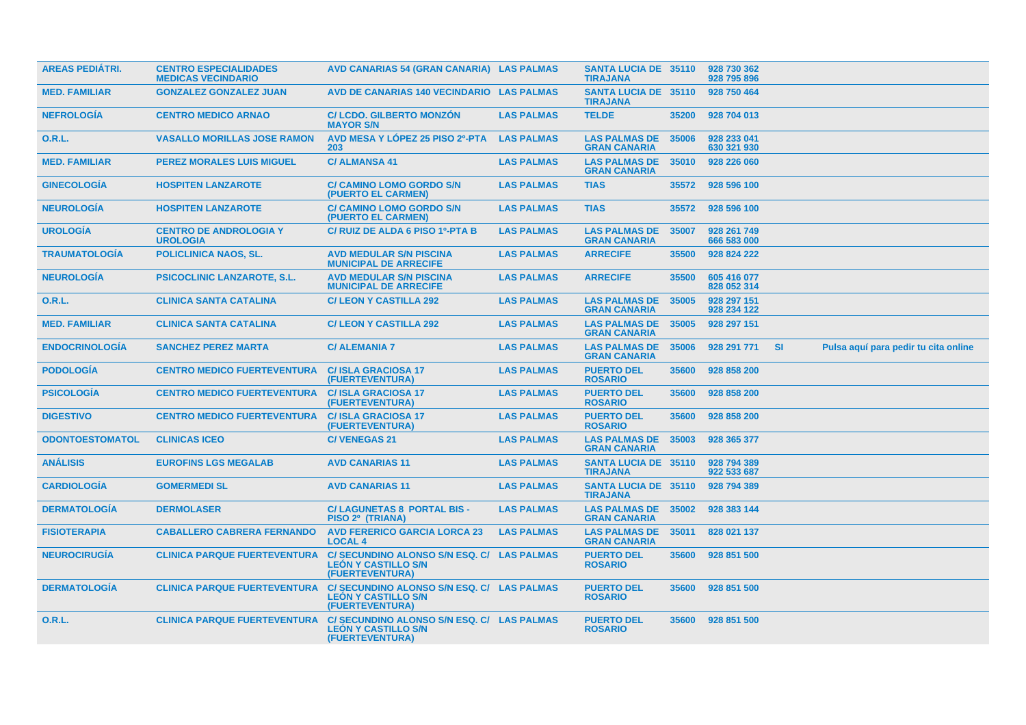| <b>AREAS PEDIÁTRI.</b> | <b>CENTRO ESPECIALIDADES</b><br><b>MEDICAS VECINDARIO</b> | AVD CANARIAS 54 (GRAN CANARIA) LAS PALMAS                                                   |                   | <b>SANTA LUCIA DE 35110</b><br><b>TIRAJANA</b> |       | 928 730 362<br>928 795 896 |           |                                      |  |
|------------------------|-----------------------------------------------------------|---------------------------------------------------------------------------------------------|-------------------|------------------------------------------------|-------|----------------------------|-----------|--------------------------------------|--|
| <b>MED. FAMILIAR</b>   | <b>GONZALEZ GONZALEZ JUAN</b>                             | AVD DE CANARIAS 140 VECINDARIO LAS PALMAS                                                   |                   | <b>SANTA LUCIA DE 35110</b><br><b>TIRAJANA</b> |       | 928 750 464                |           |                                      |  |
| <b>NEFROLOGIA</b>      | <b>CENTRO MEDICO ARNAO</b>                                | <b>C/ LCDO. GILBERTO MONZON</b><br><b>MAYOR S/N</b>                                         | <b>LAS PALMAS</b> | <b>TELDE</b>                                   | 35200 | 928 704 013                |           |                                      |  |
| 0.R.L.                 | <b>VASALLO MORILLAS JOSE RAMON</b>                        | AVD MESA Y LÓPEZ 25 PISO 2º-PTA<br>203                                                      | <b>LAS PALMAS</b> | <b>LAS PALMAS DE</b><br><b>GRAN CANARIA</b>    | 35006 | 928 233 041<br>630 321 930 |           |                                      |  |
| <b>MED. FAMILIAR</b>   | <b>PEREZ MORALES LUIS MIGUEL</b>                          | <b>C/ALMANSA 41</b>                                                                         | <b>LAS PALMAS</b> | <b>LAS PALMAS DE</b><br><b>GRAN CANARIA</b>    | 35010 | 928 226 060                |           |                                      |  |
| <b>GINECOLOGÍA</b>     | <b>HOSPITEN LANZAROTE</b>                                 | <b>C/ CAMINO LOMO GORDO S/N</b><br>(PUERTO EL CARMEN)                                       | <b>LAS PALMAS</b> | <b>TIAS</b>                                    | 35572 | 928 596 100                |           |                                      |  |
| <b>NEUROLOGÍA</b>      | <b>HOSPITEN LANZAROTE</b>                                 | <b>C/ CAMINO LOMO GORDO S/N</b><br>(PUERTO EL CARMEN)                                       | <b>LAS PALMAS</b> | <b>TIAS</b>                                    | 35572 | 928 596 100                |           |                                      |  |
| <b>UROLOGÍA</b>        | <b>CENTRO DE ANDROLOGIA Y</b><br><b>UROLOGIA</b>          | C/ RUIZ DE ALDA 6 PISO 1º-PTA B                                                             | <b>LAS PALMAS</b> | <b>LAS PALMAS DE</b><br><b>GRAN CANARIA</b>    | 35007 | 928 261 749<br>666 583 000 |           |                                      |  |
| <b>TRAUMATOLOGÍA</b>   | <b>POLICLINICA NAOS, SL.</b>                              | <b>AVD MEDULAR S/N PISCINA</b><br><b>MUNICIPAL DE ARRECIFE</b>                              | <b>LAS PALMAS</b> | <b>ARRECIFE</b>                                | 35500 | 928 824 222                |           |                                      |  |
| <b>NEUROLOGÍA</b>      | <b>PSICOCLINIC LANZAROTE, S.L.</b>                        | <b>AVD MEDULAR S/N PISCINA</b><br><b>MUNICIPAL DE ARRECIFE</b>                              | <b>LAS PALMAS</b> | <b>ARRECIFE</b>                                | 35500 | 605 416 077<br>828 052 314 |           |                                      |  |
| 0.R.L.                 | <b>CLINICA SANTA CATALINA</b>                             | <b>C/LEON Y CASTILLA 292</b>                                                                | <b>LAS PALMAS</b> | <b>LAS PALMAS DE</b><br><b>GRAN CANARIA</b>    | 35005 | 928 297 151<br>928 234 122 |           |                                      |  |
| <b>MED. FAMILIAR</b>   | <b>CLINICA SANTA CATALINA</b>                             | <b>C/LEON Y CASTILLA 292</b>                                                                | <b>LAS PALMAS</b> | <b>LAS PALMAS DE</b><br><b>GRAN CANARIA</b>    | 35005 | 928 297 151                |           |                                      |  |
| <b>ENDOCRINOLOGIA</b>  | <b>SANCHEZ PEREZ MARTA</b>                                | <b>C/ ALEMANIA 7</b>                                                                        | <b>LAS PALMAS</b> | <b>LAS PALMAS DE</b><br><b>GRAN CANARIA</b>    | 35006 | 928 291 771                | <b>SI</b> | Pulsa aquí para pedir tu cita online |  |
| <b>PODOLOGÍA</b>       | <b>CENTRO MEDICO FUERTEVENTURA</b>                        | <b>C/ISLA GRACIOSA 17</b><br>(FUERTEVENTURA)                                                | <b>LAS PALMAS</b> | <b>PUERTO DEL</b><br><b>ROSARIO</b>            | 35600 | 928 858 200                |           |                                      |  |
| <b>PSICOLOGÍA</b>      | <b>CENTRO MEDICO FUERTEVENTURA</b>                        | <b>C/ISLA GRACIOSA 17</b><br>(FUERTEVENTURA)                                                | <b>LAS PALMAS</b> | <b>PUERTO DEL</b><br><b>ROSARIO</b>            | 35600 | 928 858 200                |           |                                      |  |
| <b>DIGESTIVO</b>       | <b>CENTRO MEDICO FUERTEVENTURA</b>                        | <b>C/ISLA GRACIOSA 17</b><br>(FUERTEVENTURA)                                                | <b>LAS PALMAS</b> | <b>PUERTO DEL</b><br><b>ROSARIO</b>            | 35600 | 928 858 200                |           |                                      |  |
| <b>ODONTOESTOMATOL</b> | <b>CLINICAS ICEO</b>                                      | <b>C/VENEGAS 21</b>                                                                         | <b>LAS PALMAS</b> | <b>LAS PALMAS DE</b><br><b>GRAN CANARIA</b>    | 35003 | 928 365 377                |           |                                      |  |
| <b>ANÁLISIS</b>        | <b>EUROFINS LGS MEGALAB</b>                               | <b>AVD CANARIAS 11</b>                                                                      | <b>LAS PALMAS</b> | <b>SANTA LUCIA DE 35110</b><br><b>TIRAJANA</b> |       | 928 794 389<br>922 533 687 |           |                                      |  |
| <b>CARDIOLOGIA</b>     | <b>GOMERMEDI SL</b>                                       | <b>AVD CANARIAS 11</b>                                                                      | <b>LAS PALMAS</b> | <b>SANTA LUCIA DE 35110</b><br><b>TIRAJANA</b> |       | 928 794 389                |           |                                      |  |
| <b>DERMATOLOGIA</b>    | <b>DERMOLASER</b>                                         | <b>C/LAGUNETAS 8 PORTAL BIS -</b><br>PISO 2º (TRIANA)                                       | <b>LAS PALMAS</b> | <b>LAS PALMAS DE</b><br><b>GRAN CANARIA</b>    | 35002 | 928 383 144                |           |                                      |  |
| <b>FISIOTERAPIA</b>    | <b>CABALLERO CABRERA FERNANDO</b>                         | <b>AVD FERERICO GARCIA LORCA 23</b><br><b>LOCAL 4</b>                                       | <b>LAS PALMAS</b> | <b>LAS PALMAS DE</b><br><b>GRAN CANARIA</b>    | 35011 | 828 021 137                |           |                                      |  |
| <b>NEUROCIRUGÍA</b>    | <b>CLINICA PARQUE FUERTEVENTURA</b>                       | <b>C/ SECUNDINO ALONSO S/N ESQ. C/</b><br><b>LEÓN Y CASTILLO S/N</b><br>(FUERTEVENTURA)     | <b>LAS PALMAS</b> | <b>PUERTO DEL</b><br><b>ROSARIO</b>            | 35600 | 928 851 500                |           |                                      |  |
| <b>DERMATOLOGÍA</b>    | <b>CLINICA PARQUE FUERTEVENTURA</b>                       | C/ SECUNDINO ALONSO S/N ESQ. C/ LAS PALMAS<br><b>LEÓN Y CASTILLO S/N</b><br>(FUERTEVENTURA) |                   | <b>PUERTO DEL</b><br><b>ROSARIO</b>            | 35600 | 928 851 500                |           |                                      |  |
| <b>O.R.L.</b>          | <b>CLINICA PARQUE FUERTEVENTURA</b>                       | C/ SECUNDINO ALONSO S/N ESQ. C/ LAS PALMAS<br><b>LEÓN Y CASTILLO S/N</b><br>(FUERTEVENTURA) |                   | <b>PUERTO DEL</b><br><b>ROSARIO</b>            | 35600 | 928 851 500                |           |                                      |  |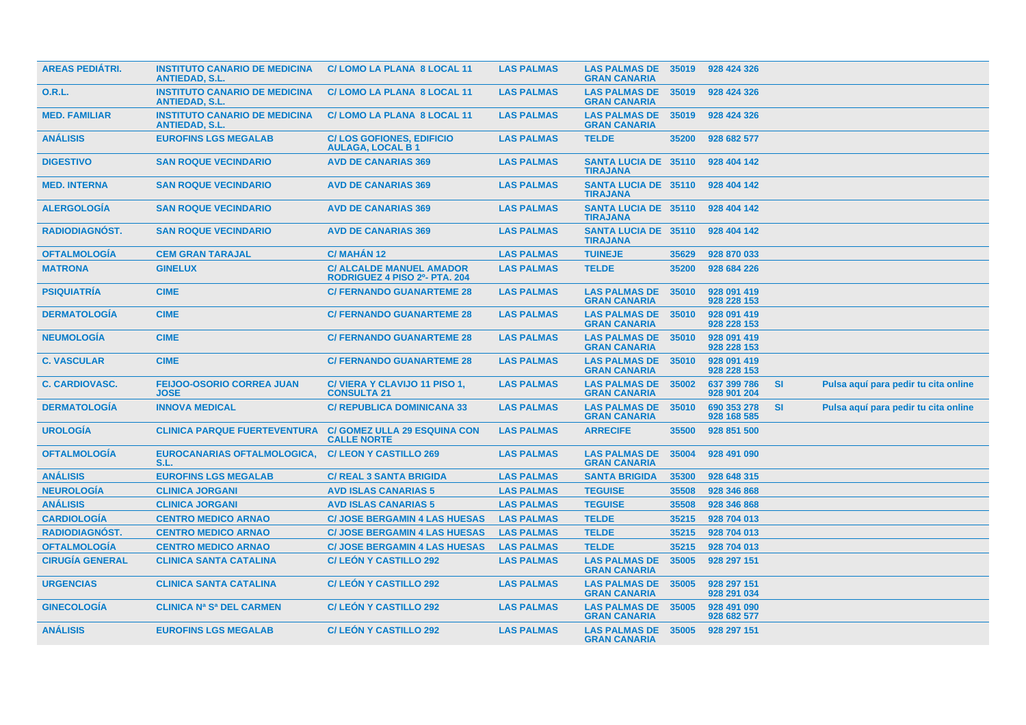| <b>AREAS PEDIÁTRI.</b> | <b>INSTITUTO CANARIO DE MEDICINA</b><br><b>ANTIEDAD, S.L.</b> | C/LOMO LA PLANA 8 LOCAL 11                                       | <b>LAS PALMAS</b> | <b>LAS PALMAS DE 35019</b><br><b>GRAN CANARIA</b> |       | 928 424 326                |           |                                      |  |
|------------------------|---------------------------------------------------------------|------------------------------------------------------------------|-------------------|---------------------------------------------------|-------|----------------------------|-----------|--------------------------------------|--|
| 0.R.L.                 | <b>INSTITUTO CANARIO DE MEDICINA</b><br><b>ANTIEDAD, S.L.</b> | C/LOMO LA PLANA 8 LOCAL 11                                       | <b>LAS PALMAS</b> | <b>LAS PALMAS DE</b><br><b>GRAN CANARIA</b>       | 35019 | 928 424 326                |           |                                      |  |
| <b>MED. FAMILIAR</b>   | <b>INSTITUTO CANARIO DE MEDICINA</b><br><b>ANTIEDAD, S.L.</b> | C/LOMO LA PLANA 8 LOCAL 11                                       | <b>LAS PALMAS</b> | <b>LAS PALMAS DE</b><br><b>GRAN CANARIA</b>       | 35019 | 928 424 326                |           |                                      |  |
| <b>ANÁLISIS</b>        | <b>EUROFINS LGS MEGALAB</b>                                   | <b>C/LOS GOFIONES, EDIFICIO</b><br><b>AULAGA, LOCAL B1</b>       | <b>LAS PALMAS</b> | <b>TELDE</b>                                      | 35200 | 928 682 577                |           |                                      |  |
| <b>DIGESTIVO</b>       | <b>SAN ROQUE VECINDARIO</b>                                   | <b>AVD DE CANARIAS 369</b>                                       | <b>LAS PALMAS</b> | <b>SANTA LUCIA DE 35110</b><br><b>TIRAJANA</b>    |       | 928 404 142                |           |                                      |  |
| <b>MED. INTERNA</b>    | <b>SAN ROQUE VECINDARIO</b>                                   | <b>AVD DE CANARIAS 369</b>                                       | <b>LAS PALMAS</b> | <b>SANTA LUCIA DE 35110</b><br><b>TIRAJANA</b>    |       | 928 404 142                |           |                                      |  |
| <b>ALERGOLOGIA</b>     | <b>SAN ROQUE VECINDARIO</b>                                   | <b>AVD DE CANARIAS 369</b>                                       | <b>LAS PALMAS</b> | <b>SANTA LUCIA DE 35110</b><br><b>TIRAJANA</b>    |       | 928 404 142                |           |                                      |  |
| <b>RADIODIAGNOST.</b>  | <b>SAN ROQUE VECINDARIO</b>                                   | <b>AVD DE CANARIAS 369</b>                                       | <b>LAS PALMAS</b> | <b>SANTA LUCIA DE 35110</b><br><b>TIRAJANA</b>    |       | 928 404 142                |           |                                      |  |
| <b>OFTALMOLOGIA</b>    | <b>CEM GRAN TARAJAL</b>                                       | <b>C/ MAHAN 12</b>                                               | <b>LAS PALMAS</b> | <b>TUINEJE</b>                                    | 35629 | 928 870 033                |           |                                      |  |
| <b>MATRONA</b>         | <b>GINELUX</b>                                                | <b>C/ ALCALDE MANUEL AMADOR</b><br>RODRIGUEZ 4 PISO 2º- PTA. 204 | <b>LAS PALMAS</b> | <b>TELDE</b>                                      | 35200 | 928 684 226                |           |                                      |  |
| <b>PSIQUIATRÍA</b>     | <b>CIME</b>                                                   | <b>C/ FERNANDO GUANARTEME 28</b>                                 | <b>LAS PALMAS</b> | <b>LAS PALMAS DE</b><br><b>GRAN CANARIA</b>       | 35010 | 928 091 419<br>928 228 153 |           |                                      |  |
| <b>DERMATOLOGIA</b>    | <b>CIME</b>                                                   | <b>C/ FERNANDO GUANARTEME 28</b>                                 | <b>LAS PALMAS</b> | <b>LAS PALMAS DE</b><br><b>GRAN CANARIA</b>       | 35010 | 928 091 419<br>928 228 153 |           |                                      |  |
| <b>NEUMOLOGIA</b>      | <b>CIME</b>                                                   | <b>C/ FERNANDO GUANARTEME 28</b>                                 | <b>LAS PALMAS</b> | <b>LAS PALMAS DE</b><br><b>GRAN CANARIA</b>       | 35010 | 928 091 419<br>928 228 153 |           |                                      |  |
| <b>C. VASCULAR</b>     | <b>CIME</b>                                                   | <b>C/ FERNANDO GUANARTEME 28</b>                                 | <b>LAS PALMAS</b> | <b>LAS PALMAS DE</b><br><b>GRAN CANARIA</b>       | 35010 | 928 091 419<br>928 228 153 |           |                                      |  |
| <b>C. CARDIOVASC.</b>  | <b>FEIJOO-OSORIO CORREA JUAN</b><br><b>JOSE</b>               | C/VIERA Y CLAVIJO 11 PISO 1,<br><b>CONSULTA 21</b>               | <b>LAS PALMAS</b> | <b>LAS PALMAS DE</b><br><b>GRAN CANARIA</b>       | 35002 | 637 399 786<br>928 901 204 | <b>SI</b> | Pulsa aquí para pedir tu cita online |  |
| <b>DERMATOLOGÍA</b>    | <b>INNOVA MEDICAL</b>                                         | <b>C/ REPUBLICA DOMINICANA 33</b>                                | <b>LAS PALMAS</b> | <b>LAS PALMAS DE</b><br><b>GRAN CANARIA</b>       | 35010 | 690 353 278<br>928 168 585 | <b>SI</b> | Pulsa aquí para pedir tu cita online |  |
| <b>UROLOGÍA</b>        | <b>CLINICA PARQUE FUERTEVENTURA</b>                           | <b>C/ GOMEZ ULLA 29 ESQUINA CON</b><br><b>CALLE NORTE</b>        | <b>LAS PALMAS</b> | <b>ARRECIFE</b>                                   | 35500 | 928 851 500                |           |                                      |  |
| <b>OFTALMOLOGIA</b>    | EUROCANARIAS OFTALMOLOGICA,<br>S.L.                           | <b>C/LEON Y CASTILLO 269</b>                                     | <b>LAS PALMAS</b> | <b>LAS PALMAS DE</b><br><b>GRAN CANARIA</b>       | 35004 | 928 491 090                |           |                                      |  |
| <b>ANÁLISIS</b>        | <b>EUROFINS LGS MEGALAB</b>                                   | <b>C/ REAL 3 SANTA BRIGIDA</b>                                   | <b>LAS PALMAS</b> | <b>SANTA BRIGIDA</b>                              | 35300 | 928 648 315                |           |                                      |  |
| <b>NEUROLOGÍA</b>      | <b>CLINICA JORGANI</b>                                        | <b>AVD ISLAS CANARIAS 5</b>                                      | <b>LAS PALMAS</b> | <b>TEGUISE</b>                                    | 35508 | 928 346 868                |           |                                      |  |
| <b>ANÁLISIS</b>        | <b>CLINICA JORGANI</b>                                        | <b>AVD ISLAS CANARIAS 5</b>                                      | <b>LAS PALMAS</b> | <b>TEGUISE</b>                                    | 35508 | 928 346 868                |           |                                      |  |
| <b>CARDIOLOGÍA</b>     | <b>CENTRO MEDICO ARNAO</b>                                    | <b>C/ JOSE BERGAMIN 4 LAS HUESAS</b>                             | <b>LAS PALMAS</b> | <b>TELDE</b>                                      | 35215 | 928 704 013                |           |                                      |  |
| <b>RADIODIAGNÓST.</b>  | <b>CENTRO MEDICO ARNAO</b>                                    | <b>C/ JOSE BERGAMIN 4 LAS HUESAS</b>                             | <b>LAS PALMAS</b> | <b>TELDE</b>                                      | 35215 | 928 704 013                |           |                                      |  |
| <b>OFTALMOLOGÍA</b>    | <b>CENTRO MEDICO ARNAO</b>                                    | <b>C/ JOSE BERGAMIN 4 LAS HUESAS</b>                             | <b>LAS PALMAS</b> | <b>TELDE</b>                                      | 35215 | 928 704 013                |           |                                      |  |
| <b>CIRUGÍA GENERAL</b> | <b>CLINICA SANTA CATALINA</b>                                 | <b>C/LEON Y CASTILLO 292</b>                                     | <b>LAS PALMAS</b> | <b>LAS PALMAS DE</b><br><b>GRAN CANARIA</b>       | 35005 | 928 297 151                |           |                                      |  |
| <b>URGENCIAS</b>       | <b>CLINICA SANTA CATALINA</b>                                 | <b>C/LEON Y CASTILLO 292</b>                                     | <b>LAS PALMAS</b> | <b>LAS PALMAS DE</b><br><b>GRAN CANARIA</b>       | 35005 | 928 297 151<br>928 291 034 |           |                                      |  |
| <b>GINECOLOGIA</b>     | <b>CLINICA Na Sa DEL CARMEN</b>                               | <b>C/LEON Y CASTILLO 292</b>                                     | <b>LAS PALMAS</b> | <b>LAS PALMAS DE</b><br><b>GRAN CANARIA</b>       | 35005 | 928 491 090<br>928 682 577 |           |                                      |  |
| <b>ANÁLISIS</b>        | <b>EUROFINS LGS MEGALAB</b>                                   | <b>C/LEON Y CASTILLO 292</b>                                     | <b>LAS PALMAS</b> | <b>LAS PALMAS DE</b><br><b>GRAN CANARIA</b>       | 35005 | 928 297 151                |           |                                      |  |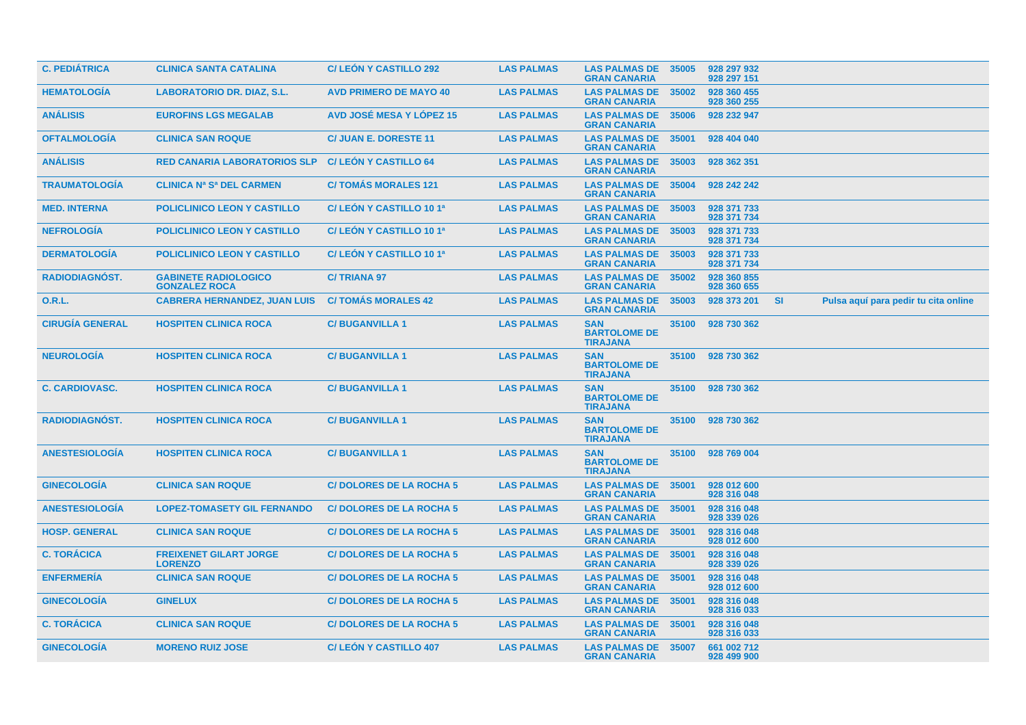| <b>C. PEDIÁTRICA</b>   | <b>CLINICA SANTA CATALINA</b>                       | <b>C/LEON Y CASTILLO 292</b>    | <b>LAS PALMAS</b> | <b>LAS PALMAS DE</b><br><b>GRAN CANARIA</b>          | 35005 | 928 297 932<br>928 297 151 |           |                                      |
|------------------------|-----------------------------------------------------|---------------------------------|-------------------|------------------------------------------------------|-------|----------------------------|-----------|--------------------------------------|
| <b>HEMATOLOGÍA</b>     | <b>LABORATORIO DR. DIAZ, S.L.</b>                   | <b>AVD PRIMERO DE MAYO 40</b>   | <b>LAS PALMAS</b> | <b>LAS PALMAS DE</b><br><b>GRAN CANARIA</b>          | 35002 | 928 360 455<br>928 360 255 |           |                                      |
| <b>ANÁLISIS</b>        | <b>EUROFINS LGS MEGALAB</b>                         | <b>AVD JOSÉ MESA Y LÓPEZ 15</b> | <b>LAS PALMAS</b> | <b>LAS PALMAS DE</b><br><b>GRAN CANARIA</b>          | 35006 | 928 232 947                |           |                                      |
| <b>OFTALMOLOGÍA</b>    | <b>CLINICA SAN ROQUE</b>                            | <b>C/ JUAN E. DORESTE 11</b>    | <b>LAS PALMAS</b> | <b>LAS PALMAS DE</b><br><b>GRAN CANARIA</b>          | 35001 | 928 404 040                |           |                                      |
| <b>ANÁLISIS</b>        | <b>RED CANARIA LABORATORIOS SLP</b>                 | <b>C/LEON Y CASTILLO 64</b>     | <b>LAS PALMAS</b> | <b>LAS PALMAS DE</b><br><b>GRAN CANARIA</b>          | 35003 | 928 362 351                |           |                                      |
| <b>TRAUMATOLOGÍA</b>   | <b>CLINICA Na Sa DEL CARMEN</b>                     | <b>C/TOMAS MORALES 121</b>      | <b>LAS PALMAS</b> | <b>LAS PALMAS DE</b><br><b>GRAN CANARIA</b>          | 35004 | 928 242 242                |           |                                      |
| <b>MED. INTERNA</b>    | <b>POLICLINICO LEON Y CASTILLO</b>                  | C/LEÓN Y CASTILLO 10 1ª         | <b>LAS PALMAS</b> | <b>LAS PALMAS DE</b><br><b>GRAN CANARIA</b>          | 35003 | 928 371 733<br>928 371 734 |           |                                      |
| <b>NEFROLOGIA</b>      | <b>POLICLINICO LEON Y CASTILLO</b>                  | C/ LEÓN Y CASTILLO 10 1ª        | <b>LAS PALMAS</b> | <b>LAS PALMAS DE</b><br><b>GRAN CANARIA</b>          | 35003 | 928 371 733<br>928 371 734 |           |                                      |
| <b>DERMATOLOGIA</b>    | <b>POLICLINICO LEON Y CASTILLO</b>                  | C/ LEON Y CASTILLO 10 1ª        | <b>LAS PALMAS</b> | <b>LAS PALMAS DE</b><br><b>GRAN CANARIA</b>          | 35003 | 928 371 733<br>928 371 734 |           |                                      |
| RADIODIAGNÓST.         | <b>GABINETE RADIOLOGICO</b><br><b>GONZALEZ ROCA</b> | <b>C/TRIANA 97</b>              | <b>LAS PALMAS</b> | <b>LAS PALMAS DE</b><br><b>GRAN CANARIA</b>          | 35002 | 928 360 855<br>928 360 655 |           |                                      |
| 0.R.L.                 | <b>CABRERA HERNANDEZ, JUAN LUIS</b>                 | <b>C/TOMAS MORALES 42</b>       | <b>LAS PALMAS</b> | <b>LAS PALMAS DE</b><br><b>GRAN CANARIA</b>          | 35003 | 928 373 201                | <b>SI</b> | Pulsa aquí para pedir tu cita online |
| <b>CIRUGÍA GENERAL</b> | <b>HOSPITEN CLINICA ROCA</b>                        | <b>C/BUGANVILLA1</b>            | <b>LAS PALMAS</b> | <b>SAN</b><br><b>BARTOLOME DE</b><br><b>TIRAJANA</b> | 35100 | 928 730 362                |           |                                      |
| <b>NEUROLOGÍA</b>      | <b>HOSPITEN CLINICA ROCA</b>                        | <b>C/BUGANVILLA1</b>            | <b>LAS PALMAS</b> | <b>SAN</b><br><b>BARTOLOME DE</b><br><b>TIRAJANA</b> | 35100 | 928 730 362                |           |                                      |
| <b>C. CARDIOVASC.</b>  | <b>HOSPITEN CLINICA ROCA</b>                        | <b>C/BUGANVILLA1</b>            | <b>LAS PALMAS</b> | <b>SAN</b><br><b>BARTOLOME DE</b><br><b>TIRAJANA</b> | 35100 | 928 730 362                |           |                                      |
| <b>RADIODIAGNÓST.</b>  | <b>HOSPITEN CLINICA ROCA</b>                        | <b>C/BUGANVILLA1</b>            | <b>LAS PALMAS</b> | <b>SAN</b><br><b>BARTOLOME DE</b><br><b>TIRAJANA</b> | 35100 | 928 730 362                |           |                                      |
| <b>ANESTESIOLOGIA</b>  | <b>HOSPITEN CLINICA ROCA</b>                        | <b>C/BUGANVILLA1</b>            | <b>LAS PALMAS</b> | <b>SAN</b><br><b>BARTOLOME DE</b><br><b>TIRAJANA</b> | 35100 | 928 769 004                |           |                                      |
| <b>GINECOLOGIA</b>     | <b>CLINICA SAN ROQUE</b>                            | <b>C/DOLORES DE LA ROCHA 5</b>  | <b>LAS PALMAS</b> | <b>LAS PALMAS DE</b><br><b>GRAN CANARIA</b>          | 35001 | 928 012 600<br>928 316 048 |           |                                      |
| <b>ANESTESIOLOGÍA</b>  | <b>LOPEZ-TOMASETY GIL FERNANDO</b>                  | <b>C/DOLORES DE LA ROCHA 5</b>  | <b>LAS PALMAS</b> | <b>LAS PALMAS DE</b><br><b>GRAN CANARIA</b>          | 35001 | 928 316 048<br>928 339 026 |           |                                      |
| <b>HOSP. GENERAL</b>   | <b>CLINICA SAN ROQUE</b>                            | <b>C/DOLORES DE LA ROCHA 5</b>  | <b>LAS PALMAS</b> | <b>LAS PALMAS DE</b><br><b>GRAN CANARIA</b>          | 35001 | 928 316 048<br>928 012 600 |           |                                      |
| <b>C. TORÁCICA</b>     | <b>FREIXENET GILART JORGE</b><br><b>LORENZO</b>     | <b>C/DOLORES DE LA ROCHA 5</b>  | <b>LAS PALMAS</b> | <b>LAS PALMAS DE</b><br><b>GRAN CANARIA</b>          | 35001 | 928 316 048<br>928 339 026 |           |                                      |
| <b>ENFERMERIA</b>      | <b>CLINICA SAN ROQUE</b>                            | <b>C/DOLORES DE LA ROCHA 5</b>  | <b>LAS PALMAS</b> | <b>LAS PALMAS DE</b><br><b>GRAN CANARIA</b>          | 35001 | 928 316 048<br>928 012 600 |           |                                      |
| <b>GINECOLOGÍA</b>     | <b>GINELUX</b>                                      | <b>C/DOLORES DE LA ROCHA 5</b>  | <b>LAS PALMAS</b> | <b>LAS PALMAS DE</b><br><b>GRAN CANARIA</b>          | 35001 | 928 316 048<br>928 316 033 |           |                                      |
| <b>C. TORÁCICA</b>     | <b>CLINICA SAN ROQUE</b>                            | <b>C/DOLORES DE LA ROCHA 5</b>  | <b>LAS PALMAS</b> | <b>LAS PALMAS DE</b><br><b>GRAN CANARIA</b>          | 35001 | 928 316 048<br>928 316 033 |           |                                      |
| <b>GINECOLOGIA</b>     | <b>MORENO RUIZ JOSE</b>                             | <b>C/LEON Y CASTILLO 407</b>    | <b>LAS PALMAS</b> | <b>LAS PALMAS DE</b><br><b>GRAN CANARIA</b>          | 35007 | 661 002 712<br>928 499 900 |           |                                      |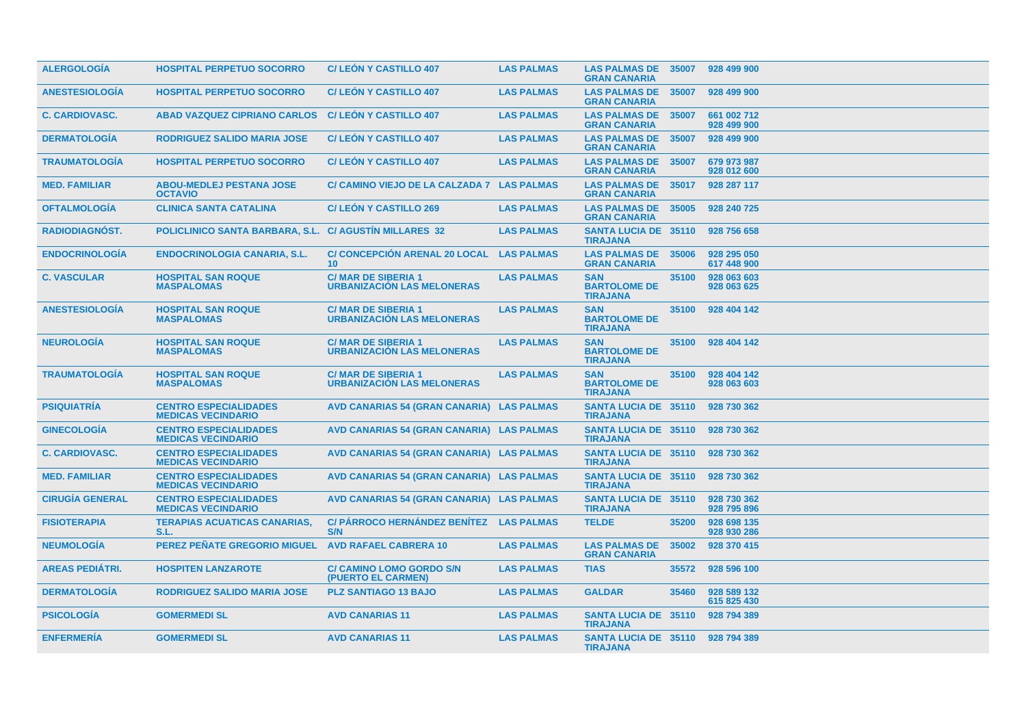| <b>ALERGOLOGIA</b>     | <b>HOSPITAL PERPETUO SOCORRO</b>                          | <b>C/LEON Y CASTILLO 407</b>                                   | <b>LAS PALMAS</b> | <b>LAS PALMAS DE</b><br><b>GRAN CANARIA</b>          | 35007 | 928 499 900                |
|------------------------|-----------------------------------------------------------|----------------------------------------------------------------|-------------------|------------------------------------------------------|-------|----------------------------|
| <b>ANESTESIOLOGÍA</b>  | <b>HOSPITAL PERPETUO SOCORRO</b>                          | <b>C/LEÓN Y CASTILLO 407</b>                                   | <b>LAS PALMAS</b> | <b>LAS PALMAS DE</b><br><b>GRAN CANARIA</b>          | 35007 | 928 499 900                |
| <b>C. CARDIOVASC.</b>  | <b>ABAD VAZQUEZ CIPRIANO CARLOS</b>                       | <b>C/LEON Y CASTILLO 407</b>                                   | <b>LAS PALMAS</b> | <b>LAS PALMAS DE</b><br><b>GRAN CANARIA</b>          | 35007 | 661 002 712<br>928 499 900 |
| <b>DERMATOLOGÍA</b>    | <b>RODRIGUEZ SALIDO MARIA JOSE</b>                        | <b>C/LEON Y CASTILLO 407</b>                                   | <b>LAS PALMAS</b> | <b>LAS PALMAS DE</b><br><b>GRAN CANARIA</b>          | 35007 | 928 499 900                |
| <b>TRAUMATOLOGIA</b>   | <b>HOSPITAL PERPETUO SOCORRO</b>                          | <b>C/LEON Y CASTILLO 407</b>                                   | <b>LAS PALMAS</b> | <b>LAS PALMAS DE</b><br><b>GRAN CANARIA</b>          | 35007 | 679 973 987<br>928 012 600 |
| <b>MED. FAMILIAR</b>   | <b>ABOU-MEDLEJ PESTANA JOSE</b><br><b>OCTAVIO</b>         | C/ CAMINO VIEJO DE LA CALZADA 7 LAS PALMAS                     |                   | <b>LAS PALMAS DE</b><br><b>GRAN CANARIA</b>          | 35017 | 928 287 117                |
| <b>OFTALMOLOGIA</b>    | <b>CLINICA SANTA CATALINA</b>                             | <b>C/LEON Y CASTILLO 269</b>                                   | <b>LAS PALMAS</b> | <b>LAS PALMAS DE</b><br><b>GRAN CANARIA</b>          | 35005 | 928 240 725                |
| RADIODIAGNÓST.         | POLICLINICO SANTA BARBARA, S.L. C/ AGUSTIN MILLARES 32    |                                                                | <b>LAS PALMAS</b> | <b>SANTA LUCIA DE 35110</b><br><b>TIRAJANA</b>       |       | 928 756 658                |
| <b>ENDOCRINOLOGÍA</b>  | <b>ENDOCRINOLOGIA CANARIA, S.L.</b>                       | <b>C/ CONCEPCIÓN ARENAL 20 LOCAL</b><br>10 <sup>°</sup>        | <b>LAS PALMAS</b> | <b>LAS PALMAS DE 35006</b><br><b>GRAN CANARIA</b>    |       | 928 295 050<br>617 448 900 |
| <b>C. VASCULAR</b>     | <b>HOSPITAL SAN ROQUE</b><br><b>MASPALOMAS</b>            | <b>C/MAR DE SIBERIA 1</b><br><b>URBANIZACION LAS MELONERAS</b> | <b>LAS PALMAS</b> | <b>SAN</b><br><b>BARTOLOME DE</b><br><b>TIRAJANA</b> | 35100 | 928 063 603<br>928 063 625 |
| <b>ANESTESIOLOGIA</b>  | <b>HOSPITAL SAN ROQUE</b><br><b>MASPALOMAS</b>            | <b>C/MAR DE SIBERIA 1</b><br><b>URBANIZACION LAS MELONERAS</b> | <b>LAS PALMAS</b> | <b>SAN</b><br><b>BARTOLOME DE</b><br><b>TIRAJANA</b> | 35100 | 928 404 142                |
| <b>NEUROLOGÍA</b>      | <b>HOSPITAL SAN ROQUE</b><br><b>MASPALOMAS</b>            | <b>C/MAR DE SIBERIA 1</b><br><b>URBANIZACION LAS MELONERAS</b> | <b>LAS PALMAS</b> | <b>SAN</b><br><b>BARTOLOME DE</b><br><b>TIRAJANA</b> | 35100 | 928 404 142                |
| <b>TRAUMATOLOGÍA</b>   | <b>HOSPITAL SAN ROQUE</b><br><b>MASPALOMAS</b>            | <b>C/MAR DE SIBERIA 1</b><br><b>URBANIZACIÓN LAS MELONERAS</b> | <b>LAS PALMAS</b> | <b>SAN</b><br><b>BARTOLOME DE</b><br><b>TIRAJANA</b> | 35100 | 928 404 142<br>928 063 603 |
| <b>PSIQUIATRÍA</b>     | <b>CENTRO ESPECIALIDADES</b><br><b>MEDICAS VECINDARIO</b> | AVD CANARIAS 54 (GRAN CANARIA) LAS PALMAS                      |                   | <b>SANTA LUCIA DE 35110</b><br><b>TIRAJANA</b>       |       | 928 730 362                |
| <b>GINECOLOGIA</b>     | <b>CENTRO ESPECIALIDADES</b><br><b>MEDICAS VECINDARIO</b> | AVD CANARIAS 54 (GRAN CANARIA) LAS PALMAS                      |                   | <b>SANTA LUCIA DE 35110</b><br><b>TIRAJANA</b>       |       | 928 730 362                |
| <b>C. CARDIOVASC.</b>  | <b>CENTRO ESPECIALIDADES</b><br><b>MEDICAS VECINDARIO</b> | AVD CANARIAS 54 (GRAN CANARIA) LAS PALMAS                      |                   | <b>SANTA LUCIA DE 35110</b><br><b>TIRAJANA</b>       |       | 928 730 362                |
| <b>MED. FAMILIAR</b>   | <b>CENTRO ESPECIALIDADES</b><br><b>MEDICAS VECINDARIO</b> | AVD CANARIAS 54 (GRAN CANARIA) LAS PALMAS                      |                   | <b>SANTA LUCIA DE 35110</b><br><b>TIRAJANA</b>       |       | 928 730 362                |
| <b>CIRUGÍA GENERAL</b> | <b>CENTRO ESPECIALIDADES</b><br><b>MEDICAS VECINDARIO</b> | AVD CANARIAS 54 (GRAN CANARIA) LAS PALMAS                      |                   | <b>SANTA LUCIA DE 35110</b><br><b>TIRAJANA</b>       |       | 928 730 362<br>928 795 896 |
| <b>FISIOTERAPIA</b>    | <b>TERAPIAS ACUATICAS CANARIAS,</b><br>S.L.               | C/ PÁRROCO HERNÁNDEZ BENÍTEZ LAS PALMAS<br>S/N                 |                   | <b>TELDE</b>                                         | 35200 | 928 698 135<br>928 930 286 |
| <b>NEUMOLOGÍA</b>      | <b>PEREZ PEÑATE GREGORIO MIGUEL</b>                       | <b>AVD RAFAEL CABRERA 10</b>                                   | <b>LAS PALMAS</b> | <b>LAS PALMAS DE</b><br><b>GRAN CANARIA</b>          | 35002 | 928 370 415                |
| <b>AREAS PEDIÁTRI.</b> | <b>HOSPITEN LANZAROTE</b>                                 | <b>C/ CAMINO LOMO GORDO S/N</b><br>(PUERTO EL CARMEN)          | <b>LAS PALMAS</b> | <b>TIAS</b>                                          | 35572 | 928 596 100                |
| <b>DERMATOLOGIA</b>    | <b>RODRIGUEZ SALIDO MARIA JOSE</b>                        | <b>PLZ SANTIAGO 13 BAJO</b>                                    | <b>LAS PALMAS</b> | <b>GALDAR</b>                                        | 35460 | 928 589 132<br>615 825 430 |
| <b>PSICOLOGÍA</b>      | <b>GOMERMEDI SL</b>                                       | <b>AVD CANARIAS 11</b>                                         | <b>LAS PALMAS</b> | <b>SANTA LUCIA DE 35110</b><br><b>TIRAJANA</b>       |       | 928 794 389                |
| <b>ENFERMERÍA</b>      | <b>GOMERMEDI SL</b>                                       | <b>AVD CANARIAS 11</b>                                         | <b>LAS PALMAS</b> | SANTA LUCIA DE 35110 928 794 389<br><b>TIRAJANA</b>  |       |                            |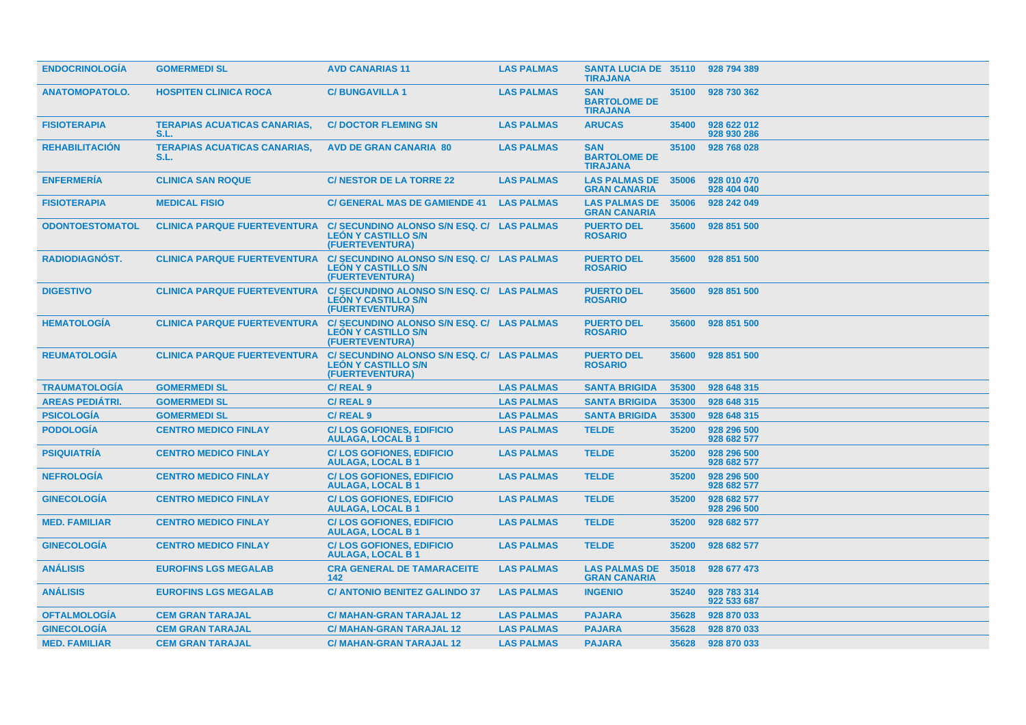| <b>ENDOCRINOLOGIA</b>  | <b>GOMERMEDI SL</b>                         | <b>AVD CANARIAS 11</b>                                                                      | <b>LAS PALMAS</b> | SANTA LUCIA DE 35110 928 794 389<br><b>TIRAJANA</b>  |       |                            |
|------------------------|---------------------------------------------|---------------------------------------------------------------------------------------------|-------------------|------------------------------------------------------|-------|----------------------------|
| <b>ANATOMOPATOLO.</b>  | <b>HOSPITEN CLINICA ROCA</b>                | <b>C/BUNGAVILLA1</b>                                                                        | <b>LAS PALMAS</b> | <b>SAN</b><br><b>BARTOLOME DE</b><br><b>TIRAJANA</b> | 35100 | 928 730 362                |
| <b>FISIOTERAPIA</b>    | <b>TERAPIAS ACUATICAS CANARIAS,</b><br>S.L. | <b>C/DOCTOR FLEMING SN</b>                                                                  | <b>LAS PALMAS</b> | <b>ARUCAS</b>                                        | 35400 | 928 622 012<br>928 930 286 |
| <b>REHABILITACION</b>  | <b>TERAPIAS ACUATICAS CANARIAS,</b><br>S.L. | <b>AVD DE GRAN CANARIA 80</b>                                                               | <b>LAS PALMAS</b> | <b>SAN</b><br><b>BARTOLOME DE</b><br><b>TIRAJANA</b> | 35100 | 928 768 028                |
| <b>ENFERMERIA</b>      | <b>CLINICA SAN ROQUE</b>                    | <b>C/ NESTOR DE LA TORRE 22</b>                                                             | <b>LAS PALMAS</b> | <b>LAS PALMAS DE</b><br><b>GRAN CANARIA</b>          | 35006 | 928 010 470<br>928 404 040 |
| <b>FISIOTERAPIA</b>    | <b>MEDICAL FISIO</b>                        | <b>C/ GENERAL MAS DE GAMIENDE 41</b>                                                        | <b>LAS PALMAS</b> | <b>LAS PALMAS DE</b><br><b>GRAN CANARIA</b>          | 35006 | 928 242 049                |
| <b>ODONTOESTOMATOL</b> | <b>CLINICA PARQUE FUERTEVENTURA</b>         | C/SECUNDINO ALONSO S/N ESQ. C/ LAS PALMAS<br><b>LEON Y CASTILLO S/N</b><br>(FUERTEVENTURA)  |                   | <b>PUERTO DEL</b><br><b>ROSARIO</b>                  | 35600 | 928 851 500                |
| RADIODIAGNÓST.         | <b>CLINICA PARQUE FUERTEVENTURA</b>         | C/SECUNDINO ALONSO S/N ESQ. C/ LAS PALMAS<br><b>LEÓN Y CASTILLO S/N</b><br>(FUERTEVENTURA)  |                   | <b>PUERTO DEL</b><br><b>ROSARIO</b>                  | 35600 | 928 851 500                |
| <b>DIGESTIVO</b>       | <b>CLINICA PARQUE FUERTEVENTURA</b>         | C/SECUNDINO ALONSO S/N ESQ. C/ LAS PALMAS<br><b>LEÓN Y CASTILLO S/N</b><br>(FUERTEVENTURA)  |                   | <b>PUERTO DEL</b><br><b>ROSARIO</b>                  | 35600 | 928 851 500                |
| <b>HEMATOLOGÍA</b>     | <b>CLINICA PARQUE FUERTEVENTURA</b>         | C/ SECUNDINO ALONSO S/N ESQ. C/ LAS PALMAS<br><b>LEON Y CASTILLO S/N</b><br>(FUERTEVENTURA) |                   | <b>PUERTO DEL</b><br><b>ROSARIO</b>                  | 35600 | 928 851 500                |
| <b>REUMATOLOGIA</b>    | <b>CLINICA PARQUE FUERTEVENTURA</b>         | C/ SECUNDINO ALONSO S/N ESQ. C/ LAS PALMAS<br><b>LEÓN Y CASTILLO S/N</b><br>(FUERTEVENTURA) |                   | <b>PUERTO DEL</b><br><b>ROSARIO</b>                  | 35600 | 928 851 500                |
| <b>TRAUMATOLOGIA</b>   | <b>GOMERMEDI SL</b>                         | <b>C/REAL 9</b>                                                                             | <b>LAS PALMAS</b> | <b>SANTA BRIGIDA</b>                                 | 35300 | 928 648 315                |
| <b>AREAS PEDIATRI.</b> | <b>GOMERMEDI SL</b>                         | <b>C/REAL 9</b>                                                                             | <b>LAS PALMAS</b> | <b>SANTA BRIGIDA</b>                                 | 35300 | 928 648 315                |
| <b>PSICOLOGÍA</b>      | <b>GOMERMEDI SL</b>                         | C/REAL <sub>9</sub>                                                                         | <b>LAS PALMAS</b> | <b>SANTA BRIGIDA</b>                                 | 35300 | 928 648 315                |
| <b>PODOLOGÍA</b>       | <b>CENTRO MEDICO FINLAY</b>                 | <b>C/LOS GOFIONES, EDIFICIO</b><br><b>AULAGA, LOCAL B1</b>                                  | <b>LAS PALMAS</b> | <b>TELDE</b>                                         | 35200 | 928 296 500<br>928 682 577 |
| <b>PSIQUIATRÍA</b>     | <b>CENTRO MEDICO FINLAY</b>                 | <b>C/LOS GOFIONES, EDIFICIO</b><br><b>AULAGA, LOCAL B1</b>                                  | <b>LAS PALMAS</b> | <b>TELDE</b>                                         | 35200 | 928 296 500<br>928 682 577 |
| <b>NEFROLOGIA</b>      | <b>CENTRO MEDICO FINLAY</b>                 | <b>C/LOS GOFIONES, EDIFICIO</b><br><b>AULAGA, LOCAL B1</b>                                  | <b>LAS PALMAS</b> | <b>TELDE</b>                                         | 35200 | 928 296 500<br>928 682 577 |
| <b>GINECOLOGÍA</b>     | <b>CENTRO MEDICO FINLAY</b>                 | <b>C/LOS GOFIONES, EDIFICIO</b><br><b>AULAGA, LOCAL B1</b>                                  | <b>LAS PALMAS</b> | <b>TELDE</b>                                         | 35200 | 928 682 577<br>928 296 500 |
| <b>MED. FAMILIAR</b>   | <b>CENTRO MEDICO FINLAY</b>                 | <b>C/LOS GOFIONES, EDIFICIO</b><br><b>AULAGA, LOCAL B1</b>                                  | <b>LAS PALMAS</b> | <b>TELDE</b>                                         | 35200 | 928 682 577                |
| <b>GINECOLOGÍA</b>     | <b>CENTRO MEDICO FINLAY</b>                 | <b>C/LOS GOFIONES, EDIFICIO</b><br><b>AULAGA, LOCAL B1</b>                                  | <b>LAS PALMAS</b> | <b>TELDE</b>                                         | 35200 | 928 682 577                |
| <b>ANALISIS</b>        | <b>EUROFINS LGS MEGALAB</b>                 | <b>CRA GENERAL DE TAMARACEITE</b><br>$142$                                                  | <b>LAS PALMAS</b> | <b>LAS PALMAS DE</b><br><b>GRAN CANARIA</b>          | 35018 | 928 677 473                |
| <b>ANALISIS</b>        | <b>EUROFINS LGS MEGALAB</b>                 | <b>C/ ANTONIO BENITEZ GALINDO 37</b>                                                        | <b>LAS PALMAS</b> | <b>INGENIO</b>                                       | 35240 | 928 783 314<br>922 533 687 |
| <b>OFTALMOLOGIA</b>    | <b>CEM GRAN TARAJAL</b>                     | <b>C/ MAHAN-GRAN TARAJAL 12</b>                                                             | <b>LAS PALMAS</b> | <b>PAJARA</b>                                        | 35628 | 928 870 033                |
| <b>GINECOLOGÍA</b>     | <b>CEM GRAN TARAJAL</b>                     | <b>C/ MAHAN-GRAN TARAJAL 12</b>                                                             | <b>LAS PALMAS</b> | <b>PAJARA</b>                                        | 35628 | 928 870 033                |
| <b>MED. FAMILIAR</b>   | <b>CEM GRAN TARAJAL</b>                     | <b>C/ MAHAN-GRAN TARAJAL 12</b>                                                             | <b>LAS PALMAS</b> | <b>PAJARA</b>                                        | 35628 | 928 870 033                |
|                        |                                             |                                                                                             |                   |                                                      |       |                            |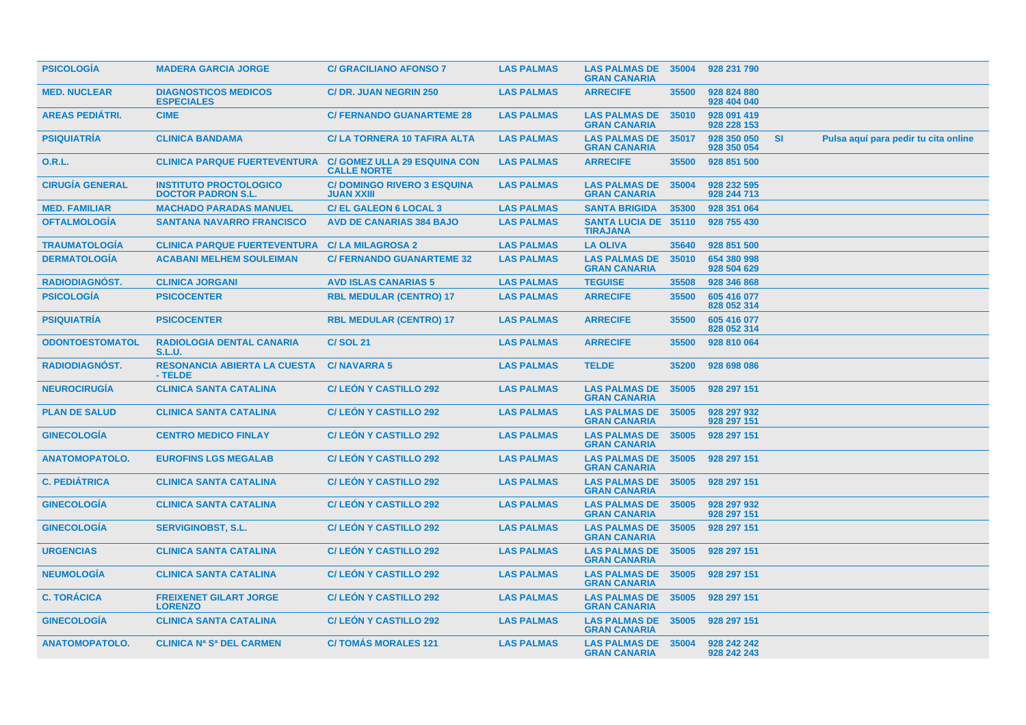| <b>PSICOLOGIA</b>      | <b>MADERA GARCIA JORGE</b>                                 | <b>C/ GRACILIANO AFONSO 7</b>                             | <b>LAS PALMAS</b> | <b>LAS PALMAS DE</b><br><b>GRAN CANARIA</b>    | 35004 | 928 231 790                |           |                                      |
|------------------------|------------------------------------------------------------|-----------------------------------------------------------|-------------------|------------------------------------------------|-------|----------------------------|-----------|--------------------------------------|
| <b>MED. NUCLEAR</b>    | <b>DIAGNOSTICOS MEDICOS</b><br><b>ESPECIALES</b>           | <b>C/DR. JUAN NEGRIN 250</b>                              | <b>LAS PALMAS</b> | <b>ARRECIFE</b>                                | 35500 | 928 824 880<br>928 404 040 |           |                                      |
| <b>AREAS PEDIÁTRI.</b> | <b>CIME</b>                                                | <b>C/ FERNANDO GUANARTEME 28</b>                          | <b>LAS PALMAS</b> | <b>LAS PALMAS DE</b><br><b>GRAN CANARIA</b>    | 35010 | 928 091 419<br>928 228 153 |           |                                      |
| <b>PSIQUIATRIA</b>     | <b>CLINICA BANDAMA</b>                                     | <b>C/LA TORNERA 10 TAFIRA ALTA</b>                        | <b>LAS PALMAS</b> | <b>LAS PALMAS DE</b><br><b>GRAN CANARIA</b>    | 35017 | 928 350 050<br>928 350 054 | <b>SI</b> | Pulsa aquí para pedir tu cita online |
| <b>O.R.L.</b>          | <b>CLINICA PARQUE FUERTEVENTURA</b>                        | <b>C/ GOMEZ ULLA 29 ESQUINA CON</b><br><b>CALLE NORTE</b> | <b>LAS PALMAS</b> | <b>ARRECIFE</b>                                | 35500 | 928 851 500                |           |                                      |
| <b>CIRUGÍA GENERAL</b> | <b>INSTITUTO PROCTOLOGICO</b><br><b>DOCTOR PADRON S.L.</b> | <b>C/DOMINGO RIVERO 3 ESQUINA</b><br><b>JUAN XXIII</b>    | <b>LAS PALMAS</b> | <b>LAS PALMAS DE</b><br><b>GRAN CANARIA</b>    | 35004 | 928 232 595<br>928 244 713 |           |                                      |
| <b>MED. FAMILIAR</b>   | <b>MACHADO PARADAS MANUEL</b>                              | <b>C/EL GALEON 6 LOCAL 3</b>                              | <b>LAS PALMAS</b> | <b>SANTA BRIGIDA</b>                           | 35300 | 928 351 064                |           |                                      |
| <b>OFTALMOLOGÍA</b>    | <b>SANTANA NAVARRO FRANCISCO</b>                           | <b>AVD DE CANARIAS 384 BAJO</b>                           | <b>LAS PALMAS</b> | <b>SANTA LUCIA DE 35110</b><br><b>TIRAJANA</b> |       | 928 755 430                |           |                                      |
| <b>TRAUMATOLOGIA</b>   | <b>CLINICA PARQUE FUERTEVENTURA C/ LA MILAGROSA 2</b>      |                                                           | <b>LAS PALMAS</b> | <b>LA OLIVA</b>                                | 35640 | 928 851 500                |           |                                      |
| <b>DERMATOLOGÍA</b>    | <b>ACABANI MELHEM SOULEIMAN</b>                            | <b>C/ FERNANDO GUANARTEME 32</b>                          | <b>LAS PALMAS</b> | <b>LAS PALMAS DE</b><br><b>GRAN CANARIA</b>    | 35010 | 654 380 998<br>928 504 629 |           |                                      |
| RADIODIAGNÓST.         | <b>CLINICA JORGANI</b>                                     | <b>AVD ISLAS CANARIAS 5</b>                               | <b>LAS PALMAS</b> | <b>TEGUISE</b>                                 | 35508 | 928 346 868                |           |                                      |
| <b>PSICOLOGÍA</b>      | <b>PSICOCENTER</b>                                         | <b>RBL MEDULAR (CENTRO) 17</b>                            | <b>LAS PALMAS</b> | <b>ARRECIFE</b>                                | 35500 | 605 416 077<br>828 052 314 |           |                                      |
| <b>PSIQUIATRIA</b>     | <b>PSICOCENTER</b>                                         | <b>RBL MEDULAR (CENTRO) 17</b>                            | <b>LAS PALMAS</b> | <b>ARRECIFE</b>                                | 35500 | 605 416 077<br>828 052 314 |           |                                      |
| <b>ODONTOESTOMATOL</b> | <b>RADIOLOGIA DENTAL CANARIA</b><br><b>S.L.U.</b>          | <b>C/SOL 21</b>                                           | <b>LAS PALMAS</b> | <b>ARRECIFE</b>                                | 35500 | 928 810 064                |           |                                      |
| RADIODIAGNÓST.         | <b>RESONANCIA ABIERTA LA CUESTA</b><br>- TELDE             | <b>C/NAVARRA 5</b>                                        | <b>LAS PALMAS</b> | <b>TELDE</b>                                   | 35200 | 928 698 086                |           |                                      |
| <b>NEUROCIRUGIA</b>    | <b>CLINICA SANTA CATALINA</b>                              | <b>C/ LEON Y CASTILLO 292</b>                             | <b>LAS PALMAS</b> | <b>LAS PALMAS DE</b><br><b>GRAN CANARIA</b>    | 35005 | 928 297 151                |           |                                      |
| <b>PLAN DE SALUD</b>   | <b>CLINICA SANTA CATALINA</b>                              | <b>C/LEON Y CASTILLO 292</b>                              | <b>LAS PALMAS</b> | <b>LAS PALMAS DE</b><br><b>GRAN CANARIA</b>    | 35005 | 928 297 932<br>928 297 151 |           |                                      |
| <b>GINECOLOGIA</b>     | <b>CENTRO MEDICO FINLAY</b>                                | <b>C/LEON Y CASTILLO 292</b>                              | <b>LAS PALMAS</b> | <b>LAS PALMAS DE</b><br><b>GRAN CANARIA</b>    | 35005 | 928 297 151                |           |                                      |
| <b>ANATOMOPATOLO.</b>  | <b>EUROFINS LGS MEGALAB</b>                                | <b>C/ LEON Y CASTILLO 292</b>                             | <b>LAS PALMAS</b> | <b>LAS PALMAS DE</b><br><b>GRAN CANARIA</b>    | 35005 | 928 297 151                |           |                                      |
| <b>C. PEDIÁTRICA</b>   | <b>CLINICA SANTA CATALINA</b>                              | <b>C/LEON Y CASTILLO 292</b>                              | <b>LAS PALMAS</b> | <b>LAS PALMAS DE</b><br><b>GRAN CANARIA</b>    | 35005 | 928 297 151                |           |                                      |
| <b>GINECOLOGIA</b>     | <b>CLINICA SANTA CATALINA</b>                              | <b>C/LEON Y CASTILLO 292</b>                              | <b>LAS PALMAS</b> | <b>LAS PALMAS DE</b><br><b>GRAN CANARIA</b>    | 35005 | 928 297 932<br>928 297 151 |           |                                      |
| <b>GINECOLOGÍA</b>     | <b>SERVIGINOBST, S.L.</b>                                  | <b>C/LEON Y CASTILLO 292</b>                              | <b>LAS PALMAS</b> | <b>LAS PALMAS DE</b><br><b>GRAN CANARIA</b>    | 35005 | 928 297 151                |           |                                      |
| <b>URGENCIAS</b>       | <b>CLINICA SANTA CATALINA</b>                              | <b>C/LEON Y CASTILLO 292</b>                              | <b>LAS PALMAS</b> | <b>LAS PALMAS DE</b><br><b>GRAN CANARIA</b>    | 35005 | 928 297 151                |           |                                      |
| <b>NEUMOLOGIA</b>      | <b>CLINICA SANTA CATALINA</b>                              | <b>C/LEON Y CASTILLO 292</b>                              | <b>LAS PALMAS</b> | <b>LAS PALMAS DE</b><br><b>GRAN CANARIA</b>    | 35005 | 928 297 151                |           |                                      |
| <b>C. TORÁCICA</b>     | <b>FREIXENET GILART JORGE</b><br><b>LORENZO</b>            | <b>C/LEON Y CASTILLO 292</b>                              | <b>LAS PALMAS</b> | <b>LAS PALMAS DE</b><br><b>GRAN CANARIA</b>    | 35005 | 928 297 151                |           |                                      |
| <b>GINECOLOGIA</b>     | <b>CLINICA SANTA CATALINA</b>                              | <b>C/ LEON Y CASTILLO 292</b>                             | <b>LAS PALMAS</b> | <b>LAS PALMAS DE</b><br><b>GRAN CANARIA</b>    | 35005 | 928 297 151                |           |                                      |
| <b>ANATOMOPATOLO.</b>  | <b>CLINICA Na Sa DEL CARMEN</b>                            | <b>C/TOMAS MORALES 121</b>                                | <b>LAS PALMAS</b> | <b>LAS PALMAS DE</b><br><b>GRAN CANARIA</b>    | 35004 | 928 242 242<br>928 242 243 |           |                                      |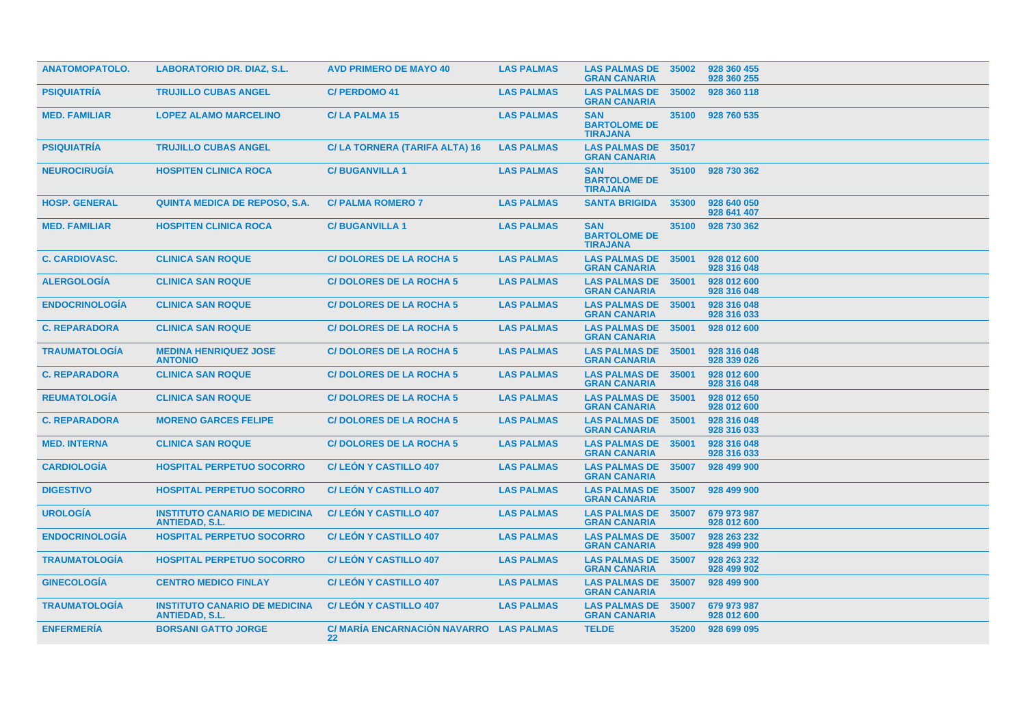| <b>ANATOMOPATOLO.</b> | <b>LABORATORIO DR. DIAZ, S.L.</b>                             | <b>AVD PRIMERO DE MAYO 40</b>                                | <b>LAS PALMAS</b> | <b>LAS PALMAS DE</b><br><b>GRAN CANARIA</b>          | 35002 | 928 360 455<br>928 360 255 |
|-----------------------|---------------------------------------------------------------|--------------------------------------------------------------|-------------------|------------------------------------------------------|-------|----------------------------|
| <b>PSIQUIATRÍA</b>    | <b>TRUJILLO CUBAS ANGEL</b>                                   | <b>C/ PERDOMO 41</b>                                         | <b>LAS PALMAS</b> | <b>LAS PALMAS DE</b><br><b>GRAN CANARIA</b>          | 35002 | 928 360 118                |
| <b>MED. FAMILIAR</b>  | <b>LOPEZ ALAMO MARCELINO</b>                                  | <b>C/LA PALMA 15</b>                                         | <b>LAS PALMAS</b> | <b>SAN</b><br><b>BARTOLOME DE</b><br><b>TIRAJANA</b> | 35100 | 928 760 535                |
| <b>PSIQUIATRIA</b>    | <b>TRUJILLO CUBAS ANGEL</b>                                   | C/LA TORNERA (TARIFA ALTA) 16                                | <b>LAS PALMAS</b> | <b>LAS PALMAS DE</b><br><b>GRAN CANARIA</b>          | 35017 |                            |
| <b>NEUROCIRUGIA</b>   | <b>HOSPITEN CLINICA ROCA</b>                                  | <b>C/BUGANVILLA1</b>                                         | <b>LAS PALMAS</b> | <b>SAN</b><br><b>BARTOLOME DE</b><br><b>TIRAJANA</b> | 35100 | 928 730 362                |
| <b>HOSP. GENERAL</b>  | <b>QUINTA MEDICA DE REPOSO, S.A.</b>                          | <b>C/ PALMA ROMERO 7</b>                                     | <b>LAS PALMAS</b> | <b>SANTA BRIGIDA</b>                                 | 35300 | 928 640 050<br>928 641 407 |
| <b>MED. FAMILIAR</b>  | <b>HOSPITEN CLINICA ROCA</b>                                  | <b>C/BUGANVILLA1</b>                                         | <b>LAS PALMAS</b> | <b>SAN</b><br><b>BARTOLOME DE</b><br><b>TIRAJANA</b> | 35100 | 928 730 362                |
| <b>C. CARDIOVASC.</b> | <b>CLINICA SAN ROQUE</b>                                      | <b>C/DOLORES DE LA ROCHA 5</b>                               | <b>LAS PALMAS</b> | <b>LAS PALMAS DE</b><br><b>GRAN CANARIA</b>          | 35001 | 928 012 600<br>928 316 048 |
| <b>ALERGOLOGÍA</b>    | <b>CLINICA SAN ROQUE</b>                                      | <b>C/DOLORES DE LA ROCHA 5</b>                               | <b>LAS PALMAS</b> | <b>LAS PALMAS DE</b><br><b>GRAN CANARIA</b>          | 35001 | 928 012 600<br>928 316 048 |
| <b>ENDOCRINOLOGÍA</b> | <b>CLINICA SAN ROQUE</b>                                      | <b>C/DOLORES DE LA ROCHA 5</b>                               | <b>LAS PALMAS</b> | <b>LAS PALMAS DE</b><br><b>GRAN CANARIA</b>          | 35001 | 928 316 048<br>928 316 033 |
| <b>C. REPARADORA</b>  | <b>CLINICA SAN ROQUE</b>                                      | <b>C/DOLORES DE LA ROCHA 5</b>                               | <b>LAS PALMAS</b> | <b>LAS PALMAS DE</b><br><b>GRAN CANARIA</b>          | 35001 | 928 012 600                |
| <b>TRAUMATOLOGIA</b>  | <b>MEDINA HENRIQUEZ JOSE</b><br><b>ANTONIO</b>                | <b>C/DOLORES DE LA ROCHA 5</b>                               | <b>LAS PALMAS</b> | <b>LAS PALMAS DE</b><br><b>GRAN CANARIA</b>          | 35001 | 928 316 048<br>928 339 026 |
| <b>C. REPARADORA</b>  | <b>CLINICA SAN ROQUE</b>                                      | <b>C/DOLORES DE LA ROCHA 5</b>                               | <b>LAS PALMAS</b> | <b>LAS PALMAS DE</b><br><b>GRAN CANARIA</b>          | 35001 | 928 012 600<br>928 316 048 |
| <b>REUMATOLOGIA</b>   | <b>CLINICA SAN ROQUE</b>                                      | <b>C/DOLORES DE LA ROCHA 5</b>                               | <b>LAS PALMAS</b> | <b>LAS PALMAS DE</b><br><b>GRAN CANARIA</b>          | 35001 | 928 012 650<br>928 012 600 |
| <b>C. REPARADORA</b>  | <b>MORENO GARCES FELIPE</b>                                   | <b>C/DOLORES DE LA ROCHA 5</b>                               | <b>LAS PALMAS</b> | <b>LAS PALMAS DE</b><br><b>GRAN CANARIA</b>          | 35001 | 928 316 048<br>928 316 033 |
| <b>MED. INTERNA</b>   | <b>CLINICA SAN ROQUE</b>                                      | <b>C/DOLORES DE LA ROCHA 5</b>                               | <b>LAS PALMAS</b> | <b>LAS PALMAS DE</b><br><b>GRAN CANARIA</b>          | 35001 | 928 316 048<br>928 316 033 |
| <b>CARDIOLOGÍA</b>    | <b>HOSPITAL PERPETUO SOCORRO</b>                              | <b>C/LEON Y CASTILLO 407</b>                                 | <b>LAS PALMAS</b> | <b>LAS PALMAS DE</b><br><b>GRAN CANARIA</b>          | 35007 | 928 499 900                |
| <b>DIGESTIVO</b>      | <b>HOSPITAL PERPETUO SOCORRO</b>                              | <b>C/LEON Y CASTILLO 407</b>                                 | <b>LAS PALMAS</b> | <b>LAS PALMAS DE</b><br><b>GRAN CANARIA</b>          | 35007 | 928 499 900                |
| <b>UROLOGÍA</b>       | <b>INSTITUTO CANARIO DE MEDICINA</b><br><b>ANTIEDAD, S.L.</b> | <b>C/LEON Y CASTILLO 407</b>                                 | <b>LAS PALMAS</b> | <b>LAS PALMAS DE</b><br><b>GRAN CANARIA</b>          | 35007 | 679 973 987<br>928 012 600 |
| <b>ENDOCRINOLOGÍA</b> | <b>HOSPITAL PERPETUO SOCORRO</b>                              | <b>C/LEON Y CASTILLO 407</b>                                 | <b>LAS PALMAS</b> | <b>LAS PALMAS DE</b><br><b>GRAN CANARIA</b>          | 35007 | 928 263 232<br>928 499 900 |
| <b>TRAUMATOLOGÍA</b>  | <b>HOSPITAL PERPETUO SOCORRO</b>                              | <b>C/LEON Y CASTILLO 407</b>                                 | <b>LAS PALMAS</b> | <b>LAS PALMAS DE</b><br><b>GRAN CANARIA</b>          | 35007 | 928 263 232<br>928 499 902 |
| <b>GINECOLOGÍA</b>    | <b>CENTRO MEDICO FINLAY</b>                                   | <b>C/LEON Y CASTILLO 407</b>                                 | <b>LAS PALMAS</b> | <b>LAS PALMAS DE</b><br><b>GRAN CANARIA</b>          | 35007 | 928 499 900                |
| <b>TRAUMATOLOGÍA</b>  | <b>INSTITUTO CANARIO DE MEDICINA</b><br><b>ANTIEDAD, S.L.</b> | <b>C/LEON Y CASTILLO 407</b>                                 | <b>LAS PALMAS</b> | <b>LAS PALMAS DE</b><br><b>GRAN CANARIA</b>          | 35007 | 679 973 987<br>928 012 600 |
| <b>ENFERMERÍA</b>     | <b>BORSANI GATTO JORGE</b>                                    | C/ MARÍA ENCARNACIÓN NAVARRO LAS PALMAS<br>$22 \overline{ }$ |                   | <b>TELDE</b>                                         | 35200 | 928 699 095                |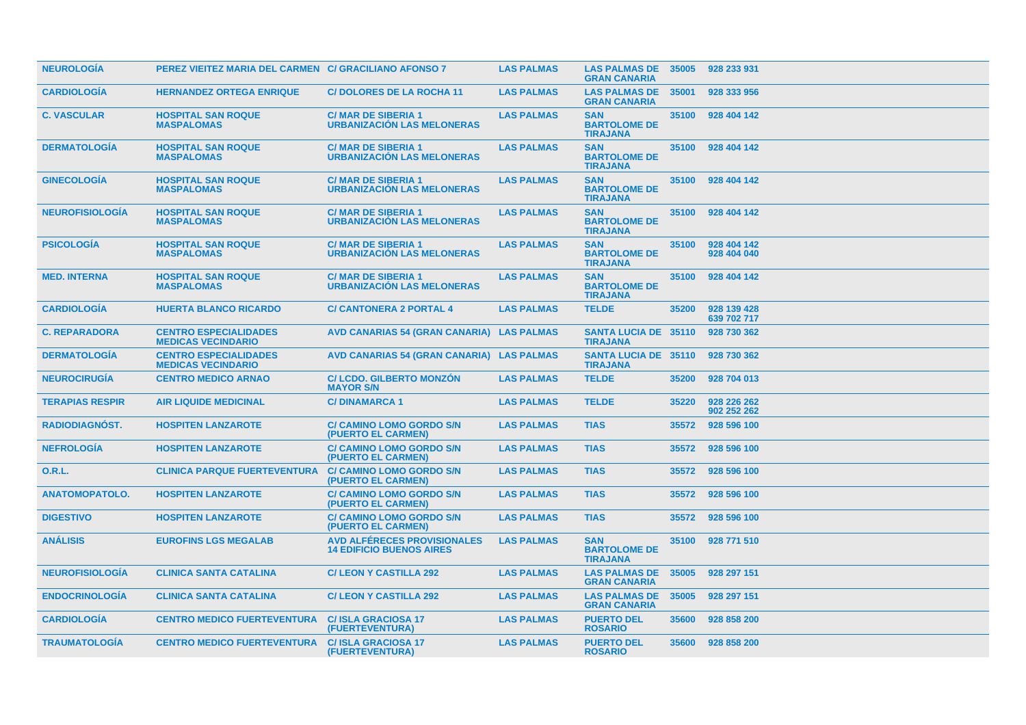| <b>NEUROLOGIA</b>      | PEREZ VIEITEZ MARIA DEL CARMEN C/ GRACILIANO AFONSO 7     |                                                                       | <b>LAS PALMAS</b> | <b>LAS PALMAS DE</b><br><b>GRAN CANARIA</b>          | 35005 | 928 233 931                |
|------------------------|-----------------------------------------------------------|-----------------------------------------------------------------------|-------------------|------------------------------------------------------|-------|----------------------------|
| <b>CARDIOLOGIA</b>     | <b>HERNANDEZ ORTEGA ENRIQUE</b>                           | <b>C/DOLORES DE LA ROCHA 11</b>                                       | <b>LAS PALMAS</b> | <b>LAS PALMAS DE</b><br><b>GRAN CANARIA</b>          | 35001 | 928 333 956                |
| <b>C. VASCULAR</b>     | <b>HOSPITAL SAN ROQUE</b><br><b>MASPALOMAS</b>            | <b>C/MAR DE SIBERIA 1</b><br><b>URBANIZACIÓN LAS MELONERAS</b>        | <b>LAS PALMAS</b> | <b>SAN</b><br><b>BARTOLOME DE</b><br><b>TIRAJANA</b> | 35100 | 928 404 142                |
| <b>DERMATOLOGIA</b>    | <b>HOSPITAL SAN ROQUE</b><br><b>MASPALOMAS</b>            | <b>C/MAR DE SIBERIA 1</b><br><b>URBANIZACION LAS MELONERAS</b>        | <b>LAS PALMAS</b> | <b>SAN</b><br><b>BARTOLOME DE</b><br><b>TIRAJANA</b> | 35100 | 928 404 142                |
| <b>GINECOLOGIA</b>     | <b>HOSPITAL SAN ROQUE</b><br><b>MASPALOMAS</b>            | <b>C/MAR DE SIBERIA 1</b><br><b>URBANIZACION LAS MELONERAS</b>        | <b>LAS PALMAS</b> | <b>SAN</b><br><b>BARTOLOME DE</b><br><b>TIRAJANA</b> | 35100 | 928 404 142                |
| <b>NEUROFISIOLOGIA</b> | <b>HOSPITAL SAN ROQUE</b><br><b>MASPALOMAS</b>            | <b>C/MAR DE SIBERIA 1</b><br><b>URBANIZACIÓN LAS MELONERAS</b>        | <b>LAS PALMAS</b> | <b>SAN</b><br><b>BARTOLOME DE</b><br><b>TIRAJANA</b> | 35100 | 928 404 142                |
| <b>PSICOLOGIA</b>      | <b>HOSPITAL SAN ROQUE</b><br><b>MASPALOMAS</b>            | <b>C/MAR DE SIBERIA 1</b><br><b>URBANIZACIÓN LAS MELONERAS</b>        | <b>LAS PALMAS</b> | <b>SAN</b><br><b>BARTOLOME DE</b><br><b>TIRAJANA</b> | 35100 | 928 404 142<br>928 404 040 |
| <b>MED. INTERNA</b>    | <b>HOSPITAL SAN ROQUE</b><br><b>MASPALOMAS</b>            | <b>C/MAR DE SIBERIA 1</b><br><b>URBANIZACIÓN LAS MELONERAS</b>        | <b>LAS PALMAS</b> | <b>SAN</b><br><b>BARTOLOME DE</b><br><b>TIRAJANA</b> | 35100 | 928 404 142                |
| <b>CARDIOLOGIA</b>     | <b>HUERTA BLANCO RICARDO</b>                              | <b>C/ CANTONERA 2 PORTAL 4</b>                                        | <b>LAS PALMAS</b> | <b>TELDE</b>                                         | 35200 | 928 139 428<br>639 702 717 |
| <b>C. REPARADORA</b>   | <b>CENTRO ESPECIALIDADES</b><br><b>MEDICAS VECINDARIO</b> | AVD CANARIAS 54 (GRAN CANARIA) LAS PALMAS                             |                   | <b>SANTA LUCIA DE 35110</b><br><b>TIRAJANA</b>       |       | 928 730 362                |
| <b>DERMATOLOGIA</b>    | <b>CENTRO ESPECIALIDADES</b><br><b>MEDICAS VECINDARIO</b> | AVD CANARIAS 54 (GRAN CANARIA) LAS PALMAS                             |                   | <b>SANTA LUCIA DE 35110</b><br><b>TIRAJANA</b>       |       | 928 730 362                |
| <b>NEUROCIRUGIA</b>    | <b>CENTRO MEDICO ARNAO</b>                                | <b>C/LCDO. GILBERTO MONZON</b><br><b>MAYOR S/N</b>                    | <b>LAS PALMAS</b> | <b>TELDE</b>                                         | 35200 | 928 704 013                |
| <b>TERAPIAS RESPIR</b> | <b>AIR LIQUIDE MEDICINAL</b>                              | <b>C/DINAMARCA1</b>                                                   | <b>LAS PALMAS</b> | <b>TELDE</b>                                         | 35220 | 928 226 262<br>902 252 262 |
| <b>RADIODIAGNOST.</b>  | <b>HOSPITEN LANZAROTE</b>                                 | <b>C/ CAMINO LOMO GORDO S/N</b><br>(PUERTO EL CARMEN)                 | <b>LAS PALMAS</b> | <b>TIAS</b>                                          | 35572 | 928 596 100                |
| <b>NEFROLOGIA</b>      | <b>HOSPITEN LANZAROTE</b>                                 | <b>C/ CAMINO LOMO GORDO S/N</b><br>(PUERTO EL CARMEN)                 | <b>LAS PALMAS</b> | <b>TIAS</b>                                          | 35572 | 928 596 100                |
| 0.R.L.                 | <b>CLINICA PARQUE FUERTEVENTURA</b>                       | <b>C/ CAMINO LOMO GORDO S/N</b><br>(PUERTO EL CARMEN)                 | <b>LAS PALMAS</b> | <b>TIAS</b>                                          | 35572 | 928 596 100                |
| <b>ANATOMOPATOLO.</b>  | <b>HOSPITEN LANZAROTE</b>                                 | <b>C/ CAMINO LOMO GORDO S/N</b><br>(PUERTO EL CARMEN)                 | <b>LAS PALMAS</b> | <b>TIAS</b>                                          | 35572 | 928 596 100                |
| <b>DIGESTIVO</b>       | <b>HOSPITEN LANZAROTE</b>                                 | <b>C/ CAMINO LOMO GORDO S/N</b><br>(PUERTO EL CARMEN)                 | <b>LAS PALMAS</b> | <b>TIAS</b>                                          | 35572 | 928 596 100                |
| <b>ANÁLISIS</b>        | <b>EUROFINS LGS MEGALAB</b>                               | <b>AVD ALFÉRECES PROVISIONALES</b><br><b>14 EDIFICIO BUENOS AIRES</b> | <b>LAS PALMAS</b> | <b>SAN</b><br><b>BARTOLOME DE</b><br><b>TIRAJANA</b> | 35100 | 928 771 510                |
| <b>NEUROFISIOLOGIA</b> | <b>CLINICA SANTA CATALINA</b>                             | <b>C/LEON Y CASTILLA 292</b>                                          | <b>LAS PALMAS</b> | <b>LAS PALMAS DE</b><br><b>GRAN CANARIA</b>          | 35005 | 928 297 151                |
| <b>ENDOCRINOLOGIA</b>  | <b>CLINICA SANTA CATALINA</b>                             | <b>C/LEON Y CASTILLA 292</b>                                          | <b>LAS PALMAS</b> | <b>LAS PALMAS DE</b><br><b>GRAN CANARIA</b>          | 35005 | 928 297 151                |
| <b>CARDIOLOGIA</b>     | <b>CENTRO MEDICO FUERTEVENTURA</b>                        | <b>C/ISLA GRACIOSA 17</b><br>(FUERTEVENTURA)                          | <b>LAS PALMAS</b> | <b>PUERTO DEL</b><br><b>ROSARIO</b>                  | 35600 | 928 858 200                |
| <b>TRAUMATOLOGIA</b>   | <b>CENTRO MEDICO FUERTEVENTURA</b>                        | <b>C/ISLA GRACIOSA 17</b><br>(FUERTEVENTURA)                          | <b>LAS PALMAS</b> | <b>PUERTO DEL</b><br><b>ROSARIO</b>                  | 35600 | 928 858 200                |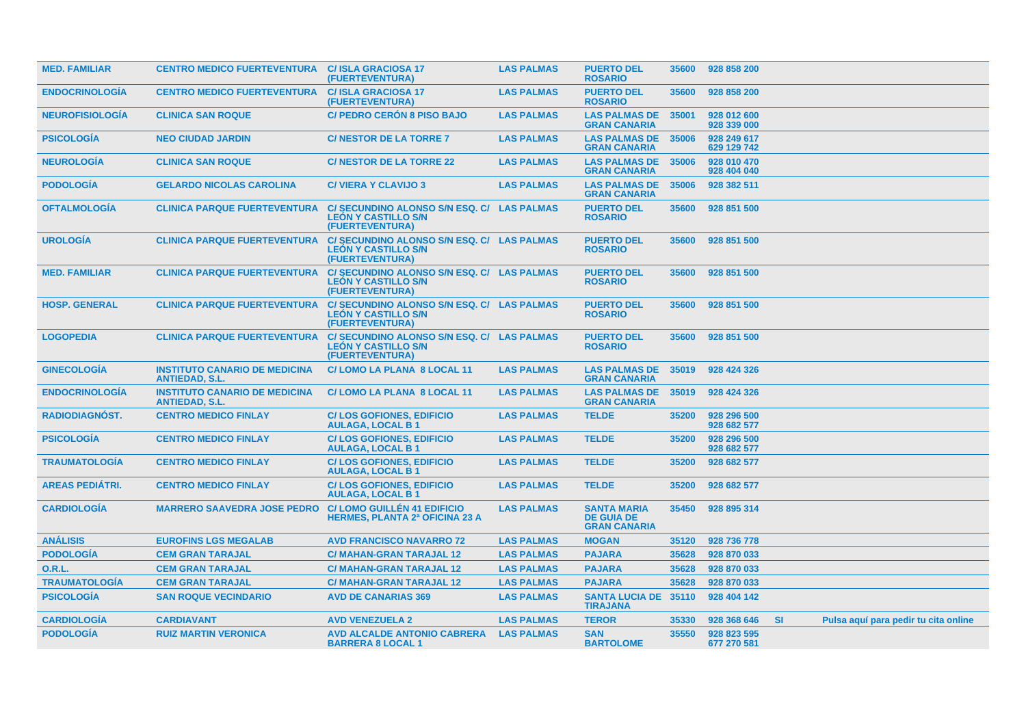| <b>MED. FAMILIAR</b>   | <b>CENTRO MEDICO FUERTEVENTURA C/ ISLA GRACIOSA 17</b>        | (FUERTEVENTURA)                                                                             | <b>LAS PALMAS</b> | <b>PUERTO DEL</b><br><b>ROSARIO</b>                            | 35600 | 928 858 200                |           |                                      |  |
|------------------------|---------------------------------------------------------------|---------------------------------------------------------------------------------------------|-------------------|----------------------------------------------------------------|-------|----------------------------|-----------|--------------------------------------|--|
| <b>ENDOCRINOLOGIA</b>  | <b>CENTRO MEDICO FUERTEVENTURA</b>                            | <b>C/ISLA GRACIOSA 17</b><br>(FUERTEVENTURA)                                                | <b>LAS PALMAS</b> | <b>PUERTO DEL</b><br><b>ROSARIO</b>                            | 35600 | 928 858 200                |           |                                      |  |
| <b>NEUROFISIOLOGIA</b> | <b>CLINICA SAN ROQUE</b>                                      | <b>C/ PEDRO CERON 8 PISO BAJO</b>                                                           | <b>LAS PALMAS</b> | <b>LAS PALMAS DE</b><br><b>GRAN CANARIA</b>                    | 35001 | 928 012 600<br>928 339 000 |           |                                      |  |
| <b>PSICOLOGÍA</b>      | <b>NEO CIUDAD JARDIN</b>                                      | <b>C/NESTOR DE LA TORRE 7</b>                                                               | <b>LAS PALMAS</b> | <b>LAS PALMAS DE</b><br><b>GRAN CANARIA</b>                    | 35006 | 928 249 617<br>629 129 742 |           |                                      |  |
| <b>NEUROLOGIA</b>      | <b>CLINICA SAN ROQUE</b>                                      | <b>C/NESTOR DE LA TORRE 22</b>                                                              | <b>LAS PALMAS</b> | <b>LAS PALMAS DE</b><br><b>GRAN CANARIA</b>                    | 35006 | 928 010 470<br>928 404 040 |           |                                      |  |
| <b>PODOLOGIA</b>       | <b>GELARDO NICOLAS CAROLINA</b>                               | <b>C/VIERA Y CLAVIJO 3</b>                                                                  | <b>LAS PALMAS</b> | <b>LAS PALMAS DE</b><br><b>GRAN CANARIA</b>                    | 35006 | 928 382 511                |           |                                      |  |
| <b>OFTALMOLOGIA</b>    | <b>CLINICA PARQUE FUERTEVENTURA</b>                           | C/SECUNDINO ALONSO S/N ESQ. C/ LAS PALMAS<br><b>LEÓN Y CASTILLO S/N</b><br>(FUERTEVENTURA)  |                   | <b>PUERTO DEL</b><br><b>ROSARIO</b>                            | 35600 | 928 851 500                |           |                                      |  |
| <b>UROLOGIA</b>        | <b>CLINICA PARQUE FUERTEVENTURA</b>                           | C/ SECUNDINO ALONSO S/N ESQ. C/ LAS PALMAS<br><b>LEÓN Y CASTILLO S/N</b><br>(FUERTEVENTURA) |                   | <b>PUERTO DEL</b><br><b>ROSARIO</b>                            | 35600 | 928 851 500                |           |                                      |  |
| <b>MED. FAMILIAR</b>   | <b>CLINICA PARQUE FUERTEVENTURA</b>                           | C/ SECUNDINO ALONSO S/N ESQ. C/ LAS PALMAS<br><b>LEON Y CASTILLO S/N</b><br>(FUERTEVENTURA) |                   | <b>PUERTO DEL</b><br><b>ROSARIO</b>                            | 35600 | 928 851 500                |           |                                      |  |
| <b>HOSP. GENERAL</b>   | <b>CLINICA PARQUE FUERTEVENTURA</b>                           | C/SECUNDINO ALONSO S/N ESQ. C/ LAS PALMAS<br><b>LEÓN Y CASTILLO S/N</b><br>(FUERTEVENTURA)  |                   | <b>PUERTO DEL</b><br><b>ROSARIO</b>                            | 35600 | 928 851 500                |           |                                      |  |
| <b>LOGOPEDIA</b>       | <b>CLINICA PARQUE FUERTEVENTURA</b>                           | C/ SECUNDINO ALONSO S/N ESQ. C/ LAS PALMAS<br><b>LEÓN Y CASTILLO S/N</b><br>(FUERTEVENTURA) |                   | <b>PUERTO DEL</b><br><b>ROSARIO</b>                            | 35600 | 928 851 500                |           |                                      |  |
| <b>GINECOLOGÍA</b>     | <b>INSTITUTO CANARIO DE MEDICINA</b><br><b>ANTIEDAD, S.L.</b> | C/LOMO LA PLANA 8 LOCAL 11                                                                  | <b>LAS PALMAS</b> | <b>LAS PALMAS DE</b><br><b>GRAN CANARIA</b>                    | 35019 | 928 424 326                |           |                                      |  |
| <b>ENDOCRINOLOGIA</b>  | <b>INSTITUTO CANARIO DE MEDICINA</b><br><b>ANTIEDAD, S.L.</b> | C/LOMO LA PLANA 8 LOCAL 11                                                                  | <b>LAS PALMAS</b> | <b>LAS PALMAS DE</b><br><b>GRAN CANARIA</b>                    | 35019 | 928 424 326                |           |                                      |  |
| RADIODIAGNÓST.         | <b>CENTRO MEDICO FINLAY</b>                                   | <b>C/LOS GOFIONES, EDIFICIO</b><br><b>AULAGA, LOCAL B1</b>                                  | <b>LAS PALMAS</b> | <b>TELDE</b>                                                   | 35200 | 928 296 500<br>928 682 577 |           |                                      |  |
| <b>PSICOLOGIA</b>      | <b>CENTRO MEDICO FINLAY</b>                                   | <b>C/LOS GOFIONES, EDIFICIO</b><br><b>AULAGA, LOCAL B1</b>                                  | <b>LAS PALMAS</b> | <b>TELDE</b>                                                   | 35200 | 928 296 500<br>928 682 577 |           |                                      |  |
| <b>TRAUMATOLOGIA</b>   | <b>CENTRO MEDICO FINLAY</b>                                   | <b>C/LOS GOFIONES, EDIFICIO</b><br><b>AULAGA, LOCAL B1</b>                                  | <b>LAS PALMAS</b> | <b>TELDE</b>                                                   | 35200 | 928 682 577                |           |                                      |  |
| <b>AREAS PEDIÁTRI.</b> | <b>CENTRO MEDICO FINLAY</b>                                   | <b>C/LOS GOFIONES, EDIFICIO</b><br><b>AULAGA, LOCAL B1</b>                                  | <b>LAS PALMAS</b> | <b>TELDE</b>                                                   | 35200 | 928 682 577                |           |                                      |  |
| <b>CARDIOLOGIA</b>     | <b>MARRERO SAAVEDRA JOSE PEDRO</b>                            | <b>C/LOMO GUILLÉN 41 EDIFICIO</b><br><b>HERMES, PLANTA 2ª OFICINA 23 A</b>                  | <b>LAS PALMAS</b> | <b>SANTA MARIA</b><br><b>DE GUIA DE</b><br><b>GRAN CANARIA</b> | 35450 | 928 895 314                |           |                                      |  |
| <b>ANÁLISIS</b>        | <b>EUROFINS LGS MEGALAB</b>                                   | <b>AVD FRANCISCO NAVARRO 72</b>                                                             | <b>LAS PALMAS</b> | <b>MOGAN</b>                                                   | 35120 | 928 736 778                |           |                                      |  |
| <b>PODOLOGÍA</b>       | <b>CEM GRAN TARAJAL</b>                                       | <b>C/ MAHAN-GRAN TARAJAL 12</b>                                                             | <b>LAS PALMAS</b> | <b>PAJARA</b>                                                  | 35628 | 928 870 033                |           |                                      |  |
| 0.R.L.                 | <b>CEM GRAN TARAJAL</b>                                       | <b>C/ MAHAN-GRAN TARAJAL 12</b>                                                             | <b>LAS PALMAS</b> | <b>PAJARA</b>                                                  | 35628 | 928 870 033                |           |                                      |  |
| <b>TRAUMATOLOGÍA</b>   | <b>CEM GRAN TARAJAL</b>                                       | <b>C/ MAHAN-GRAN TARAJAL 12</b>                                                             | <b>LAS PALMAS</b> | <b>PAJARA</b>                                                  | 35628 | 928 870 033                |           |                                      |  |
| <b>PSICOLOGÍA</b>      | <b>SAN ROQUE VECINDARIO</b>                                   | <b>AVD DE CANARIAS 369</b>                                                                  | <b>LAS PALMAS</b> | <b>SANTA LUCIA DE 35110</b><br><b>TIRAJANA</b>                 |       | 928 404 142                |           |                                      |  |
| <b>CARDIOLOGIA</b>     | <b>CARDIAVANT</b>                                             | <b>AVD VENEZUELA 2</b>                                                                      | <b>LAS PALMAS</b> | <b>TEROR</b>                                                   | 35330 | 928 368 646                | <b>SI</b> | Pulsa aquí para pedir tu cita online |  |
| <b>PODOLOGIA</b>       | <b>RUIZ MARTIN VERONICA</b>                                   | <b>AVD ALCALDE ANTONIO CABRERA</b><br><b>BARRERA 8 LOCAL 1</b>                              | <b>LAS PALMAS</b> | <b>SAN</b><br><b>BARTOLOME</b>                                 | 35550 | 928 823 595<br>677 270 581 |           |                                      |  |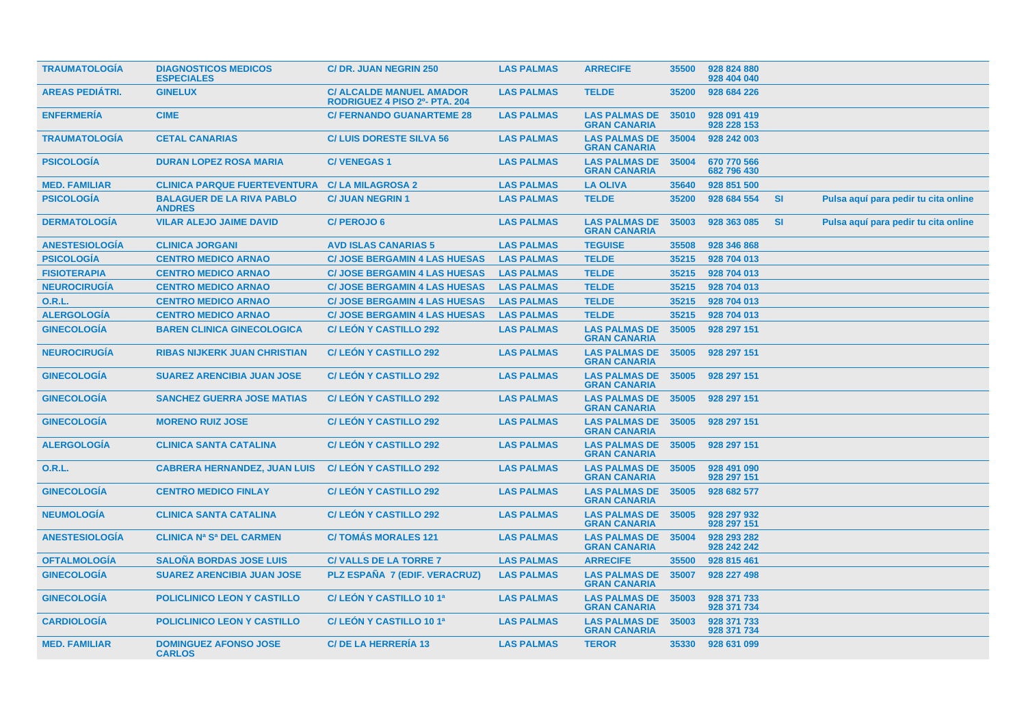| <b>TRAUMATOLOGIA</b>   | <b>DIAGNOSTICOS MEDICOS</b><br><b>ESPECIALES</b>  | <b>C/ DR. JUAN NEGRIN 250</b>                                    | <b>LAS PALMAS</b> | <b>ARRECIFE</b>                             | 35500 | 928 824 880<br>928 404 040 |           |                                      |  |
|------------------------|---------------------------------------------------|------------------------------------------------------------------|-------------------|---------------------------------------------|-------|----------------------------|-----------|--------------------------------------|--|
| <b>AREAS PEDIÁTRI.</b> | <b>GINELUX</b>                                    | <b>C/ ALCALDE MANUEL AMADOR</b><br>RODRIGUEZ 4 PISO 2º- PTA. 204 | <b>LAS PALMAS</b> | <b>TELDE</b>                                | 35200 | 928 684 226                |           |                                      |  |
| <b>ENFERMERÍA</b>      | <b>CIME</b>                                       | <b>C/ FERNANDO GUANARTEME 28</b>                                 | <b>LAS PALMAS</b> | <b>LAS PALMAS DE</b><br><b>GRAN CANARIA</b> | 35010 | 928 091 419<br>928 228 153 |           |                                      |  |
| <b>TRAUMATOLOGÍA</b>   | <b>CETAL CANARIAS</b>                             | <b>C/LUIS DORESTE SILVA 56</b>                                   | <b>LAS PALMAS</b> | <b>LAS PALMAS DE</b><br><b>GRAN CANARIA</b> | 35004 | 928 242 003                |           |                                      |  |
| <b>PSICOLOGÍA</b>      | <b>DURAN LOPEZ ROSA MARIA</b>                     | <b>C/VENEGAS1</b>                                                | <b>LAS PALMAS</b> | <b>LAS PALMAS DE</b><br><b>GRAN CANARIA</b> | 35004 | 670 770 566<br>682 796 430 |           |                                      |  |
| <b>MED. FAMILIAR</b>   | <b>CLINICA PARQUE FUERTEVENTURA</b>               | <b>C/LA MILAGROSA 2</b>                                          | <b>LAS PALMAS</b> | <b>LA OLIVA</b>                             | 35640 | 928 851 500                |           |                                      |  |
| <b>PSICOLOGÍA</b>      | <b>BALAGUER DE LA RIVA PABLO</b><br><b>ANDRES</b> | <b>C/ JUAN NEGRIN 1</b>                                          | <b>LAS PALMAS</b> | <b>TELDE</b>                                | 35200 | 928 684 554                | <b>SI</b> | Pulsa aquí para pedir tu cita online |  |
| <b>DERMATOLOGÍA</b>    | <b>VILAR ALEJO JAIME DAVID</b>                    | <b>C/PEROJO6</b>                                                 | <b>LAS PALMAS</b> | <b>LAS PALMAS DE</b><br><b>GRAN CANARIA</b> | 35003 | 928 363 085                | <b>SI</b> | Pulsa aquí para pedir tu cita online |  |
| <b>ANESTESIOLOGÍA</b>  | <b>CLINICA JORGANI</b>                            | <b>AVD ISLAS CANARIAS 5</b>                                      | <b>LAS PALMAS</b> | <b>TEGUISE</b>                              | 35508 | 928 346 868                |           |                                      |  |
| <b>PSICOLOGÍA</b>      | <b>CENTRO MEDICO ARNAO</b>                        | <b>C/ JOSE BERGAMIN 4 LAS HUESAS</b>                             | <b>LAS PALMAS</b> | <b>TELDE</b>                                | 35215 | 928 704 013                |           |                                      |  |
| <b>FISIOTERAPIA</b>    | <b>CENTRO MEDICO ARNAO</b>                        | <b>C/ JOSE BERGAMIN 4 LAS HUESAS</b>                             | <b>LAS PALMAS</b> | <b>TELDE</b>                                | 35215 | 928 704 013                |           |                                      |  |
| <b>NEUROCIRUGÍA</b>    | <b>CENTRO MEDICO ARNAO</b>                        | <b>C/ JOSE BERGAMIN 4 LAS HUESAS</b>                             | <b>LAS PALMAS</b> | <b>TELDE</b>                                | 35215 | 928 704 013                |           |                                      |  |
| <b>O.R.L.</b>          | <b>CENTRO MEDICO ARNAO</b>                        | <b>C/ JOSE BERGAMIN 4 LAS HUESAS</b>                             | <b>LAS PALMAS</b> | <b>TELDE</b>                                | 35215 | 928 704 013                |           |                                      |  |
| <b>ALERGOLOGÍA</b>     | <b>CENTRO MEDICO ARNAO</b>                        | <b>C/ JOSE BERGAMIN 4 LAS HUESAS</b>                             | <b>LAS PALMAS</b> | <b>TELDE</b>                                | 35215 | 928 704 013                |           |                                      |  |
| <b>GINECOLOGÍA</b>     | <b>BAREN CLINICA GINECOLOGICA</b>                 | <b>C/LEON Y CASTILLO 292</b>                                     | <b>LAS PALMAS</b> | <b>LAS PALMAS DE</b><br><b>GRAN CANARIA</b> | 35005 | 928 297 151                |           |                                      |  |
| <b>NEUROCIRUGIA</b>    | <b>RIBAS NIJKERK JUAN CHRISTIAN</b>               | <b>C/ LEON Y CASTILLO 292</b>                                    | <b>LAS PALMAS</b> | <b>LAS PALMAS DE</b><br><b>GRAN CANARIA</b> | 35005 | 928 297 151                |           |                                      |  |
| <b>GINECOLOGÍA</b>     | <b>SUAREZ ARENCIBIA JUAN JOSE</b>                 | <b>C/LEON Y CASTILLO 292</b>                                     | <b>LAS PALMAS</b> | <b>LAS PALMAS DE</b><br><b>GRAN CANARIA</b> | 35005 | 928 297 151                |           |                                      |  |
| <b>GINECOLOGÍA</b>     | <b>SANCHEZ GUERRA JOSE MATIAS</b>                 | <b>C/LEON Y CASTILLO 292</b>                                     | <b>LAS PALMAS</b> | <b>LAS PALMAS DE</b><br><b>GRAN CANARIA</b> | 35005 | 928 297 151                |           |                                      |  |
| <b>GINECOLOGÍA</b>     | <b>MORENO RUIZ JOSE</b>                           | <b>C/LEON Y CASTILLO 292</b>                                     | <b>LAS PALMAS</b> | <b>LAS PALMAS DE</b><br><b>GRAN CANARIA</b> | 35005 | 928 297 151                |           |                                      |  |
| <b>ALERGOLOGÍA</b>     | <b>CLINICA SANTA CATALINA</b>                     | <b>C/LEON Y CASTILLO 292</b>                                     | <b>LAS PALMAS</b> | <b>LAS PALMAS DE</b><br><b>GRAN CANARIA</b> | 35005 | 928 297 151                |           |                                      |  |
| 0.R.L.                 | <b>CABRERA HERNANDEZ, JUAN LUIS</b>               | <b>C/LEON Y CASTILLO 292</b>                                     | <b>LAS PALMAS</b> | <b>LAS PALMAS DE</b><br><b>GRAN CANARIA</b> | 35005 | 928 491 090<br>928 297 151 |           |                                      |  |
| <b>GINECOLOGIA</b>     | <b>CENTRO MEDICO FINLAY</b>                       | <b>C/LEON Y CASTILLO 292</b>                                     | <b>LAS PALMAS</b> | <b>LAS PALMAS DE</b><br><b>GRAN CANARIA</b> | 35005 | 928 682 577                |           |                                      |  |
| <b>NEUMOLOGIA</b>      | <b>CLINICA SANTA CATALINA</b>                     | <b>C/LEON Y CASTILLO 292</b>                                     | <b>LAS PALMAS</b> | <b>LAS PALMAS DE</b><br><b>GRAN CANARIA</b> | 35005 | 928 297 932<br>928 297 151 |           |                                      |  |
| <b>ANESTESIOLOGÍA</b>  | <b>CLINICA Na Sa DEL CARMEN</b>                   | <b>C/TOMÁS MORALES 121</b>                                       | <b>LAS PALMAS</b> | <b>LAS PALMAS DE</b><br><b>GRAN CANARIA</b> | 35004 | 928 293 282<br>928 242 242 |           |                                      |  |
| <b>OFTALMOLOGIA</b>    | <b>SALOÑA BORDAS JOSE LUIS</b>                    | <b>C/VALLS DE LA TORRE 7</b>                                     | <b>LAS PALMAS</b> | <b>ARRECIFE</b>                             | 35500 | 928 815 461                |           |                                      |  |
| <b>GINECOLOGÍA</b>     | <b>SUAREZ ARENCIBIA JUAN JOSE</b>                 | PLZ ESPAÑA 7 (EDIF. VERACRUZ)                                    | <b>LAS PALMAS</b> | <b>LAS PALMAS DE</b><br><b>GRAN CANARIA</b> | 35007 | 928 227 498                |           |                                      |  |
| <b>GINECOLOGÍA</b>     | POLICLINICO LEON Y CASTILLO                       | C/ LEÓN Y CASTILLO 10 1ª                                         | <b>LAS PALMAS</b> | <b>LAS PALMAS DE</b><br><b>GRAN CANARIA</b> | 35003 | 928 371 733<br>928 371 734 |           |                                      |  |
| <b>CARDIOLOGÍA</b>     | POLICLINICO LEON Y CASTILLO                       | C/ LEÓN Y CASTILLO 10 1ª                                         | <b>LAS PALMAS</b> | <b>LAS PALMAS DE</b><br><b>GRAN CANARIA</b> | 35003 | 928 371 733<br>928 371 734 |           |                                      |  |
| <b>MED. FAMILIAR</b>   | <b>DOMINGUEZ AFONSO JOSE</b><br><b>CARLOS</b>     | <b>C/DE LA HERRERÍA 13</b>                                       | <b>LAS PALMAS</b> | <b>TEROR</b>                                | 35330 | 928 631 099                |           |                                      |  |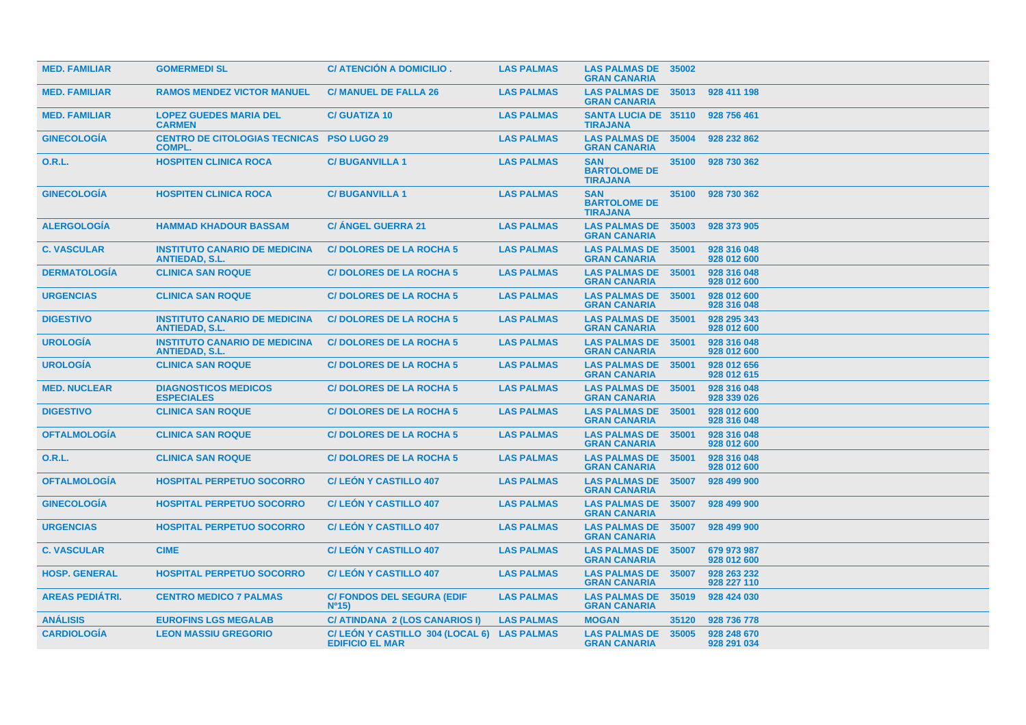| <b>MED. FAMILIAR</b>   | <b>GOMERMEDI SL</b>                                               | C/ ATENCIÓN A DOMICILIO.                                             | <b>LAS PALMAS</b> | <b>LAS PALMAS DE 35002</b><br><b>GRAN CANARIA</b>    |       |                            |
|------------------------|-------------------------------------------------------------------|----------------------------------------------------------------------|-------------------|------------------------------------------------------|-------|----------------------------|
| <b>MED. FAMILIAR</b>   | <b>RAMOS MENDEZ VICTOR MANUEL</b>                                 | <b>C/ MANUEL DE FALLA 26</b>                                         | <b>LAS PALMAS</b> | <b>LAS PALMAS DE</b><br><b>GRAN CANARIA</b>          | 35013 | 928 411 198                |
| <b>MED. FAMILIAR</b>   | <b>LOPEZ GUEDES MARIA DEL</b><br><b>CARMEN</b>                    | <b>C/ GUATIZA 10</b>                                                 | <b>LAS PALMAS</b> | <b>SANTA LUCIA DE 35110</b><br><b>TIRAJANA</b>       |       | 928 756 461                |
| <b>GINECOLOGÍA</b>     | <b>CENTRO DE CITOLOGIAS TECNICAS PSO LUGO 29</b><br><b>COMPL.</b> |                                                                      | <b>LAS PALMAS</b> | <b>LAS PALMAS DE 35004</b><br><b>GRAN CANARIA</b>    |       | 928 232 862                |
| 0.R.L.                 | <b>HOSPITEN CLINICA ROCA</b>                                      | <b>C/BUGANVILLA1</b>                                                 | <b>LAS PALMAS</b> | <b>SAN</b><br><b>BARTOLOME DE</b><br><b>TIRAJANA</b> | 35100 | 928 730 362                |
| <b>GINECOLOGIA</b>     | <b>HOSPITEN CLINICA ROCA</b>                                      | <b>C/BUGANVILLA1</b>                                                 | <b>LAS PALMAS</b> | <b>SAN</b><br><b>BARTOLOME DE</b><br><b>TIRAJANA</b> | 35100 | 928 730 362                |
| <b>ALERGOLOGIA</b>     | <b>HAMMAD KHADOUR BASSAM</b>                                      | <b>C/ ANGEL GUERRA 21</b>                                            | <b>LAS PALMAS</b> | <b>LAS PALMAS DE</b><br><b>GRAN CANARIA</b>          | 35003 | 928 373 905                |
| <b>C. VASCULAR</b>     | <b>INSTITUTO CANARIO DE MEDICINA</b><br><b>ANTIEDAD, S.L.</b>     | <b>C/DOLORES DE LA ROCHA 5</b>                                       | <b>LAS PALMAS</b> | <b>LAS PALMAS DE</b><br><b>GRAN CANARIA</b>          | 35001 | 928 316 048<br>928 012 600 |
| <b>DERMATOLOGIA</b>    | <b>CLINICA SAN ROQUE</b>                                          | <b>C/DOLORES DE LA ROCHA 5</b>                                       | <b>LAS PALMAS</b> | <b>LAS PALMAS DE</b><br><b>GRAN CANARIA</b>          | 35001 | 928 316 048<br>928 012 600 |
| <b>URGENCIAS</b>       | <b>CLINICA SAN ROQUE</b>                                          | <b>C/DOLORES DE LA ROCHA 5</b>                                       | <b>LAS PALMAS</b> | <b>LAS PALMAS DE</b><br><b>GRAN CANARIA</b>          | 35001 | 928 012 600<br>928 316 048 |
| <b>DIGESTIVO</b>       | <b>INSTITUTO CANARIO DE MEDICINA</b><br><b>ANTIEDAD, S.L.</b>     | <b>C/DOLORES DE LA ROCHA 5</b>                                       | <b>LAS PALMAS</b> | <b>LAS PALMAS DE</b><br><b>GRAN CANARIA</b>          | 35001 | 928 295 343<br>928 012 600 |
| <b>UROLOGÍA</b>        | <b>INSTITUTO CANARIO DE MEDICINA</b><br><b>ANTIEDAD, S.L.</b>     | <b>C/DOLORES DE LA ROCHA 5</b>                                       | <b>LAS PALMAS</b> | <b>LAS PALMAS DE</b><br><b>GRAN CANARIA</b>          | 35001 | 928 316 048<br>928 012 600 |
| <b>UROLOGIA</b>        | <b>CLINICA SAN ROQUE</b>                                          | <b>C/DOLORES DE LA ROCHA 5</b>                                       | <b>LAS PALMAS</b> | <b>LAS PALMAS DE</b><br><b>GRAN CANARIA</b>          | 35001 | 928 012 656<br>928 012 615 |
| <b>MED. NUCLEAR</b>    | <b>DIAGNOSTICOS MEDICOS</b><br><b>ESPECIALES</b>                  | <b>C/DOLORES DE LA ROCHA 5</b>                                       | <b>LAS PALMAS</b> | <b>LAS PALMAS DE</b><br><b>GRAN CANARIA</b>          | 35001 | 928 316 048<br>928 339 026 |
| <b>DIGESTIVO</b>       | <b>CLINICA SAN ROQUE</b>                                          | <b>C/DOLORES DE LA ROCHA 5</b>                                       | <b>LAS PALMAS</b> | <b>LAS PALMAS DE</b><br><b>GRAN CANARIA</b>          | 35001 | 928 012 600<br>928 316 048 |
| <b>OFTALMOLOGÍA</b>    | <b>CLINICA SAN ROQUE</b>                                          | <b>C/DOLORES DE LA ROCHA 5</b>                                       | <b>LAS PALMAS</b> | <b>LAS PALMAS DE</b><br><b>GRAN CANARIA</b>          | 35001 | 928 316 048<br>928 012 600 |
| 0.R.L.                 | <b>CLINICA SAN ROQUE</b>                                          | <b>C/DOLORES DE LA ROCHA 5</b>                                       | <b>LAS PALMAS</b> | <b>LAS PALMAS DE</b><br><b>GRAN CANARIA</b>          | 35001 | 928 316 048<br>928 012 600 |
| <b>OFTALMOLOGÍA</b>    | <b>HOSPITAL PERPETUO SOCORRO</b>                                  | <b>C/LEON Y CASTILLO 407</b>                                         | <b>LAS PALMAS</b> | <b>LAS PALMAS DE</b><br><b>GRAN CANARIA</b>          | 35007 | 928 499 900                |
| <b>GINECOLOGÍA</b>     | <b>HOSPITAL PERPETUO SOCORRO</b>                                  | <b>C/LEON Y CASTILLO 407</b>                                         | <b>LAS PALMAS</b> | <b>LAS PALMAS DE</b><br><b>GRAN CANARIA</b>          | 35007 | 928 499 900                |
| <b>URGENCIAS</b>       | <b>HOSPITAL PERPETUO SOCORRO</b>                                  | <b>C/LEON Y CASTILLO 407</b>                                         | <b>LAS PALMAS</b> | <b>LAS PALMAS DE</b><br><b>GRAN CANARIA</b>          | 35007 | 928 499 900                |
| <b>C. VASCULAR</b>     | <b>CIME</b>                                                       | <b>C/LEON Y CASTILLO 407</b>                                         | <b>LAS PALMAS</b> | <b>LAS PALMAS DE</b><br><b>GRAN CANARIA</b>          | 35007 | 679 973 987<br>928 012 600 |
| <b>HOSP. GENERAL</b>   | <b>HOSPITAL PERPETUO SOCORRO</b>                                  | <b>C/LEON Y CASTILLO 407</b>                                         | <b>LAS PALMAS</b> | <b>LAS PALMAS DE</b><br><b>GRAN CANARIA</b>          | 35007 | 928 263 232<br>928 227 110 |
| <b>AREAS PEDIÁTRI.</b> | <b>CENTRO MEDICO 7 PALMAS</b>                                     | <b>C/ FONDOS DEL SEGURA (EDIF</b><br>N <sup>0</sup> 15               | <b>LAS PALMAS</b> | <b>LAS PALMAS DE</b><br><b>GRAN CANARIA</b>          | 35019 | 928 424 030                |
| <b>ANALISIS</b>        | <b>EUROFINS LGS MEGALAB</b>                                       | C/ ATINDANA 2 (LOS CANARIOS I)                                       | <b>LAS PALMAS</b> | <b>MOGAN</b>                                         | 35120 | 928 736 778                |
| <b>CARDIOLOGÍA</b>     | <b>LEON MASSIU GREGORIO</b>                                       | C/LEÓN Y CASTILLO 304 (LOCAL 6) LAS PALMAS<br><b>EDIFICIO EL MAR</b> |                   | <b>LAS PALMAS DE</b><br><b>GRAN CANARIA</b>          | 35005 | 928 248 670<br>928 291 034 |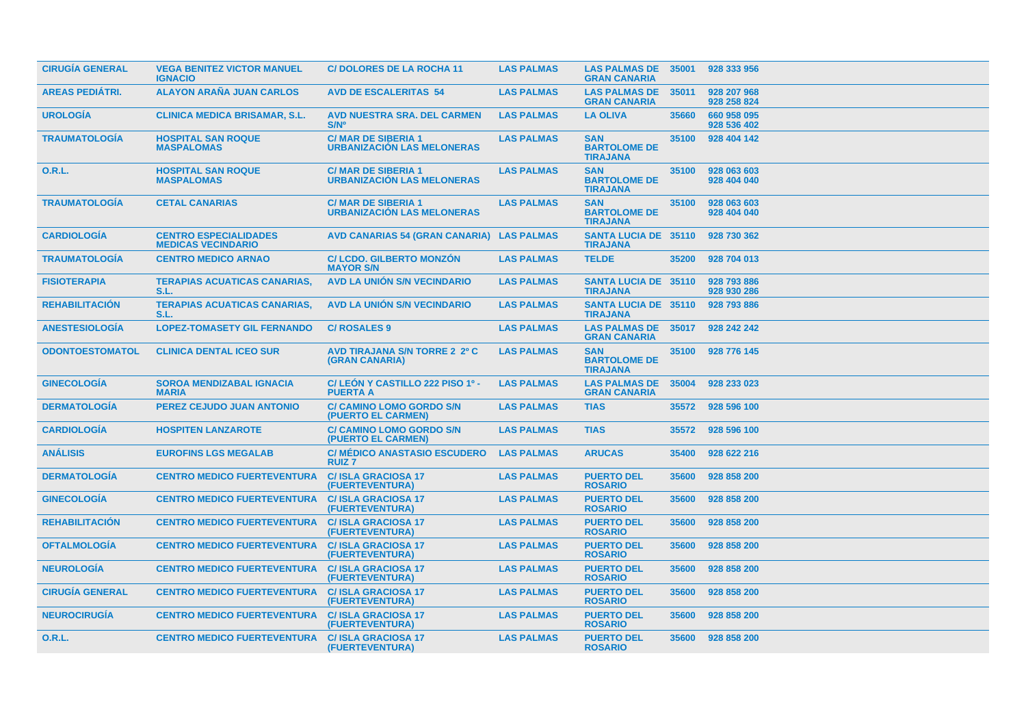| <b>CIRUGÍA GENERAL</b> | <b>VEGA BENITEZ VICTOR MANUEL</b><br><b>IGNACIO</b>       | <b>C/DOLORES DE LA ROCHA 11</b>                                | <b>LAS PALMAS</b> | <b>LAS PALMAS DE 35001</b><br><b>GRAN CANARIA</b>    |       | 928 333 956                |  |
|------------------------|-----------------------------------------------------------|----------------------------------------------------------------|-------------------|------------------------------------------------------|-------|----------------------------|--|
| AREAS PEDIÁTRI.        | <b>ALAYON ARAÑA JUAN CARLOS</b>                           | <b>AVD DE ESCALERITAS 54</b>                                   | <b>LAS PALMAS</b> | <b>LAS PALMAS DE</b><br><b>GRAN CANARIA</b>          | 35011 | 928 207 968<br>928 258 824 |  |
| <b>UROLOGÍA</b>        | <b>CLINICA MEDICA BRISAMAR, S.L.</b>                      | <b>AVD NUESTRA SRA. DEL CARMEN</b><br>$S/N^{\circ}$            | <b>LAS PALMAS</b> | <b>LA OLIVA</b>                                      | 35660 | 660 958 095<br>928 536 402 |  |
| <b>TRAUMATOLOGÍA</b>   | <b>HOSPITAL SAN ROQUE</b><br><b>MASPALOMAS</b>            | <b>C/MAR DE SIBERIA 1</b><br><b>URBANIZACION LAS MELONERAS</b> | <b>LAS PALMAS</b> | <b>SAN</b><br><b>BARTOLOME DE</b><br><b>TIRAJANA</b> | 35100 | 928 404 142                |  |
| <b>O.R.L.</b>          | <b>HOSPITAL SAN ROQUE</b><br><b>MASPALOMAS</b>            | <b>C/MAR DE SIBERIA 1</b><br><b>URBANIZACIÓN LAS MELONERAS</b> | <b>LAS PALMAS</b> | <b>SAN</b><br><b>BARTOLOME DE</b><br><b>TIRAJANA</b> | 35100 | 928 063 603<br>928 404 040 |  |
| <b>TRAUMATOLOGÍA</b>   | <b>CETAL CANARIAS</b>                                     | <b>C/MAR DE SIBERIA 1</b><br><b>URBANIZACIÓN LAS MELONERAS</b> | <b>LAS PALMAS</b> | <b>SAN</b><br><b>BARTOLOME DE</b><br><b>TIRAJANA</b> | 35100 | 928 063 603<br>928 404 040 |  |
| <b>CARDIOLOGIA</b>     | <b>CENTRO ESPECIALIDADES</b><br><b>MEDICAS VECINDARIO</b> | <b>AVD CANARIAS 54 (GRAN CANARIA)</b>                          | <b>LAS PALMAS</b> | <b>SANTA LUCIA DE 35110</b><br><b>TIRAJANA</b>       |       | 928 730 362                |  |
| <b>TRAUMATOLOGIA</b>   | <b>CENTRO MEDICO ARNAO</b>                                | <b>C/LCDO, GILBERTO MONZON</b><br><b>MAYOR S/N</b>             | <b>LAS PALMAS</b> | <b>TELDE</b>                                         | 35200 | 928 704 013                |  |
| <b>FISIOTERAPIA</b>    | <b>TERAPIAS ACUATICAS CANARIAS,</b><br>S.L.               | <b>AVD LA UNIÓN S/N VECINDARIO</b>                             | <b>LAS PALMAS</b> | <b>SANTA LUCIA DE 35110</b><br><b>TIRAJANA</b>       |       | 928 793 886<br>928 930 286 |  |
| <b>REHABILITACION</b>  | <b>TERAPIAS ACUATICAS CANARIAS,</b><br>S.L.               | <b>AVD LA UNIÓN S/N VECINDARIO</b>                             | <b>LAS PALMAS</b> | <b>SANTA LUCIA DE 35110</b><br><b>TIRAJANA</b>       |       | 928 793 886                |  |
| <b>ANESTESIOLOGIA</b>  | <b>LOPEZ-TOMASETY GIL FERNANDO</b>                        | <b>C/ROSALES 9</b>                                             | <b>LAS PALMAS</b> | <b>LAS PALMAS DE</b><br><b>GRAN CANARIA</b>          | 35017 | 928 242 242                |  |
| <b>ODONTOESTOMATOL</b> | <b>CLINICA DENTAL ICEO SUR</b>                            | <b>AVD TIRAJANA S/N TORRE 2 2º C</b><br>(GRAN CANARIA)         | <b>LAS PALMAS</b> | <b>SAN</b><br><b>BARTOLOME DE</b><br><b>TIRAJANA</b> | 35100 | 928 776 145                |  |
| <b>GINECOLOGÍA</b>     | <b>SOROA MENDIZABAL IGNACIA</b><br><b>MARIA</b>           | C/LEÓN Y CASTILLO 222 PISO 1º -<br><b>PUERTA A</b>             | <b>LAS PALMAS</b> | <b>LAS PALMAS DE</b><br><b>GRAN CANARIA</b>          | 35004 | 928 233 023                |  |
| <b>DERMATOLOGÍA</b>    | <b>PEREZ CEJUDO JUAN ANTONIO</b>                          | <b>C/ CAMINO LOMO GORDO S/N</b><br>(PUERTO EL CARMEN)          | <b>LAS PALMAS</b> | <b>TIAS</b>                                          | 35572 | 928 596 100                |  |
| <b>CARDIOLOGÍA</b>     | <b>HOSPITEN LANZAROTE</b>                                 | <b>C/ CAMINO LOMO GORDO S/N</b><br>(PUERTO EL CARMEN)          | <b>LAS PALMAS</b> | <b>TIAS</b>                                          | 35572 | 928 596 100                |  |
| <b>ANÁLISIS</b>        | <b>EUROFINS LGS MEGALAB</b>                               | <b>C/ MEDICO ANASTASIO ESCUDERO</b><br><b>RUIZ7</b>            | <b>LAS PALMAS</b> | <b>ARUCAS</b>                                        | 35400 | 928 622 216                |  |
| <b>DERMATOLOGÍA</b>    | <b>CENTRO MEDICO FUERTEVENTURA</b>                        | <b>C/ISLA GRACIOSA 17</b><br>(FUERTEVENTURA)                   | <b>LAS PALMAS</b> | <b>PUERTO DEL</b><br><b>ROSARIO</b>                  | 35600 | 928 858 200                |  |
| <b>GINECOLOGIA</b>     | <b>CENTRO MEDICO FUERTEVENTURA</b>                        | <b>C/ISLA GRACIOSA 17</b><br>(FUERTEVENTURA)                   | <b>LAS PALMAS</b> | <b>PUERTO DEL</b><br><b>ROSARIO</b>                  | 35600 | 928 858 200                |  |
| <b>REHABILITACION</b>  | <b>CENTRO MEDICO FUERTEVENTURA</b>                        | <b>C/ISLA GRACIOSA 17</b><br>(FUERTEVENTURA)                   | <b>LAS PALMAS</b> | <b>PUERTO DEL</b><br><b>ROSARIO</b>                  | 35600 | 928 858 200                |  |
| <b>OFTALMOLOGIA</b>    | <b>CENTRO MEDICO FUERTEVENTURA</b>                        | <b>C/ISLA GRACIOSA 17</b><br>(FUERTEVENTURA)                   | <b>LAS PALMAS</b> | <b>PUERTO DEL</b><br><b>ROSARIO</b>                  | 35600 | 928 858 200                |  |
| <b>NEUROLOGIA</b>      | <b>CENTRO MEDICO FUERTEVENTURA</b>                        | <b>C/ISLA GRACIOSA 17</b><br>(FUERTEVENTURA)                   | <b>LAS PALMAS</b> | <b>PUERTO DEL</b><br><b>ROSARIO</b>                  | 35600 | 928 858 200                |  |
| <b>CIRUGÍA GENERAL</b> | <b>CENTRO MEDICO FUERTEVENTURA</b>                        | <b>C/ISLA GRACIOSA 17</b><br>(FUERTEVENTURA)                   | <b>LAS PALMAS</b> | <b>PUERTO DEL</b><br><b>ROSARIO</b>                  | 35600 | 928 858 200                |  |
| <b>NEUROCIRUGÍA</b>    | <b>CENTRO MEDICO FUERTEVENTURA</b>                        | <b>C/ISLA GRACIOSA 17</b><br>(FUERTEVENTURA)                   | <b>LAS PALMAS</b> | <b>PUERTO DEL</b><br><b>ROSARIO</b>                  | 35600 | 928 858 200                |  |
| <b>O.R.L.</b>          | <b>CENTRO MEDICO FUERTEVENTURA</b>                        | <b>C/ISLA GRACIOSA 17</b><br>(FUERTEVENTURA)                   | <b>LAS PALMAS</b> | <b>PUERTO DEL</b><br><b>ROSARIO</b>                  | 35600 | 928 858 200                |  |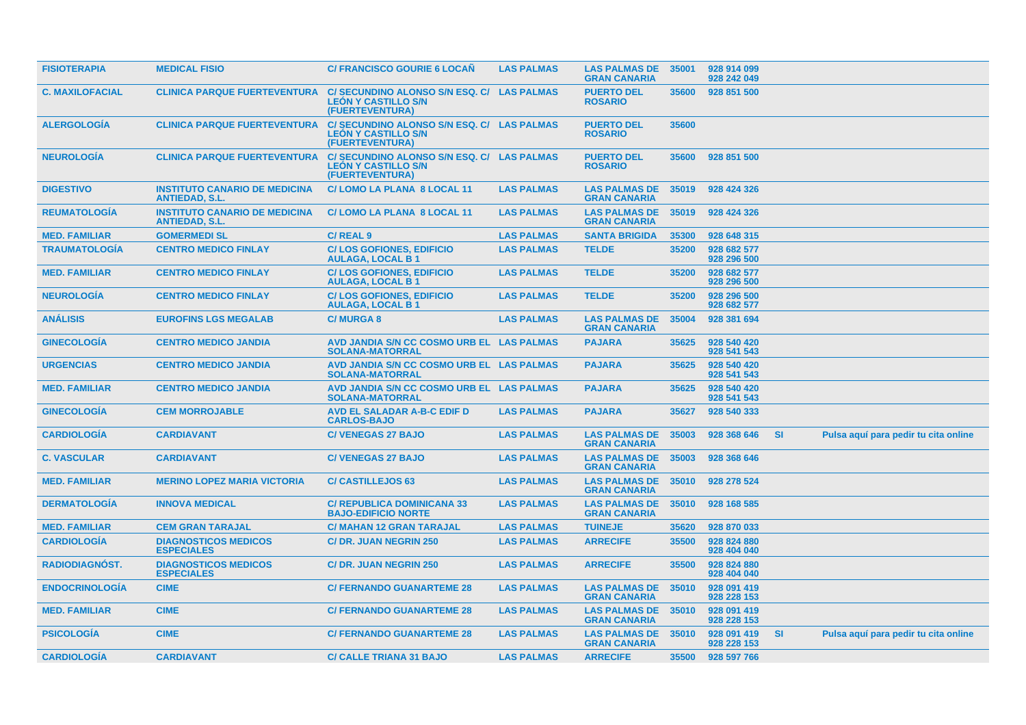| <b>FISIOTERAPIA</b>    | <b>MEDICAL FISIO</b>                                          | <b>C/ FRANCISCO GOURIE 6 LOCAN</b>                                                          | <b>LAS PALMAS</b> | <b>LAS PALMAS DE</b><br><b>GRAN CANARIA</b> | 35001 | 928 914 099<br>928 242 049 |           |                                      |  |
|------------------------|---------------------------------------------------------------|---------------------------------------------------------------------------------------------|-------------------|---------------------------------------------|-------|----------------------------|-----------|--------------------------------------|--|
| <b>C. MAXILOFACIAL</b> | <b>CLINICA PARQUE FUERTEVENTURA</b>                           | C/ SECUNDINO ALONSO S/N ESQ. C/ LAS PALMAS<br><b>LEÓN Y CASTILLO S/N</b><br>(FUERTEVENTURA) |                   | <b>PUERTO DEL</b><br><b>ROSARIO</b>         | 35600 | 928 851 500                |           |                                      |  |
| <b>ALERGOLOGIA</b>     | <b>CLINICA PARQUE FUERTEVENTURA</b>                           | C/ SECUNDINO ALONSO S/N ESQ. C/ LAS PALMAS<br><b>LEON Y CASTILLO S/N</b><br>(FUERTEVENTURA) |                   | <b>PUERTO DEL</b><br><b>ROSARIO</b>         | 35600 |                            |           |                                      |  |
| <b>NEUROLOGIA</b>      | <b>CLINICA PARQUE FUERTEVENTURA</b>                           | C/ SECUNDINO ALONSO S/N ESQ. C/ LAS PALMAS<br><b>LEON Y CASTILLO S/N</b><br>(FUERTEVENTURA) |                   | <b>PUERTO DEL</b><br><b>ROSARIO</b>         | 35600 | 928 851 500                |           |                                      |  |
| <b>DIGESTIVO</b>       | <b>INSTITUTO CANARIO DE MEDICINA</b><br><b>ANTIEDAD, S.L.</b> | C/LOMO LA PLANA 8 LOCAL 11                                                                  | <b>LAS PALMAS</b> | <b>LAS PALMAS DE</b><br><b>GRAN CANARIA</b> | 35019 | 928 424 326                |           |                                      |  |
| <b>REUMATOLOGÍA</b>    | <b>INSTITUTO CANARIO DE MEDICINA</b><br><b>ANTIEDAD, S.L.</b> | C/LOMO LA PLANA 8 LOCAL 11                                                                  | <b>LAS PALMAS</b> | <b>LAS PALMAS DE</b><br><b>GRAN CANARIA</b> | 35019 | 928 424 326                |           |                                      |  |
| <b>MED. FAMILIAR</b>   | <b>GOMERMEDI SL</b>                                           | <b>C/REAL 9</b>                                                                             | <b>LAS PALMAS</b> | <b>SANTA BRIGIDA</b>                        | 35300 | 928 648 315                |           |                                      |  |
| <b>TRAUMATOLOGÍA</b>   | <b>CENTRO MEDICO FINLAY</b>                                   | <b>C/LOS GOFIONES, EDIFICIO</b><br><b>AULAGA, LOCAL B1</b>                                  | <b>LAS PALMAS</b> | <b>TELDE</b>                                | 35200 | 928 682 577<br>928 296 500 |           |                                      |  |
| <b>MED. FAMILIAR</b>   | <b>CENTRO MEDICO FINLAY</b>                                   | <b>C/LOS GOFIONES, EDIFICIO</b><br><b>AULAGA, LOCAL B1</b>                                  | <b>LAS PALMAS</b> | <b>TELDE</b>                                | 35200 | 928 682 577<br>928 296 500 |           |                                      |  |
| <b>NEUROLOGIA</b>      | <b>CENTRO MEDICO FINLAY</b>                                   | <b>C/LOS GOFIONES, EDIFICIO</b><br><b>AULAGA, LOCAL B1</b>                                  | <b>LAS PALMAS</b> | <b>TELDE</b>                                | 35200 | 928 296 500<br>928 682 577 |           |                                      |  |
| <b>ANÁLISIS</b>        | <b>EUROFINS LGS MEGALAB</b>                                   | <b>C/MURGA8</b>                                                                             | <b>LAS PALMAS</b> | <b>LAS PALMAS DE</b><br><b>GRAN CANARIA</b> | 35004 | 928 381 694                |           |                                      |  |
| <b>GINECOLOGIA</b>     | <b>CENTRO MEDICO JANDIA</b>                                   | AVD JANDIA S/N CC COSMO URB EL LAS PALMAS<br><b>SOLANA-MATORRAL</b>                         |                   | <b>PAJARA</b>                               | 35625 | 928 540 420<br>928 541 543 |           |                                      |  |
| <b>URGENCIAS</b>       | <b>CENTRO MEDICO JANDIA</b>                                   | AVD JANDIA S/N CC COSMO URB EL LAS PALMAS<br><b>SOLANA-MATORRAL</b>                         |                   | <b>PAJARA</b>                               | 35625 | 928 540 420<br>928 541 543 |           |                                      |  |
| <b>MED. FAMILIAR</b>   | <b>CENTRO MEDICO JANDIA</b>                                   | AVD JANDIA S/N CC COSMO URB EL LAS PALMAS<br><b>SOLANA-MATORRAL</b>                         |                   | <b>PAJARA</b>                               | 35625 | 928 540 420<br>928 541 543 |           |                                      |  |
| <b>GINECOLOGIA</b>     | <b>CEM MORROJABLE</b>                                         | <b>AVD EL SALADAR A-B-C EDIF D</b><br><b>CARLOS-BAJO</b>                                    | <b>LAS PALMAS</b> | <b>PAJARA</b>                               | 35627 | 928 540 333                |           |                                      |  |
| <b>CARDIOLOGIA</b>     | <b>CARDIAVANT</b>                                             | <b>C/VENEGAS 27 BAJO</b>                                                                    | <b>LAS PALMAS</b> | <b>LAS PALMAS DE</b><br><b>GRAN CANARIA</b> | 35003 | 928 368 646                | <b>SI</b> | Pulsa aquí para pedir tu cita online |  |
| <b>C. VASCULAR</b>     | <b>CARDIAVANT</b>                                             | <b>C/VENEGAS 27 BAJO</b>                                                                    | <b>LAS PALMAS</b> | <b>LAS PALMAS DE</b><br><b>GRAN CANARIA</b> | 35003 | 928 368 646                |           |                                      |  |
| <b>MED. FAMILIAR</b>   | <b>MERINO LOPEZ MARIA VICTORIA</b>                            | <b>C/ CASTILLEJOS 63</b>                                                                    | <b>LAS PALMAS</b> | <b>LAS PALMAS DE</b><br><b>GRAN CANARIA</b> | 35010 | 928 278 524                |           |                                      |  |
| <b>DERMATOLOGIA</b>    | <b>INNOVA MEDICAL</b>                                         | <b>C/ REPUBLICA DOMINICANA 33</b><br><b>BAJO-EDIFICIO NORTE</b>                             | <b>LAS PALMAS</b> | <b>LAS PALMAS DE</b><br><b>GRAN CANARIA</b> | 35010 | 928 168 585                |           |                                      |  |
| <b>MED. FAMILIAR</b>   | <b>CEM GRAN TARAJAL</b>                                       | <b>C/ MAHAN 12 GRAN TARAJAL</b>                                                             | <b>LAS PALMAS</b> | <b>TUINEJE</b>                              | 35620 | 928 870 033                |           |                                      |  |
| <b>CARDIOLOGÍA</b>     | <b>DIAGNOSTICOS MEDICOS</b><br><b>ESPECIALES</b>              | <b>C/DR. JUAN NEGRIN 250</b>                                                                | <b>LAS PALMAS</b> | <b>ARRECIFE</b>                             | 35500 | 928 824 880<br>928 404 040 |           |                                      |  |
| <b>RADIODIAGNOST.</b>  | <b>DIAGNOSTICOS MEDICOS</b><br><b>ESPECIALES</b>              | <b>C/DR. JUAN NEGRIN 250</b>                                                                | <b>LAS PALMAS</b> | <b>ARRECIFE</b>                             | 35500 | 928 824 880<br>928 404 040 |           |                                      |  |
| <b>ENDOCRINOLOGIA</b>  | <b>CIME</b>                                                   | <b>C/FERNANDO GUANARTEME 28</b>                                                             | <b>LAS PALMAS</b> | <b>LAS PALMAS DE</b><br><b>GRAN CANARIA</b> | 35010 | 928 091 419<br>928 228 153 |           |                                      |  |
| <b>MED. FAMILIAR</b>   | <b>CIME</b>                                                   | <b>C/ FERNANDO GUANARTEME 28</b>                                                            | <b>LAS PALMAS</b> | <b>LAS PALMAS DE</b><br><b>GRAN CANARIA</b> | 35010 | 928 091 419<br>928 228 153 |           |                                      |  |
| <b>PSICOLOGÍA</b>      | <b>CIME</b>                                                   | <b>C/ FERNANDO GUANARTEME 28</b>                                                            | <b>LAS PALMAS</b> | <b>LAS PALMAS DE</b><br><b>GRAN CANARIA</b> | 35010 | 928 091 419<br>928 228 153 | <b>SI</b> | Pulsa aquí para pedir tu cita online |  |
| <b>CARDIOLOGIA</b>     | <b>CARDIAVANT</b>                                             | <b>C/ CALLE TRIANA 31 BAJO</b>                                                              | <b>LAS PALMAS</b> | <b>ARRECIFE</b>                             | 35500 | 928 597 766                |           |                                      |  |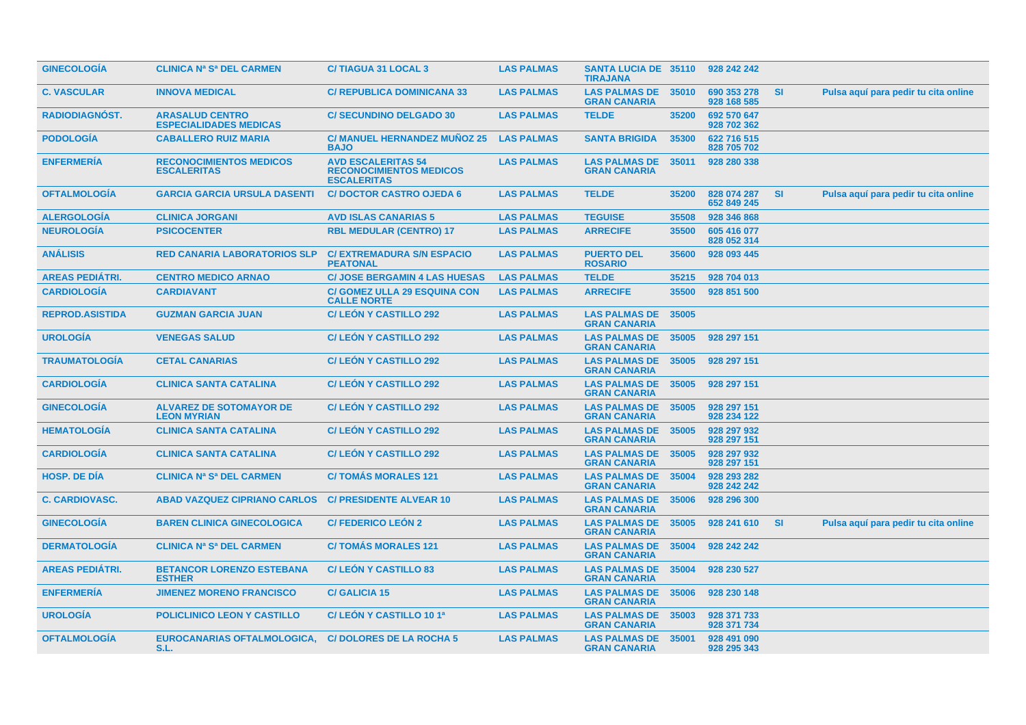| <b>GINECOLOGIA</b>     | <b>CLINICA Na Sa DEL CARMEN</b>                         | <b>C/TIAGUA 31 LOCAL 3</b>                                                        | <b>LAS PALMAS</b> | <b>SANTA LUCIA DE 35110</b><br><b>TIRAJANA</b> |       | 928 242 242                |           |                                      |
|------------------------|---------------------------------------------------------|-----------------------------------------------------------------------------------|-------------------|------------------------------------------------|-------|----------------------------|-----------|--------------------------------------|
| <b>C. VASCULAR</b>     | <b>INNOVA MEDICAL</b>                                   | <b>C/ REPUBLICA DOMINICANA 33</b>                                                 | <b>LAS PALMAS</b> | <b>LAS PALMAS DE</b><br><b>GRAN CANARIA</b>    | 35010 | 690 353 278<br>928 168 585 | <b>SI</b> | Pulsa aquí para pedir tu cita online |
| <b>RADIODIAGNÓST.</b>  | <b>ARASALUD CENTRO</b><br><b>ESPECIALIDADES MEDICAS</b> | <b>C/ SECUNDINO DELGADO 30</b>                                                    | <b>LAS PALMAS</b> | <b>TELDE</b>                                   | 35200 | 692 570 647<br>928 702 362 |           |                                      |
| <b>PODOLOGÍA</b>       | <b>CABALLERO RUIZ MARIA</b>                             | <b>C/ MANUEL HERNANDEZ MUNOZ 25</b><br><b>BAJO</b>                                | <b>LAS PALMAS</b> | <b>SANTA BRIGIDA</b>                           | 35300 | 622 716 515<br>828 705 702 |           |                                      |
| <b>ENFERMERIA</b>      | <b>RECONOCIMIENTOS MEDICOS</b><br><b>ESCALERITAS</b>    | <b>AVD ESCALERITAS 54</b><br><b>RECONOCIMIENTOS MEDICOS</b><br><b>ESCALERITAS</b> | <b>LAS PALMAS</b> | <b>LAS PALMAS DE</b><br><b>GRAN CANARIA</b>    | 35011 | 928 280 338                |           |                                      |
| <b>OFTALMOLOGIA</b>    | <b>GARCIA GARCIA URSULA DASENTI</b>                     | <b>C/DOCTOR CASTRO OJEDA 6</b>                                                    | <b>LAS PALMAS</b> | <b>TELDE</b>                                   | 35200 | 828 074 287<br>652 849 245 | <b>SI</b> | Pulsa aquí para pedir tu cita online |
| <b>ALERGOLOGIA</b>     | <b>CLINICA JORGANI</b>                                  | <b>AVD ISLAS CANARIAS 5</b>                                                       | <b>LAS PALMAS</b> | <b>TEGUISE</b>                                 | 35508 | 928 346 868                |           |                                      |
| <b>NEUROLOGÍA</b>      | <b>PSICOCENTER</b>                                      | <b>RBL MEDULAR (CENTRO) 17</b>                                                    | <b>LAS PALMAS</b> | <b>ARRECIFE</b>                                | 35500 | 605 416 077<br>828 052 314 |           |                                      |
| <b>ANÁLISIS</b>        | <b>RED CANARIA LABORATORIOS SLP</b>                     | <b>C/ EXTREMADURA S/N ESPACIO</b><br><b>PEATONAL</b>                              | <b>LAS PALMAS</b> | <b>PUERTO DEL</b><br><b>ROSARIO</b>            | 35600 | 928 093 445                |           |                                      |
| <b>AREAS PEDIÁTRI.</b> | <b>CENTRO MEDICO ARNAO</b>                              | <b>C/ JOSE BERGAMIN 4 LAS HUESAS</b>                                              | <b>LAS PALMAS</b> | <b>TELDE</b>                                   | 35215 | 928 704 013                |           |                                      |
| <b>CARDIOLOGIA</b>     | <b>CARDIAVANT</b>                                       | <b>C/ GOMEZ ULLA 29 ESQUINA CON</b><br><b>CALLE NORTE</b>                         | <b>LAS PALMAS</b> | <b>ARRECIFE</b>                                | 35500 | 928 851 500                |           |                                      |
| <b>REPROD.ASISTIDA</b> | <b>GUZMAN GARCIA JUAN</b>                               | <b>C/ LEON Y CASTILLO 292</b>                                                     | <b>LAS PALMAS</b> | <b>LAS PALMAS DE</b><br><b>GRAN CANARIA</b>    | 35005 |                            |           |                                      |
| <b>UROLOGÍA</b>        | <b>VENEGAS SALUD</b>                                    | <b>C/LEON Y CASTILLO 292</b>                                                      | <b>LAS PALMAS</b> | <b>LAS PALMAS DE</b><br><b>GRAN CANARIA</b>    | 35005 | 928 297 151                |           |                                      |
| <b>TRAUMATOLOGIA</b>   | <b>CETAL CANARIAS</b>                                   | <b>C/LEON Y CASTILLO 292</b>                                                      | <b>LAS PALMAS</b> | <b>LAS PALMAS DE</b><br><b>GRAN CANARIA</b>    | 35005 | 928 297 151                |           |                                      |
| <b>CARDIOLOGIA</b>     | <b>CLINICA SANTA CATALINA</b>                           | <b>C/LEON Y CASTILLO 292</b>                                                      | <b>LAS PALMAS</b> | <b>LAS PALMAS DE</b><br><b>GRAN CANARIA</b>    | 35005 | 928 297 151                |           |                                      |
| <b>GINECOLOGIA</b>     | <b>ALVAREZ DE SOTOMAYOR DE</b><br><b>LEON MYRIAN</b>    | <b>C/LEON Y CASTILLO 292</b>                                                      | <b>LAS PALMAS</b> | <b>LAS PALMAS DE</b><br><b>GRAN CANARIA</b>    | 35005 | 928 297 151<br>928 234 122 |           |                                      |
| <b>HEMATOLOGIA</b>     | <b>CLINICA SANTA CATALINA</b>                           | <b>C/ LEON Y CASTILLO 292</b>                                                     | <b>LAS PALMAS</b> | <b>LAS PALMAS DE</b><br><b>GRAN CANARIA</b>    | 35005 | 928 297 932<br>928 297 151 |           |                                      |
| <b>CARDIOLOGIA</b>     | <b>CLINICA SANTA CATALINA</b>                           | <b>C/LEON Y CASTILLO 292</b>                                                      | <b>LAS PALMAS</b> | <b>LAS PALMAS DE</b><br><b>GRAN CANARIA</b>    | 35005 | 928 297 932<br>928 297 151 |           |                                      |
| <b>HOSP, DE DIA</b>    | <b>CLINICA Na Sa DEL CARMEN</b>                         | <b>C/TOMAS MORALES 121</b>                                                        | <b>LAS PALMAS</b> | <b>LAS PALMAS DE</b><br><b>GRAN CANARIA</b>    | 35004 | 928 293 282<br>928 242 242 |           |                                      |
| <b>C. CARDIOVASC.</b>  | <b>ABAD VAZQUEZ CIPRIANO CARLOS</b>                     | <b>C/ PRESIDENTE ALVEAR 10</b>                                                    | <b>LAS PALMAS</b> | <b>LAS PALMAS DE</b><br><b>GRAN CANARIA</b>    | 35006 | 928 296 300                |           |                                      |
| <b>GINECOLOGÍA</b>     | <b>BAREN CLINICA GINECOLOGICA</b>                       | <b>C/FEDERICO LEÓN 2</b>                                                          | <b>LAS PALMAS</b> | <b>LAS PALMAS DE</b><br><b>GRAN CANARIA</b>    | 35005 | 928 241 610                | -SI       | Pulsa aquí para pedir tu cita online |
| <b>DERMATOLOGÍA</b>    | <b>CLINICA Na Sa DEL CARMEN</b>                         | <b>C/TOMAS MORALES 121</b>                                                        | <b>LAS PALMAS</b> | <b>LAS PALMAS DE</b><br><b>GRAN CANARIA</b>    | 35004 | 928 242 242                |           |                                      |
| <b>AREAS PEDIÁTRI.</b> | <b>BETANCOR LORENZO ESTEBANA</b><br><b>ESTHER</b>       | <b>C/LEON Y CASTILLO 83</b>                                                       | <b>LAS PALMAS</b> | <b>LAS PALMAS DE</b><br><b>GRAN CANARIA</b>    | 35004 | 928 230 527                |           |                                      |
| <b>ENFERMERÍA</b>      | <b>JIMENEZ MORENO FRANCISCO</b>                         | <b>C/ GALICIA 15</b>                                                              | <b>LAS PALMAS</b> | <b>LAS PALMAS DE</b><br><b>GRAN CANARIA</b>    | 35006 | 928 230 148                |           |                                      |
| <b>UROLOGÍA</b>        | <b>POLICLINICO LEON Y CASTILLO</b>                      | C/LEÓN Y CASTILLO 10 1ª                                                           | <b>LAS PALMAS</b> | <b>LAS PALMAS DE</b><br><b>GRAN CANARIA</b>    | 35003 | 928 371 733<br>928 371 734 |           |                                      |
| <b>OFTALMOLOGÍA</b>    | <b>EUROCANARIAS OFTALMOLOGICA,</b><br>S.L.              | <b>C/DOLORES DE LA ROCHA 5</b>                                                    | <b>LAS PALMAS</b> | <b>LAS PALMAS DE</b><br><b>GRAN CANARIA</b>    | 35001 | 928 491 090<br>928 295 343 |           |                                      |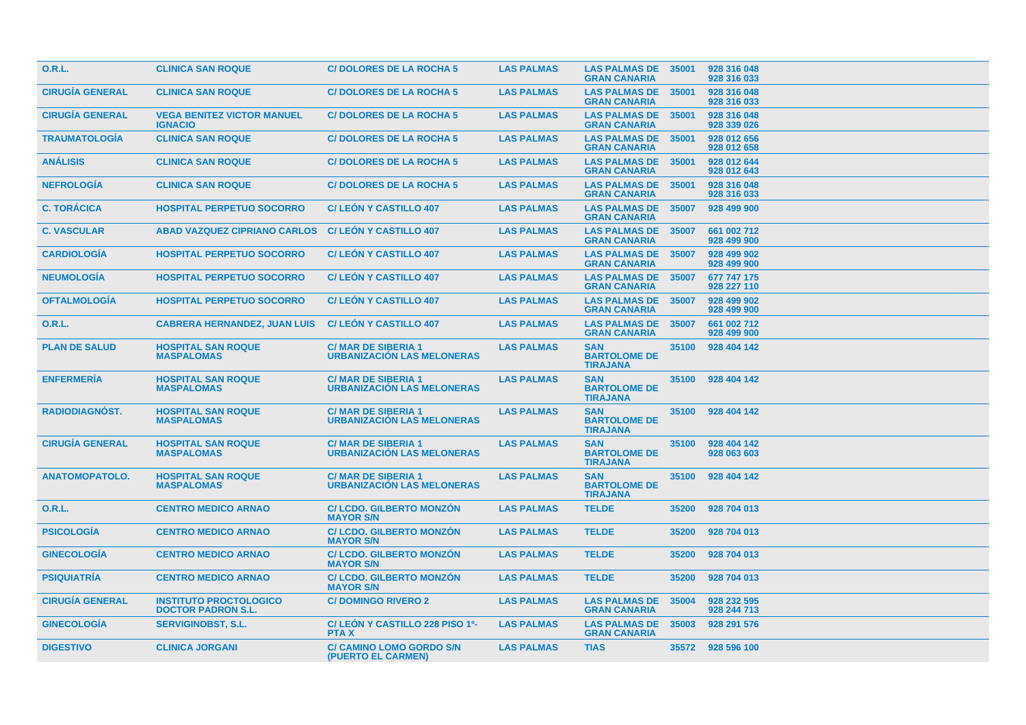| <b>O.R.L.</b>          | <b>CLINICA SAN ROQUE</b>                                   | <b>C/DOLORES DE LA ROCHA 5</b>                                 | <b>LAS PALMAS</b> | <b>LAS PALMAS DE</b><br><b>GRAN CANARIA</b>          | 35001 | 928 316 048<br>928 316 033 |
|------------------------|------------------------------------------------------------|----------------------------------------------------------------|-------------------|------------------------------------------------------|-------|----------------------------|
| <b>CIRUGÍA GENERAL</b> | <b>CLINICA SAN ROQUE</b>                                   | <b>C/DOLORES DE LA ROCHA 5</b>                                 | <b>LAS PALMAS</b> | <b>LAS PALMAS DE</b><br><b>GRAN CANARIA</b>          | 35001 | 928 316 048<br>928 316 033 |
| <b>CIRUGIA GENERAL</b> | <b>VEGA BENITEZ VICTOR MANUEL</b><br><b>IGNACIO</b>        | <b>C/DOLORES DE LA ROCHA 5</b>                                 | <b>LAS PALMAS</b> | <b>LAS PALMAS DE</b><br><b>GRAN CANARIA</b>          | 35001 | 928 316 048<br>928 339 026 |
| <b>TRAUMATOLOGIA</b>   | <b>CLINICA SAN ROQUE</b>                                   | <b>C/DOLORES DE LA ROCHA 5</b>                                 | <b>LAS PALMAS</b> | <b>LAS PALMAS DE</b><br><b>GRAN CANARIA</b>          | 35001 | 928 012 656<br>928 012 658 |
| <b>ANÁLISIS</b>        | <b>CLINICA SAN ROQUE</b>                                   | <b>C/DOLORES DE LA ROCHA 5</b>                                 | <b>LAS PALMAS</b> | <b>LAS PALMAS DE</b><br><b>GRAN CANARIA</b>          | 35001 | 928 012 644<br>928 012 643 |
| <b>NEFROLOGIA</b>      | <b>CLINICA SAN ROQUE</b>                                   | <b>C/DOLORES DE LA ROCHA 5</b>                                 | <b>LAS PALMAS</b> | <b>LAS PALMAS DE</b><br><b>GRAN CANARIA</b>          | 35001 | 928 316 048<br>928 316 033 |
| <b>C. TORÁCICA</b>     | <b>HOSPITAL PERPETUO SOCORRO</b>                           | <b>C/LEON Y CASTILLO 407</b>                                   | <b>LAS PALMAS</b> | <b>LAS PALMAS DE 35007</b><br><b>GRAN CANARIA</b>    |       | 928 499 900                |
| <b>C. VASCULAR</b>     | <b>ABAD VAZQUEZ CIPRIANO CARLOS</b>                        | <b>C/LEON Y CASTILLO 407</b>                                   | <b>LAS PALMAS</b> | <b>LAS PALMAS DE</b><br><b>GRAN CANARIA</b>          | 35007 | 661 002 712<br>928 499 900 |
| <b>CARDIOLOGÍA</b>     | <b>HOSPITAL PERPETUO SOCORRO</b>                           | <b>C/LEON Y CASTILLO 407</b>                                   | <b>LAS PALMAS</b> | <b>LAS PALMAS DE</b><br><b>GRAN CANARIA</b>          | 35007 | 928 499 902<br>928 499 900 |
| <b>NEUMOLOGIA</b>      | <b>HOSPITAL PERPETUO SOCORRO</b>                           | <b>C/LEON Y CASTILLO 407</b>                                   | <b>LAS PALMAS</b> | <b>LAS PALMAS DE</b><br><b>GRAN CANARIA</b>          | 35007 | 677 747 175<br>928 227 110 |
| <b>OFTALMOLOGIA</b>    | <b>HOSPITAL PERPETUO SOCORRO</b>                           | <b>C/LEON Y CASTILLO 407</b>                                   | <b>LAS PALMAS</b> | <b>LAS PALMAS DE</b><br><b>GRAN CANARIA</b>          | 35007 | 928 499 902<br>928 499 900 |
| 0.R.L.                 | <b>CABRERA HERNANDEZ, JUAN LUIS</b>                        | <b>C/LEON Y CASTILLO 407</b>                                   | <b>LAS PALMAS</b> | <b>LAS PALMAS DE</b><br><b>GRAN CANARIA</b>          | 35007 | 661 002 712<br>928 499 900 |
| <b>PLAN DE SALUD</b>   | <b>HOSPITAL SAN ROQUE</b><br><b>MASPALOMAS</b>             | <b>C/MAR DE SIBERIA 1</b><br><b>URBANIZACION LAS MELONERAS</b> | <b>LAS PALMAS</b> | <b>SAN</b><br><b>BARTOLOME DE</b><br><b>TIRAJANA</b> | 35100 | 928 404 142                |
| <b>ENFERMERÍA</b>      | <b>HOSPITAL SAN ROQUE</b><br><b>MASPALOMAS</b>             | <b>C/MAR DE SIBERIA 1</b><br><b>URBANIZACIÓN LAS MELONERAS</b> | <b>LAS PALMAS</b> | <b>SAN</b><br><b>BARTOLOME DE</b><br><b>TIRAJANA</b> | 35100 | 928 404 142                |
| <b>RADIODIAGNÓST.</b>  | <b>HOSPITAL SAN ROQUE</b><br><b>MASPALOMAS</b>             | <b>C/MAR DE SIBERIA 1</b><br><b>URBANIZACIÓN LAS MELONERAS</b> | <b>LAS PALMAS</b> | <b>SAN</b><br><b>BARTOLOME DE</b><br><b>TIRAJANA</b> | 35100 | 928 404 142                |
| <b>CIRUGÍA GENERAL</b> | <b>HOSPITAL SAN ROQUE</b><br><b>MASPALOMAS</b>             | <b>C/MAR DE SIBERIA 1</b><br><b>URBANIZACIÓN LAS MELONERAS</b> | <b>LAS PALMAS</b> | <b>SAN</b><br><b>BARTOLOME DE</b><br><b>TIRAJANA</b> | 35100 | 928 404 142<br>928 063 603 |
| <b>ANATOMOPATOLO.</b>  | <b>HOSPITAL SAN ROQUE</b><br><b>MASPALOMAS</b>             | <b>C/MAR DE SIBERIA 1</b><br><b>URBANIZACIÓN LAS MELONERAS</b> | <b>LAS PALMAS</b> | <b>SAN</b><br><b>BARTOLOME DE</b><br><b>TIRAJANA</b> | 35100 | 928 404 142                |
| O.R.L.                 | <b>CENTRO MEDICO ARNAO</b>                                 | <b>C/LCDO, GILBERTO MONZÓN</b><br><b>MAYOR S/N</b>             | <b>LAS PALMAS</b> | <b>TELDE</b>                                         | 35200 | 928 704 013                |
| <b>PSICOLOGIA</b>      | <b>CENTRO MEDICO ARNAO</b>                                 | <b>C/LCDO, GILBERTO MONZÓN</b><br><b>MAYOR S/N</b>             | <b>LAS PALMAS</b> | <b>TELDE</b>                                         | 35200 | 928 704 013                |
| <b>GINECOLOGIA</b>     | <b>CENTRO MEDICO ARNAO</b>                                 | <b>C/LCDO. GILBERTO MONZÓN</b><br><b>MAYOR S/N</b>             | <b>LAS PALMAS</b> | <b>TELDE</b>                                         | 35200 | 928 704 013                |
| <b>PSIQUIATRIA</b>     | <b>CENTRO MEDICO ARNAO</b>                                 | <b>C/LCDO, GILBERTO MONZÓN</b><br><b>MAYOR S/N</b>             | <b>LAS PALMAS</b> | <b>TELDE</b>                                         | 35200 | 928 704 013                |
| <b>CIRUGIA GENERAL</b> | <b>INSTITUTO PROCTOLOGICO</b><br><b>DOCTOR PADRON S.L.</b> | <b>C/DOMINGO RIVERO 2</b>                                      | <b>LAS PALMAS</b> | <b>LAS PALMAS DE</b><br><b>GRAN CANARIA</b>          | 35004 | 928 232 595<br>928 244 713 |
| <b>GINECOLOGIA</b>     | <b>SERVIGINOBST, S.L.</b>                                  | C/ LEÓN Y CASTILLO 228 PISO 10-<br><b>PTAX</b>                 | <b>LAS PALMAS</b> | <b>LAS PALMAS DE</b><br><b>GRAN CANARIA</b>          | 35003 | 928 291 576                |
| <b>DIGESTIVO</b>       | <b>CLINICA JORGANI</b>                                     | <b>C/ CAMINO LOMO GORDO S/N</b><br>(PUERTO EL CARMEN)          | <b>LAS PALMAS</b> | <b>TIAS</b>                                          |       | 35572 928 596 100          |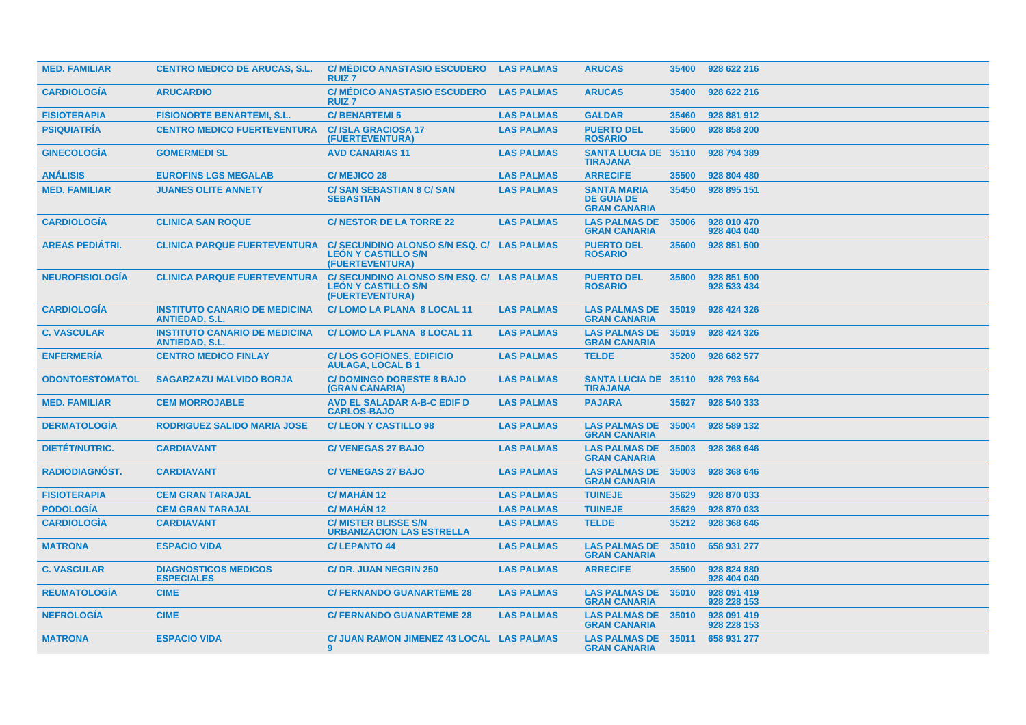| <b>MED. FAMILIAR</b>   | <b>CENTRO MEDICO DE ARUCAS, S.L.</b>                          | <b>C/ MÉDICO ANASTASIO ESCUDERO</b><br><b>RUIZ7</b>                                         | <b>LAS PALMAS</b> | <b>ARUCAS</b>                                                  | 35400 | 928 622 216                |
|------------------------|---------------------------------------------------------------|---------------------------------------------------------------------------------------------|-------------------|----------------------------------------------------------------|-------|----------------------------|
| <b>CARDIOLOGIA</b>     | <b>ARUCARDIO</b>                                              | <b>C/ MÉDICO ANASTASIO ESCUDERO</b><br><b>RUIZ7</b>                                         | <b>LAS PALMAS</b> | <b>ARUCAS</b>                                                  | 35400 | 928 622 216                |
| <b>FISIOTERAPIA</b>    | <b>FISIONORTE BENARTEMI, S.L.</b>                             | <b>C/BENARTEMI5</b>                                                                         | <b>LAS PALMAS</b> | <b>GALDAR</b>                                                  | 35460 | 928 881 912                |
| <b>PSIQUIATRÍA</b>     | <b>CENTRO MEDICO FUERTEVENTURA</b>                            | <b>C/ISLA GRACIOSA 17</b><br>(FUERTEVENTURA)                                                | <b>LAS PALMAS</b> | <b>PUERTO DEL</b><br><b>ROSARIO</b>                            | 35600 | 928 858 200                |
| <b>GINECOLOGIA</b>     | <b>GOMERMEDI SL</b>                                           | <b>AVD CANARIAS 11</b>                                                                      | <b>LAS PALMAS</b> | <b>SANTA LUCIA DE 35110</b><br><b>TIRAJANA</b>                 |       | 928 794 389                |
| <b>ANÁLISIS</b>        | <b>EUROFINS LGS MEGALAB</b>                                   | <b>C/ MEJICO 28</b>                                                                         | <b>LAS PALMAS</b> | <b>ARRECIFE</b>                                                | 35500 | 928 804 480                |
| <b>MED. FAMILIAR</b>   | <b>JUANES OLITE ANNETY</b>                                    | <b>C/SAN SEBASTIAN 8 C/SAN</b><br><b>SEBASTIAN</b>                                          | <b>LAS PALMAS</b> | <b>SANTA MARIA</b><br><b>DE GUIA DE</b><br><b>GRAN CANARIA</b> | 35450 | 928 895 151                |
| <b>CARDIOLOGIA</b>     | <b>CLINICA SAN ROQUE</b>                                      | <b>C/NESTOR DE LA TORRE 22</b>                                                              | <b>LAS PALMAS</b> | <b>LAS PALMAS DE</b><br><b>GRAN CANARIA</b>                    | 35006 | 928 010 470<br>928 404 040 |
| <b>AREAS PEDIÁTRI.</b> | <b>CLINICA PARQUE FUERTEVENTURA</b>                           | C/ SECUNDINO ALONSO S/N ESQ. C/ LAS PALMAS<br><b>LEÓN Y CASTILLO S/N</b><br>(FUERTEVENTURA) |                   | <b>PUERTO DEL</b><br><b>ROSARIO</b>                            | 35600 | 928 851 500                |
| <b>NEUROFISIOLOGÍA</b> | <b>CLINICA PARQUE FUERTEVENTURA</b>                           | C/ SECUNDINO ALONSO S/N ESQ. C/ LAS PALMAS<br><b>LEON Y CASTILLO S/N</b><br>(FUERTEVENTURA) |                   | <b>PUERTO DEL</b><br><b>ROSARIO</b>                            | 35600 | 928 851 500<br>928 533 434 |
| <b>CARDIOLOGÍA</b>     | <b>INSTITUTO CANARIO DE MEDICINA</b><br><b>ANTIEDAD, S.L.</b> | C/LOMO LA PLANA 8 LOCAL 11                                                                  | <b>LAS PALMAS</b> | <b>LAS PALMAS DE</b><br><b>GRAN CANARIA</b>                    | 35019 | 928 424 326                |
| <b>C. VASCULAR</b>     | <b>INSTITUTO CANARIO DE MEDICINA</b><br><b>ANTIEDAD, S.L.</b> | C/LOMO LA PLANA 8 LOCAL 11                                                                  | <b>LAS PALMAS</b> | <b>LAS PALMAS DE</b><br><b>GRAN CANARIA</b>                    | 35019 | 928 424 326                |
| <b>ENFERMERIA</b>      | <b>CENTRO MEDICO FINLAY</b>                                   | <b>C/LOS GOFIONES, EDIFICIO</b><br><b>AULAGA, LOCAL B1</b>                                  | <b>LAS PALMAS</b> | <b>TELDE</b>                                                   | 35200 | 928 682 577                |
| <b>ODONTOESTOMATOL</b> | <b>SAGARZAZU MALVIDO BORJA</b>                                | <b>C/DOMINGO DORESTE 8 BAJO</b><br>(GRAN CANARIA)                                           | <b>LAS PALMAS</b> | <b>SANTA LUCIA DE 35110</b><br><b>TIRAJANA</b>                 |       | 928 793 564                |
| <b>MED. FAMILIAR</b>   | <b>CEM MORROJABLE</b>                                         | <b>AVD EL SALADAR A-B-C EDIF D</b><br><b>CARLOS-BAJO</b>                                    | <b>LAS PALMAS</b> | <b>PAJARA</b>                                                  | 35627 | 928 540 333                |
| <b>DERMATOLOGIA</b>    | <b>RODRIGUEZ SALIDO MARIA JOSE</b>                            | <b>C/LEON Y CASTILLO 98</b>                                                                 | <b>LAS PALMAS</b> | <b>LAS PALMAS DE</b><br><b>GRAN CANARIA</b>                    | 35004 | 928 589 132                |
| <b>DIETET/NUTRIC.</b>  | <b>CARDIAVANT</b>                                             | <b>C/VENEGAS 27 BAJO</b>                                                                    | <b>LAS PALMAS</b> | <b>LAS PALMAS DE</b><br><b>GRAN CANARIA</b>                    | 35003 | 928 368 646                |
| <b>RADIODIAGNOST.</b>  | <b>CARDIAVANT</b>                                             | <b>C/VENEGAS 27 BAJO</b>                                                                    | <b>LAS PALMAS</b> | <b>LAS PALMAS DE</b><br><b>GRAN CANARIA</b>                    | 35003 | 928 368 646                |
| <b>FISIOTERAPIA</b>    | <b>CEM GRAN TARAJAL</b>                                       | <b>C/ MAHAN 12</b>                                                                          | <b>LAS PALMAS</b> | <b>TUINEJE</b>                                                 | 35629 | 928 870 033                |
| <b>PODOLOGÍA</b>       | <b>CEM GRAN TARAJAL</b>                                       | C/MAHAN <sub>12</sub>                                                                       | <b>LAS PALMAS</b> | <b>TUINEJE</b>                                                 | 35629 | 928 870 033                |
| <b>CARDIOLOGIA</b>     | <b>CARDIAVANT</b>                                             | <b>C/ MISTER BLISSE S/N</b><br><b>URBANIZACION LAS ESTRELLA</b>                             | <b>LAS PALMAS</b> | <b>TELDE</b>                                                   | 35212 | 928 368 646                |
| <b>MATRONA</b>         | <b>ESPACIO VIDA</b>                                           | <b>C/LEPANTO 44</b>                                                                         | <b>LAS PALMAS</b> | <b>LAS PALMAS DE</b><br><b>GRAN CANARIA</b>                    | 35010 | 658 931 277                |
| <b>C. VASCULAR</b>     | <b>DIAGNOSTICOS MEDICOS</b><br><b>ESPECIALES</b>              | <b>C/DR. JUAN NEGRIN 250</b>                                                                | <b>LAS PALMAS</b> | <b>ARRECIFE</b>                                                | 35500 | 928 824 880<br>928 404 040 |
| <b>REUMATOLOGÍA</b>    | <b>CIME</b>                                                   | <b>C/ FERNANDO GUANARTEME 28</b>                                                            | <b>LAS PALMAS</b> | <b>LAS PALMAS DE</b><br><b>GRAN CANARIA</b>                    | 35010 | 928 091 419<br>928 228 153 |
| <b>NEFROLOGIA</b>      | <b>CIME</b>                                                   | <b>C/ FERNANDO GUANARTEME 28</b>                                                            | <b>LAS PALMAS</b> | <b>LAS PALMAS DE</b><br><b>GRAN CANARIA</b>                    | 35010 | 928 091 419<br>928 228 153 |
| <b>MATRONA</b>         | <b>ESPACIO VIDA</b>                                           | C/ JUAN RAMON JIMENEZ 43 LOCAL LAS PALMAS<br>$\mathbf{Q}$                                   |                   | <b>LAS PALMAS DE</b><br><b>GRAN CANARIA</b>                    | 35011 | 658 931 277                |